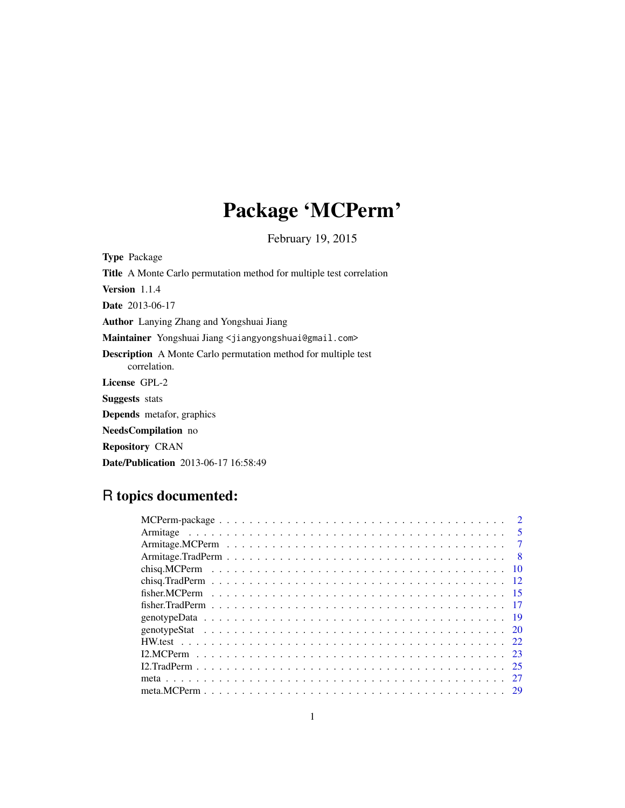# Package 'MCPerm'

February 19, 2015

<span id="page-0-0"></span>

| <b>Type Package</b>                                                                   |
|---------------------------------------------------------------------------------------|
| <b>Title</b> A Monte Carlo permutation method for multiple test correlation           |
| <b>Version</b> 1.1.4                                                                  |
| <b>Date</b> 2013-06-17                                                                |
| <b>Author</b> Lanying Zhang and Yongshuai Jiang                                       |
| Maintainer Yongshuai Jiang <jiangyongshuai@gmail.com></jiangyongshuai@gmail.com>      |
| <b>Description</b> A Monte Carlo permutation method for multiple test<br>correlation. |
| License GPL-2                                                                         |
| <b>Suggests</b> stats                                                                 |
| <b>Depends</b> metafor, graphics                                                      |
| <b>NeedsCompilation</b> no                                                            |
| <b>Repository CRAN</b>                                                                |
| <b>Date/Publication</b> 2013-06-17 16:58:49                                           |

# R topics documented:

| $\sqrt{5}$ |
|------------|
|            |
|            |
|            |
|            |
|            |
|            |
|            |
|            |
|            |
|            |
|            |
|            |
|            |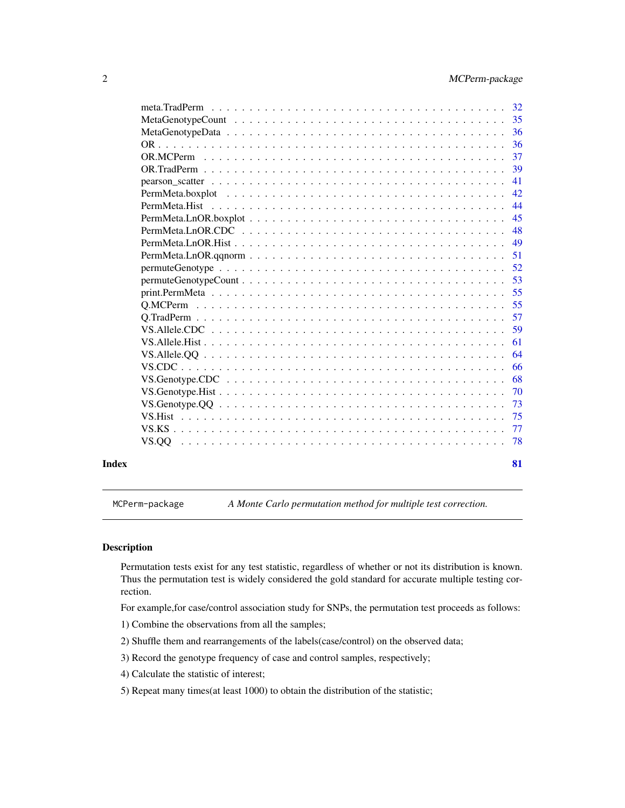<span id="page-1-0"></span>

| Index |                                                                                                                  | 81 |
|-------|------------------------------------------------------------------------------------------------------------------|----|
|       |                                                                                                                  | 78 |
|       |                                                                                                                  | 77 |
|       |                                                                                                                  | 75 |
|       |                                                                                                                  | 73 |
|       |                                                                                                                  | 70 |
|       |                                                                                                                  | 68 |
|       |                                                                                                                  | 66 |
|       |                                                                                                                  | 64 |
|       |                                                                                                                  | 61 |
|       |                                                                                                                  | 59 |
|       |                                                                                                                  | 57 |
|       |                                                                                                                  | 55 |
|       |                                                                                                                  | 55 |
|       | $permuteGenotypeCount \dots \dots \dots \dots \dots \dots \dots \dots \dots \dots \dots \dots \dots \dots \dots$ | 53 |
|       |                                                                                                                  | 52 |
|       | $PermMeta.LnOR.qqnorm \dots \dots \dots \dots \dots \dots \dots \dots \dots \dots \dots \dots \dots \dots$       | 51 |
|       |                                                                                                                  | 49 |
|       |                                                                                                                  | 48 |
|       |                                                                                                                  | 45 |
|       |                                                                                                                  | 44 |
|       |                                                                                                                  | 42 |
|       |                                                                                                                  | 41 |
|       |                                                                                                                  | 39 |
|       |                                                                                                                  | 37 |
|       |                                                                                                                  | 36 |
|       |                                                                                                                  | 36 |
|       |                                                                                                                  |    |
|       |                                                                                                                  |    |

MCPerm-package *A Monte Carlo permutation method for multiple test correction.*

# Description

Permutation tests exist for any test statistic, regardless of whether or not its distribution is known. Thus the permutation test is widely considered the gold standard for accurate multiple testing correction.

For example,for case/control association study for SNPs, the permutation test proceeds as follows:

1) Combine the observations from all the samples;

- 2) Shuffle them and rearrangements of the labels(case/control) on the observed data;
- 3) Record the genotype frequency of case and control samples, respectively;
- 4) Calculate the statistic of interest;
- 5) Repeat many times(at least 1000) to obtain the distribution of the statistic;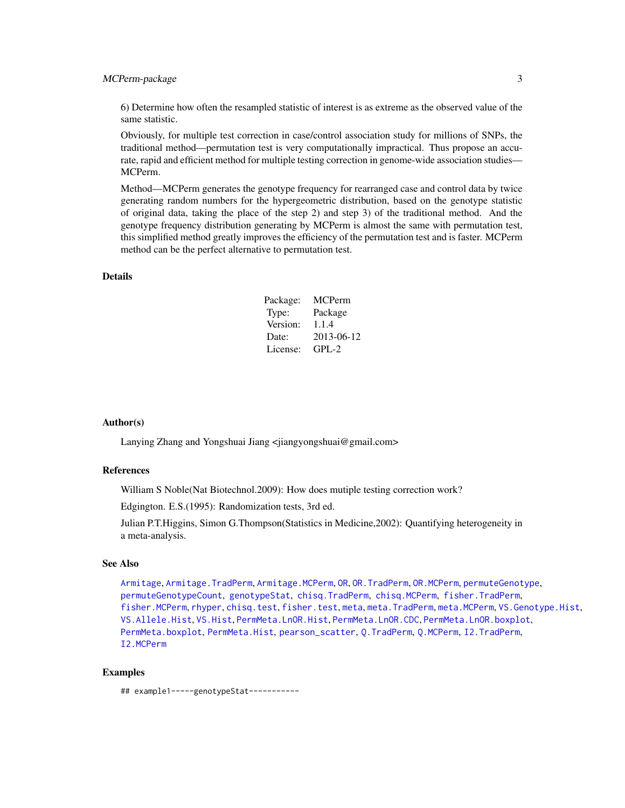# MCPerm-package 3

6) Determine how often the resampled statistic of interest is as extreme as the observed value of the same statistic.

Obviously, for multiple test correction in case/control association study for millions of SNPs, the traditional method—permutation test is very computationally impractical. Thus propose an accurate, rapid and efficient method for multiple testing correction in genome-wide association studies— MCPerm.

Method—MCPerm generates the genotype frequency for rearranged case and control data by twice generating random numbers for the hypergeometric distribution, based on the genotype statistic of original data, taking the place of the step 2) and step 3) of the traditional method. And the genotype frequency distribution generating by MCPerm is almost the same with permutation test, this simplified method greatly improves the efficiency of the permutation test and is faster. MCPerm method can be the perfect alternative to permutation test.

#### Details

| Package: | MCPerm     |
|----------|------------|
| Type:    | Package    |
| Version: | 1.1.4      |
| Date:    | 2013-06-12 |
| License: | $GPI - 2$  |

#### Author(s)

Lanying Zhang and Yongshuai Jiang <jiangyongshuai@gmail.com>

#### References

William S Noble(Nat Biotechnol.2009): How does mutiple testing correction work?

Edgington. E.S.(1995): Randomization tests, 3rd ed.

Julian P.T.Higgins, Simon G.Thompson(Statistics in Medicine,2002): Quantifying heterogeneity in a meta-analysis.

#### See Also

[Armitage](#page-4-1), [Armitage.TradPerm](#page-7-1), [Armitage.MCPerm](#page-6-1), [OR](#page-35-1), [OR.TradPerm](#page-38-1), [OR.MCPerm](#page-36-1), [permuteGenotype](#page-51-1), [permuteGenotypeCount](#page-52-1), [genotypeStat](#page-19-1), [chisq.TradPerm](#page-11-1), [chisq.MCPerm](#page-9-1), [fisher.TradPerm](#page-16-1), [fisher.MCPerm](#page-14-1), [rhyper](#page-0-0), [chisq.test](#page-0-0), [fisher.test](#page-0-0), [meta](#page-26-1), [meta.TradPerm](#page-31-1), [meta.MCPerm](#page-28-1), [VS.Genotype.Hist](#page-69-1), [VS.Allele.Hist](#page-60-1), [VS.Hist](#page-74-1), [PermMeta.LnOR.Hist](#page-48-1), [PermMeta.LnOR.CDC](#page-47-1), [PermMeta.LnOR.boxplot](#page-44-1), [PermMeta.boxplot](#page-41-1), [PermMeta.Hist](#page-43-1), [pearson\\_scatter](#page-40-1), [Q.TradPerm](#page-56-1), [Q.MCPerm](#page-54-1), [I2.TradPerm](#page-24-1), [I2.MCPerm](#page-22-1)

#### Examples

## example1-----genotypeStat-----------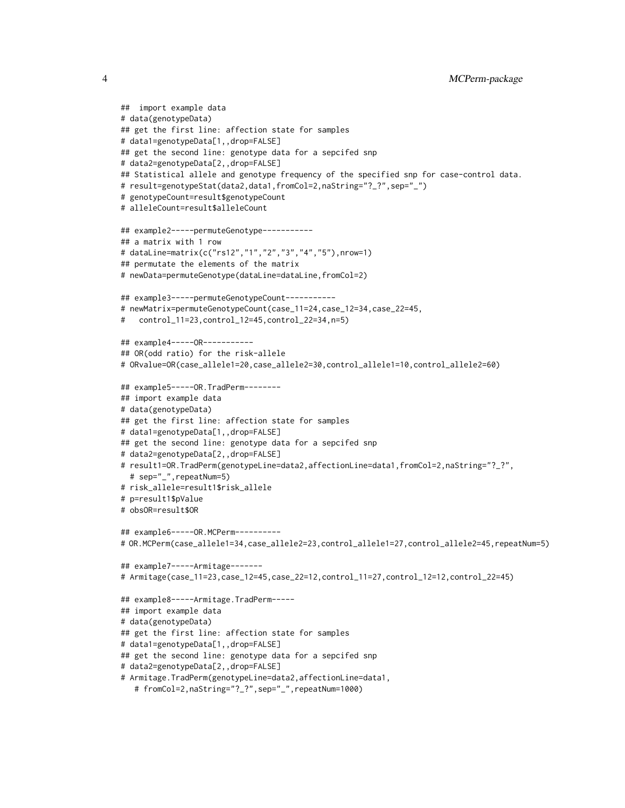```
## import example data
# data(genotypeData)
## get the first line: affection state for samples
# data1=genotypeData[1,,drop=FALSE]
## get the second line: genotype data for a sepcifed snp
# data2=genotypeData[2,,drop=FALSE]
## Statistical allele and genotype frequency of the specified snp for case-control data.
# result=genotypeStat(data2,data1,fromCol=2,naString="?_?",sep="_")
# genotypeCount=result$genotypeCount
# alleleCount=result$alleleCount
## example2-----permuteGenotype-----------
## a matrix with 1 row
# dataLine=matrix(c("rs12","1","2","3","4","5"),nrow=1)
## permutate the elements of the matrix
# newData=permuteGenotype(dataLine=dataLine,fromCol=2)
## example3-----permuteGenotypeCount-----------
# newMatrix=permuteGenotypeCount(case_11=24,case_12=34,case_22=45,
# control_11=23,control_12=45,control_22=34,n=5)
## example4-----OR-----------
## OR(odd ratio) for the risk-allele
# ORvalue=OR(case_allele1=20,case_allele2=30,control_allele1=10,control_allele2=60)
## example5-----OR.TradPerm--------
## import example data
# data(genotypeData)
## get the first line: affection state for samples
# data1=genotypeData[1,,drop=FALSE]
## get the second line: genotype data for a sepcifed snp
# data2=genotypeData[2,,drop=FALSE]
# result1=OR.TradPerm(genotypeLine=data2,affectionLine=data1,fromCol=2,naString="?_?",
 # sep="_",repeatNum=5)
# risk_allele=result1$risk_allele
# p=result1$pValue
# obsOR=result$OR
## example6-----OR.MCPerm----------
# OR.MCPerm(case_allele1=34,case_allele2=23,control_allele1=27,control_allele2=45,repeatNum=5)
## example7-----Armitage-------
# Armitage(case_11=23,case_12=45,case_22=12,control_11=27,control_12=12,control_22=45)
## example8-----Armitage.TradPerm-----
## import example data
# data(genotypeData)
## get the first line: affection state for samples
# data1=genotypeData[1,,drop=FALSE]
## get the second line: genotype data for a sepcifed snp
# data2=genotypeData[2,,drop=FALSE]
# Armitage.TradPerm(genotypeLine=data2,affectionLine=data1,
   # fromCol=2,naString="?_?",sep="_",repeatNum=1000)
```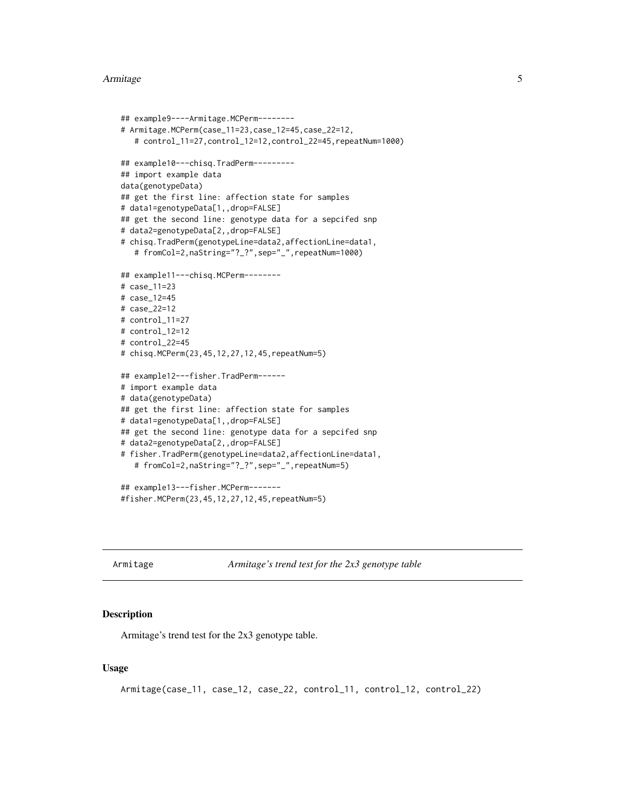#### <span id="page-4-0"></span>Armitage 5

```
## example9----Armitage.MCPerm--------
# Armitage.MCPerm(case_11=23,case_12=45,case_22=12,
  # control_11=27,control_12=12,control_22=45,repeatNum=1000)
## example10---chisq.TradPerm---------
## import example data
data(genotypeData)
## get the first line: affection state for samples
# data1=genotypeData[1,,drop=FALSE]
## get the second line: genotype data for a sepcifed snp
# data2=genotypeData[2,,drop=FALSE]
# chisq.TradPerm(genotypeLine=data2,affectionLine=data1,
   # fromCol=2,naString="?_?",sep="_",repeatNum=1000)
## example11---chisq.MCPerm--------
# case_11=23
# case_12=45
# case_22=12
# control_11=27
# control_12=12
# control_22=45
# chisq.MCPerm(23,45,12,27,12,45,repeatNum=5)
## example12---fisher.TradPerm------
# import example data
# data(genotypeData)
## get the first line: affection state for samples
# data1=genotypeData[1,,drop=FALSE]
## get the second line: genotype data for a sepcifed snp
# data2=genotypeData[2,,drop=FALSE]
# fisher.TradPerm(genotypeLine=data2,affectionLine=data1,
   # fromCol=2,naString="?_?",sep="_",repeatNum=5)
## example13---fisher.MCPerm-------
```
#fisher.MCPerm(23,45,12,27,12,45,repeatNum=5)

<span id="page-4-1"></span>Armitage *Armitage's trend test for the 2x3 genotype table*

#### Description

Armitage's trend test for the 2x3 genotype table.

#### Usage

```
Armitage(case_11, case_12, case_22, control_11, control_12, control_22)
```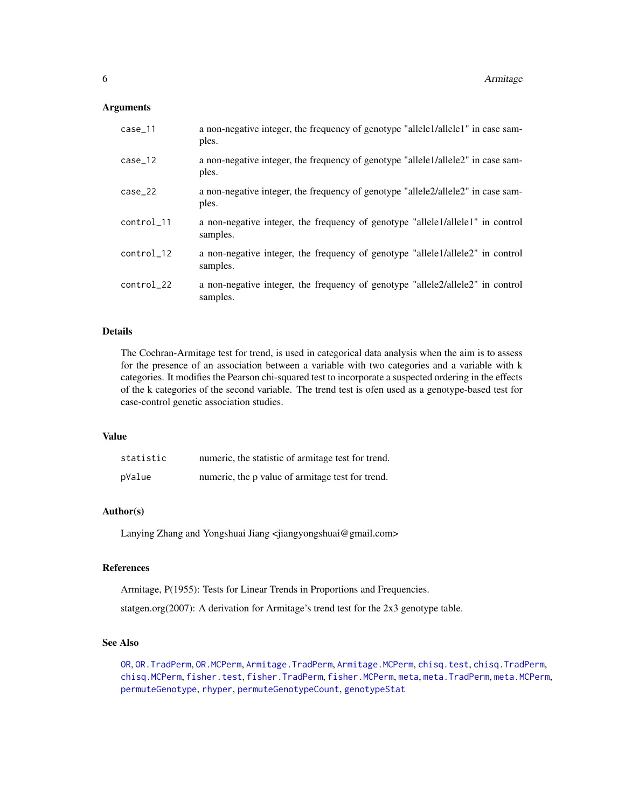#### **Arguments**

| $case_11$  | a non-negative integer, the frequency of genotype "allele1/allele1" in case sam-<br>ples.  |
|------------|--------------------------------------------------------------------------------------------|
| $case_12$  | a non-negative integer, the frequency of genotype "allele1/allele2" in case sam-<br>ples.  |
| $case_22$  | a non-negative integer, the frequency of genotype "allele2/allele2" in case sam-<br>ples.  |
| control 11 | a non-negative integer, the frequency of genotype "allele1/allele1" in control<br>samples. |
| control 12 | a non-negative integer, the frequency of genotype "allele1/allele2" in control<br>samples. |
| control_22 | a non-negative integer, the frequency of genotype "allele2/allele2" in control<br>samples. |

# Details

The Cochran-Armitage test for trend, is used in categorical data analysis when the aim is to assess for the presence of an association between a variable with two categories and a variable with k categories. It modifies the Pearson chi-squared test to incorporate a suspected ordering in the effects of the k categories of the second variable. The trend test is ofen used as a genotype-based test for case-control genetic association studies.

# Value

| statistic | numeric, the statistic of armitage test for trend. |
|-----------|----------------------------------------------------|
| pValue    | numeric, the p value of armitage test for trend.   |

#### Author(s)

Lanying Zhang and Yongshuai Jiang <jiangyongshuai@gmail.com>

# References

Armitage, P(1955): Tests for Linear Trends in Proportions and Frequencies.

statgen.org(2007): A derivation for Armitage's trend test for the 2x3 genotype table.

#### See Also

[OR](#page-35-1), [OR.TradPerm](#page-38-1), [OR.MCPerm](#page-36-1), [Armitage.TradPerm](#page-7-1), [Armitage.MCPerm](#page-6-1), [chisq.test](#page-0-0), [chisq.TradPerm](#page-11-1), [chisq.MCPerm](#page-9-1), [fisher.test](#page-0-0), [fisher.TradPerm](#page-16-1), [fisher.MCPerm](#page-14-1), [meta](#page-26-1), [meta.TradPerm](#page-31-1), [meta.MCPerm](#page-28-1), [permuteGenotype](#page-51-1), [rhyper](#page-0-0), [permuteGenotypeCount](#page-52-1), [genotypeStat](#page-19-1)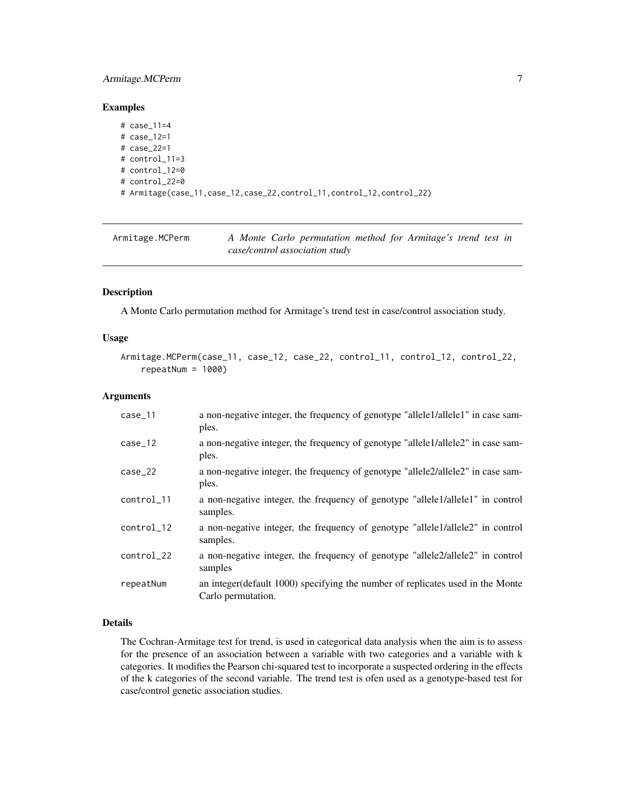# <span id="page-6-0"></span>Armitage.MCPerm 7

#### Examples

```
# case_11=4
# case_12=1
# case_22=1
# control_11=3
# control_12=0
# control_22=0
# Armitage(case_11,case_12,case_22,control_11,control_12,control_22)
```
<span id="page-6-1"></span>

| Armitage.MCPerm |  | A Monte Carlo permutation method for Armitage's trend test in |  |  |  |
|-----------------|--|---------------------------------------------------------------|--|--|--|
|                 |  | case/control association study                                |  |  |  |

# Description

A Monte Carlo permutation method for Armitage's trend test in case/control association study.

#### Usage

```
Armitage.MCPerm(case_11, case_12, case_22, control_11, control_12, control_22,
   repeatedNum = 1000
```
#### Arguments

| $case_11$  | a non-negative integer, the frequency of genotype "allele1/allele1" in case sam-<br>ples.             |
|------------|-------------------------------------------------------------------------------------------------------|
| case_12    | a non-negative integer, the frequency of genotype "allele1/allele2" in case sam-<br>ples.             |
| $case_22$  | a non-negative integer, the frequency of genotype "allele2/allele2" in case sam-<br>ples.             |
| control_11 | a non-negative integer, the frequency of genotype "allele1/allele1" in control<br>samples.            |
| control_12 | a non-negative integer, the frequency of genotype "allele1/allele2" in control<br>samples.            |
| control_22 | a non-negative integer, the frequency of genotype "allele2/allele2" in control<br>samples             |
| repeatNum  | an integer (default 1000) specifying the number of replicates used in the Monte<br>Carlo permutation. |

#### Details

The Cochran-Armitage test for trend, is used in categorical data analysis when the aim is to assess for the presence of an association between a variable with two categories and a variable with k categories. It modifies the Pearson chi-squared test to incorporate a suspected ordering in the effects of the k categories of the second variable. The trend test is ofen used as a genotype-based test for case/control genetic association studies.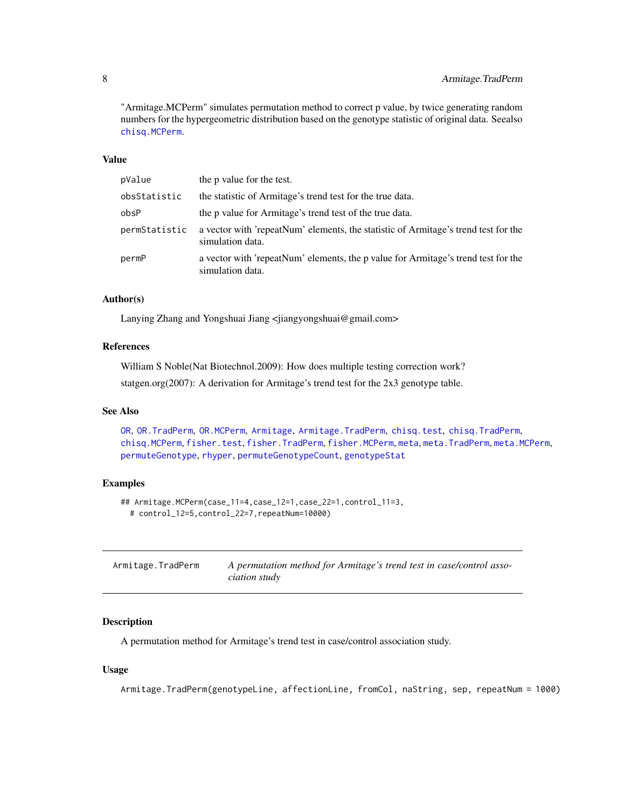<span id="page-7-0"></span>"Armitage.MCPerm" simulates permutation method to correct p value, by twice generating random numbers for the hypergeometric distribution based on the genotype statistic of original data. Seealso [chisq.MCPerm](#page-9-1).

# Value

| pValue        | the p value for the test.                                                                              |
|---------------|--------------------------------------------------------------------------------------------------------|
| obsStatistic  | the statistic of Armitage's trend test for the true data.                                              |
| obsP          | the p value for Armitage's trend test of the true data.                                                |
| permStatistic | a vector with 'repeatNum' elements, the statistic of Armitage's trend test for the<br>simulation data. |
| permP         | a vector with 'repeatNum' elements, the p value for Armitage's trend test for the<br>simulation data.  |

# Author(s)

Lanying Zhang and Yongshuai Jiang <jiangyongshuai@gmail.com>

#### References

William S Noble(Nat Biotechnol.2009): How does multiple testing correction work? statgen.org(2007): A derivation for Armitage's trend test for the 2x3 genotype table.

#### See Also

[OR](#page-35-1), [OR.TradPerm](#page-38-1), [OR.MCPerm](#page-36-1), [Armitage](#page-4-1), [Armitage.TradPerm](#page-7-1), [chisq.test](#page-0-0), [chisq.TradPerm](#page-11-1), [chisq.MCPerm](#page-9-1), [fisher.test](#page-0-0), [fisher.TradPerm](#page-16-1), [fisher.MCPerm](#page-14-1), [meta](#page-26-1), [meta.TradPerm](#page-31-1), [meta.MCPerm](#page-28-1), [permuteGenotype](#page-51-1), [rhyper](#page-0-0), [permuteGenotypeCount](#page-52-1), [genotypeStat](#page-19-1)

# Examples

```
## Armitage.MCPerm(case_11=4,case_12=1,case_22=1,control_11=3,
 # control_12=5,control_22=7,repeatNum=10000)
```
<span id="page-7-1"></span>

| Armitage.TradPerm | A permutation method for Armitage's trend test in case/control asso- |
|-------------------|----------------------------------------------------------------------|
|                   | ciation study                                                        |

# Description

A permutation method for Armitage's trend test in case/control association study.

### Usage

Armitage.TradPerm(genotypeLine, affectionLine, fromCol, naString, sep, repeatNum = 1000)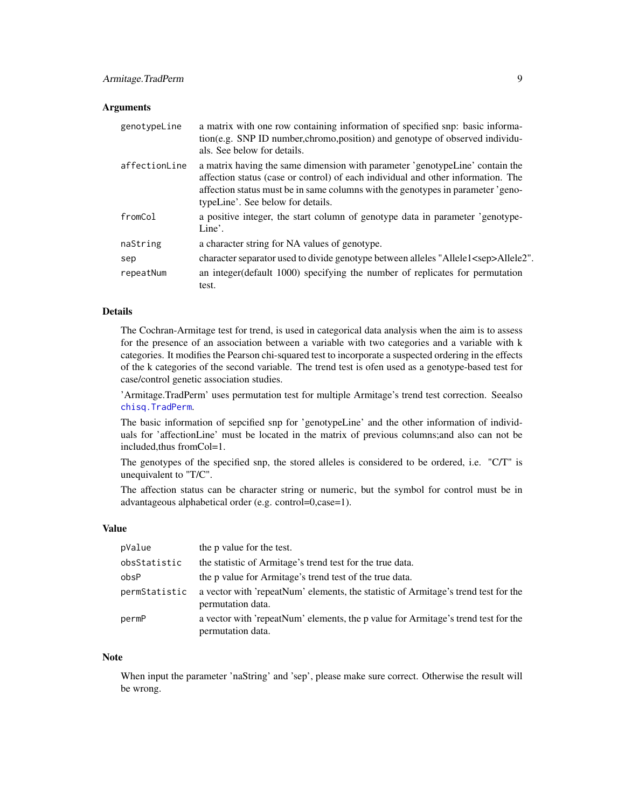#### **Arguments**

| genotypeLine  | a matrix with one row containing information of specified snp: basic informa-<br>tion(e.g. SNP ID number, chromo, position) and genotype of observed individu-<br>als. See below for details.                                                                                            |
|---------------|------------------------------------------------------------------------------------------------------------------------------------------------------------------------------------------------------------------------------------------------------------------------------------------|
| affectionLine | a matrix having the same dimension with parameter 'genotypeLine' contain the<br>affection status (case or control) of each individual and other information. The<br>affection status must be in same columns with the genotypes in parameter 'geno-<br>typeLine'. See below for details. |
| fromCol       | a positive integer, the start column of genotype data in parameter 'genotype-<br>Line'.                                                                                                                                                                                                  |
| naString      | a character string for NA values of genotype.                                                                                                                                                                                                                                            |
| sep           | character separator used to divide genotype between alleles "Allele1 <sep>Allele2".</sep>                                                                                                                                                                                                |
| repeatNum     | an integer (default 1000) specifying the number of replicates for permutation<br>test.                                                                                                                                                                                                   |

# Details

The Cochran-Armitage test for trend, is used in categorical data analysis when the aim is to assess for the presence of an association between a variable with two categories and a variable with k categories. It modifies the Pearson chi-squared test to incorporate a suspected ordering in the effects of the k categories of the second variable. The trend test is ofen used as a genotype-based test for case/control genetic association studies.

'Armitage.TradPerm' uses permutation test for multiple Armitage's trend test correction. Seealso [chisq.TradPerm](#page-11-1).

The basic information of sepcified snp for 'genotypeLine' and the other information of individuals for 'affectionLine' must be located in the matrix of previous columns;and also can not be included,thus fromCol=1.

The genotypes of the specified snp, the stored alleles is considered to be ordered, i.e. "C/T" is unequivalent to "T/C".

The affection status can be character string or numeric, but the symbol for control must be in advantageous alphabetical order (e.g. control=0,case=1).

#### Value

| pValue        | the p value for the test.                                                                               |
|---------------|---------------------------------------------------------------------------------------------------------|
| obsStatistic  | the statistic of Armitage's trend test for the true data.                                               |
| obsP          | the p value for Armitage's trend test of the true data.                                                 |
| permStatistic | a vector with 'repeatNum' elements, the statistic of Armitage's trend test for the<br>permutation data. |
| permP         | a vector with 'repeatNum' elements, the p value for Armitage's trend test for the<br>permutation data.  |

#### **Note**

When input the parameter 'naString' and 'sep', please make sure correct. Otherwise the result will be wrong.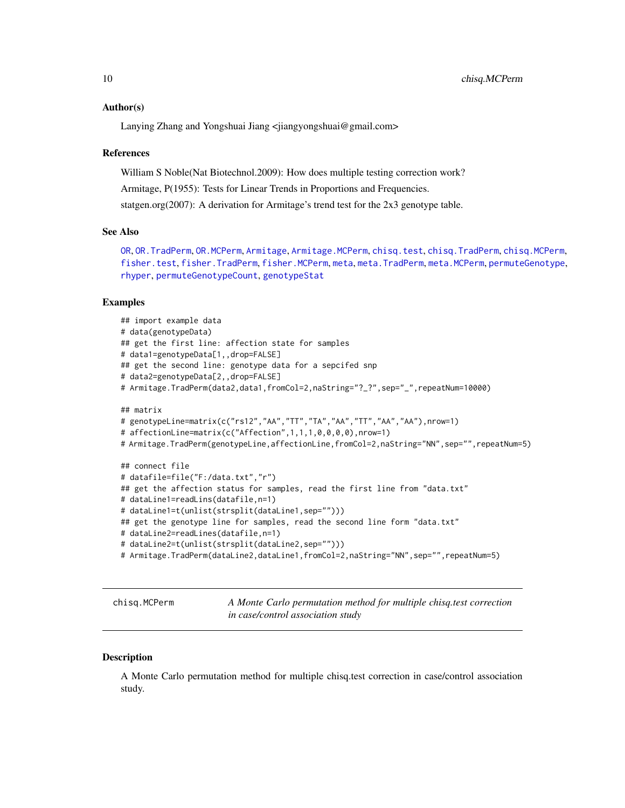#### <span id="page-9-0"></span>Author(s)

Lanying Zhang and Yongshuai Jiang <jiangyongshuai@gmail.com>

#### References

William S Noble(Nat Biotechnol.2009): How does multiple testing correction work?

Armitage, P(1955): Tests for Linear Trends in Proportions and Frequencies.

statgen.org(2007): A derivation for Armitage's trend test for the 2x3 genotype table.

#### See Also

[OR](#page-35-1), [OR.TradPerm](#page-38-1), [OR.MCPerm](#page-36-1), [Armitage](#page-4-1), [Armitage.MCPerm](#page-6-1), [chisq.test](#page-0-0), [chisq.TradPerm](#page-11-1), [chisq.MCPerm](#page-9-1), [fisher.test](#page-0-0), [fisher.TradPerm](#page-16-1), [fisher.MCPerm](#page-14-1), [meta](#page-26-1), [meta.TradPerm](#page-31-1), [meta.MCPerm](#page-28-1), [permuteGenotype](#page-51-1), [rhyper](#page-0-0), [permuteGenotypeCount](#page-52-1), [genotypeStat](#page-19-1)

#### Examples

```
## import example data
# data(genotypeData)
## get the first line: affection state for samples
# data1=genotypeData[1,,drop=FALSE]
## get the second line: genotype data for a sepcifed snp
# data2=genotypeData[2,,drop=FALSE]
# Armitage.TradPerm(data2,data1,fromCol=2,naString="?_?",sep="_",repeatNum=10000)
## matrix
# genotypeLine=matrix(c("rs12","AA","TT","TA","AA","TT","AA","AA"),nrow=1)
# affectionLine=matrix(c("Affection",1,1,1,0,0,0,0),nrow=1)
# Armitage.TradPerm(genotypeLine,affectionLine,fromCol=2,naString="NN",sep="",repeatNum=5)
## connect file
# datafile=file("F:/data.txt","r")
## get the affection status for samples, read the first line from "data.txt"
# dataLine1=readLins(datafile,n=1)
# dataLine1=t(unlist(strsplit(dataLine1,sep="")))
## get the genotype line for samples, read the second line form "data.txt"
# dataLine2=readLines(datafile,n=1)
# dataLine2=t(unlist(strsplit(dataLine2,sep="")))
# Armitage.TradPerm(dataLine2,dataLine1,fromCol=2,naString="NN",sep="",repeatNum=5)
```
<span id="page-9-1"></span>chisq.MCPerm *A Monte Carlo permutation method for multiple chisq.test correction in case/control association study*

#### Description

A Monte Carlo permutation method for multiple chisq.test correction in case/control association study.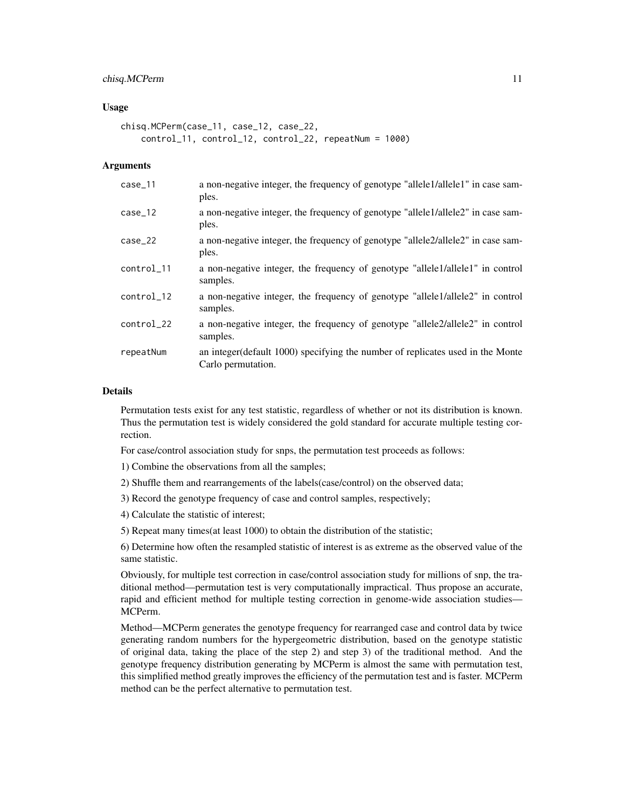# chisq.MCPerm 11

#### Usage

```
chisq.MCPerm(case_11, case_12, case_22,
   control_11, control_12, control_22, repeatNum = 1000)
```
#### **Arguments**

| $case_11$  | a non-negative integer, the frequency of genotype "allele1/allele1" in case sam-<br>ples.             |
|------------|-------------------------------------------------------------------------------------------------------|
| $case_12$  | a non-negative integer, the frequency of genotype "allele1/allele2" in case sam-<br>ples.             |
| $case_22$  | a non-negative integer, the frequency of genotype "allele2/allele2" in case sam-<br>ples.             |
| control_11 | a non-negative integer, the frequency of genotype "allele1/allele1" in control<br>samples.            |
| control_12 | a non-negative integer, the frequency of genotype "allele1/allele2" in control<br>samples.            |
| control_22 | a non-negative integer, the frequency of genotype "allele2/allele2" in control<br>samples.            |
| repeatNum  | an integer (default 1000) specifying the number of replicates used in the Monte<br>Carlo permutation. |

#### Details

Permutation tests exist for any test statistic, regardless of whether or not its distribution is known. Thus the permutation test is widely considered the gold standard for accurate multiple testing correction.

For case/control association study for snps, the permutation test proceeds as follows:

1) Combine the observations from all the samples;

2) Shuffle them and rearrangements of the labels(case/control) on the observed data;

3) Record the genotype frequency of case and control samples, respectively;

4) Calculate the statistic of interest;

5) Repeat many times(at least 1000) to obtain the distribution of the statistic;

6) Determine how often the resampled statistic of interest is as extreme as the observed value of the same statistic.

Obviously, for multiple test correction in case/control association study for millions of snp, the traditional method—permutation test is very computationally impractical. Thus propose an accurate, rapid and efficient method for multiple testing correction in genome-wide association studies— MCPerm.

Method—MCPerm generates the genotype frequency for rearranged case and control data by twice generating random numbers for the hypergeometric distribution, based on the genotype statistic of original data, taking the place of the step 2) and step 3) of the traditional method. And the genotype frequency distribution generating by MCPerm is almost the same with permutation test, this simplified method greatly improves the efficiency of the permutation test and is faster. MCPerm method can be the perfect alternative to permutation test.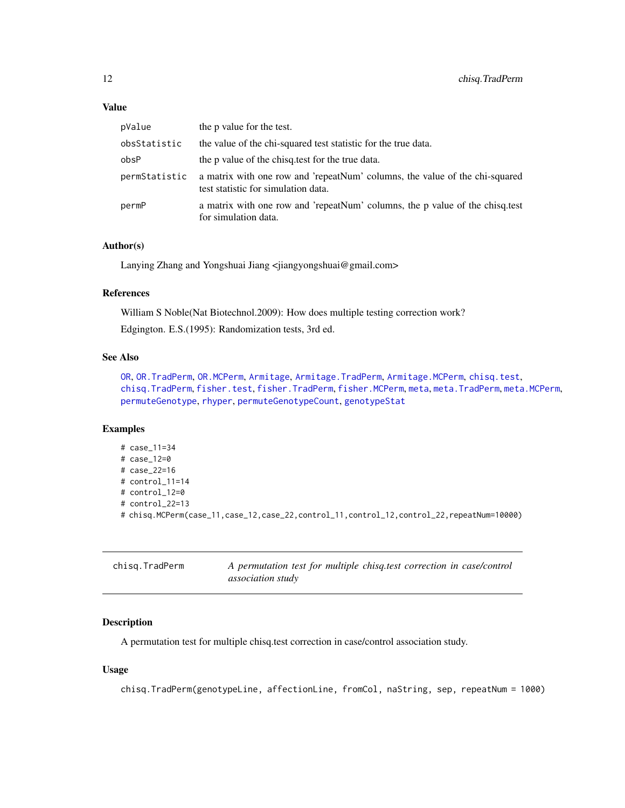#### <span id="page-11-0"></span>Value

| pValue        | the p value for the test.                                                                                          |
|---------------|--------------------------------------------------------------------------------------------------------------------|
| obsStatistic  | the value of the chi-squared test statistic for the true data.                                                     |
| obsP          | the p value of the chisq, test for the true data.                                                                  |
| permStatistic | a matrix with one row and 'repeatNum' columns, the value of the chi-squared<br>test statistic for simulation data. |
| permP         | a matrix with one row and 'repeatNum' columns, the p value of the chisq.test<br>for simulation data.               |

#### Author(s)

Lanying Zhang and Yongshuai Jiang <jiangyongshuai@gmail.com>

# References

William S Noble(Nat Biotechnol.2009): How does multiple testing correction work? Edgington. E.S.(1995): Randomization tests, 3rd ed.

# See Also

```
OR, OR.TradPerm, OR.MCPerm, Armitage, Armitage.TradPerm, Armitage.MCPerm, chisq.test,
chisq.TradPerm, fisher.test, fisher.TradPerm, fisher.MCPerm, meta, meta.TradPerm, meta.MCPerm,
permuteGenotype, rhyper, permuteGenotypeCount, genotypeStat
```
# Examples

```
# case_11=34
# case_12=0
# case_22=16
# control_11=14
# control_12=0
# control_22=13
# chisq.MCPerm(case_11,case_12,case_22,control_11,control_12,control_22,repeatNum=10000)
```
<span id="page-11-1"></span>

| chisg.TradPerm | A permutation test for multiple chisq.test correction in case/control |
|----------------|-----------------------------------------------------------------------|
|                | <i>association study</i>                                              |

# Description

A permutation test for multiple chisq.test correction in case/control association study.

# Usage

chisq.TradPerm(genotypeLine, affectionLine, fromCol, naString, sep, repeatNum = 1000)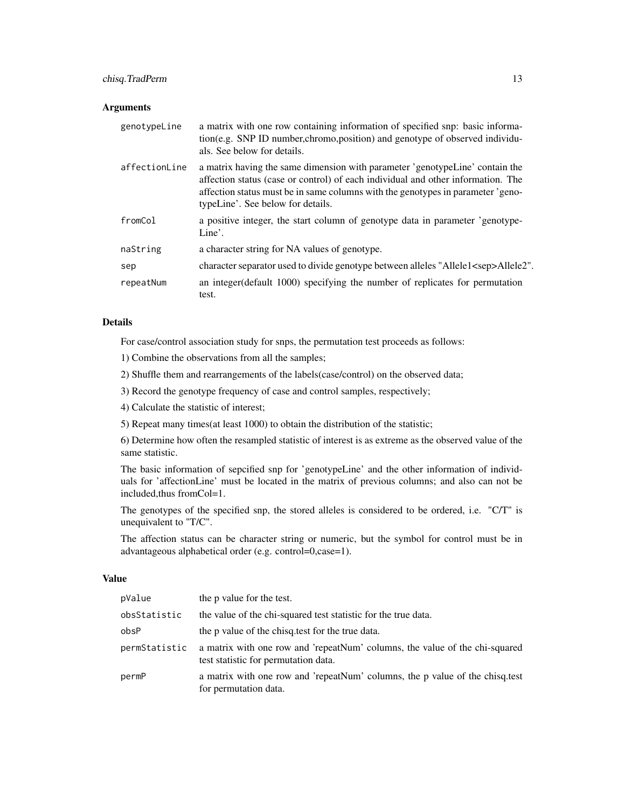# chisq.TradPerm 13

# Arguments

| genotypeLine  | a matrix with one row containing information of specified snp: basic informa-<br>tion(e.g. SNP ID number, chromo, position) and genotype of observed individu-<br>als. See below for details.                                                                                            |
|---------------|------------------------------------------------------------------------------------------------------------------------------------------------------------------------------------------------------------------------------------------------------------------------------------------|
| affectionLine | a matrix having the same dimension with parameter 'genotypeLine' contain the<br>affection status (case or control) of each individual and other information. The<br>affection status must be in same columns with the genotypes in parameter 'geno-<br>typeLine'. See below for details. |
| fromCol       | a positive integer, the start column of genotype data in parameter 'genotype-<br>Line'.                                                                                                                                                                                                  |
| naString      | a character string for NA values of genotype.                                                                                                                                                                                                                                            |
| sep           | character separator used to divide genotype between alleles "Allele1 <sep>Allele2".</sep>                                                                                                                                                                                                |
| repeatNum     | an integer (default 1000) specifying the number of replicates for permutation<br>test.                                                                                                                                                                                                   |

# Details

For case/control association study for snps, the permutation test proceeds as follows:

1) Combine the observations from all the samples;

2) Shuffle them and rearrangements of the labels(case/control) on the observed data;

3) Record the genotype frequency of case and control samples, respectively;

4) Calculate the statistic of interest;

5) Repeat many times(at least 1000) to obtain the distribution of the statistic;

6) Determine how often the resampled statistic of interest is as extreme as the observed value of the same statistic.

The basic information of sepcified snp for 'genotypeLine' and the other information of individuals for 'affectionLine' must be located in the matrix of previous columns; and also can not be included,thus fromCol=1.

The genotypes of the specified snp, the stored alleles is considered to be ordered, i.e. "C/T" is unequivalent to "T/C".

The affection status can be character string or numeric, but the symbol for control must be in advantageous alphabetical order (e.g. control=0,case=1).

#### Value

| pValue        | the p value for the test.                                                                                           |
|---------------|---------------------------------------------------------------------------------------------------------------------|
| obsStatistic  | the value of the chi-squared test statistic for the true data.                                                      |
| obsP          | the p value of the chisq, test for the true data.                                                                   |
| permStatistic | a matrix with one row and 'repeatNum' columns, the value of the chi-squared<br>test statistic for permutation data. |
| permP         | a matrix with one row and 'repeatNum' columns, the p value of the chisq.test<br>for permutation data.               |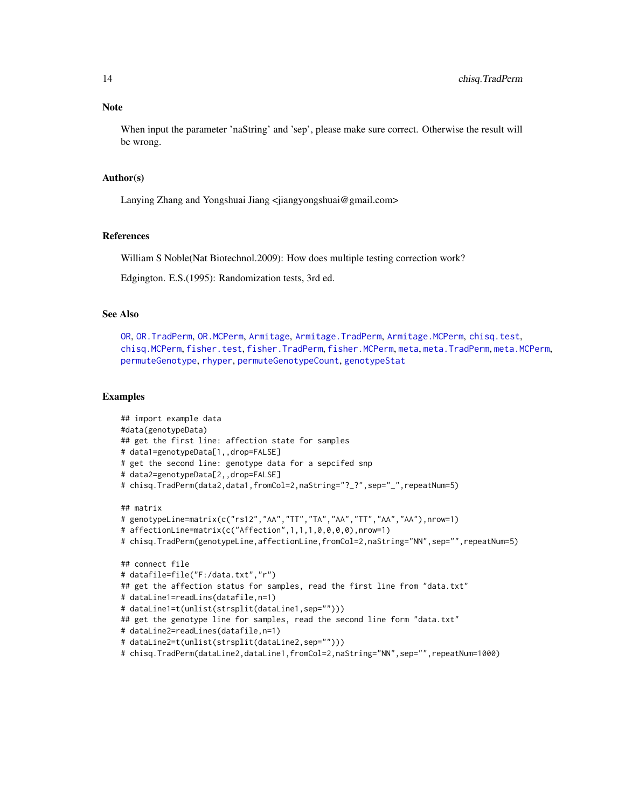When input the parameter 'naString' and 'sep', please make sure correct. Otherwise the result will be wrong.

#### Author(s)

Lanying Zhang and Yongshuai Jiang <jiangyongshuai@gmail.com>

#### References

William S Noble(Nat Biotechnol.2009): How does multiple testing correction work?

Edgington. E.S.(1995): Randomization tests, 3rd ed.

# See Also

[OR](#page-35-1), [OR.TradPerm](#page-38-1), [OR.MCPerm](#page-36-1), [Armitage](#page-4-1), [Armitage.TradPerm](#page-7-1), [Armitage.MCPerm](#page-6-1), [chisq.test](#page-0-0), [chisq.MCPerm](#page-9-1), [fisher.test](#page-0-0), [fisher.TradPerm](#page-16-1), [fisher.MCPerm](#page-14-1), [meta](#page-26-1), [meta.TradPerm](#page-31-1), [meta.MCPerm](#page-28-1), [permuteGenotype](#page-51-1), [rhyper](#page-0-0), [permuteGenotypeCount](#page-52-1), [genotypeStat](#page-19-1)

```
## import example data
#data(genotypeData)
## get the first line: affection state for samples
# data1=genotypeData[1,,drop=FALSE]
# get the second line: genotype data for a sepcifed snp
# data2=genotypeData[2,,drop=FALSE]
# chisq.TradPerm(data2,data1,fromCol=2,naString="?_?",sep="_",repeatNum=5)
## matrix
# genotypeLine=matrix(c("rs12","AA","TT","TA","AA","TT","AA","AA"),nrow=1)
# affectionLine=matrix(c("Affection",1,1,1,0,0,0,0),nrow=1)
# chisq.TradPerm(genotypeLine,affectionLine,fromCol=2,naString="NN",sep="",repeatNum=5)
## connect file
# datafile=file("F:/data.txt","r")
## get the affection status for samples, read the first line from "data.txt"
# dataLine1=readLins(datafile,n=1)
# dataLine1=t(unlist(strsplit(dataLine1,sep="")))
## get the genotype line for samples, read the second line form "data.txt"
# dataLine2=readLines(datafile,n=1)
# dataLine2=t(unlist(strsplit(dataLine2,sep="")))
# chisq.TradPerm(dataLine2,dataLine1,fromCol=2,naString="NN",sep="",repeatNum=1000)
```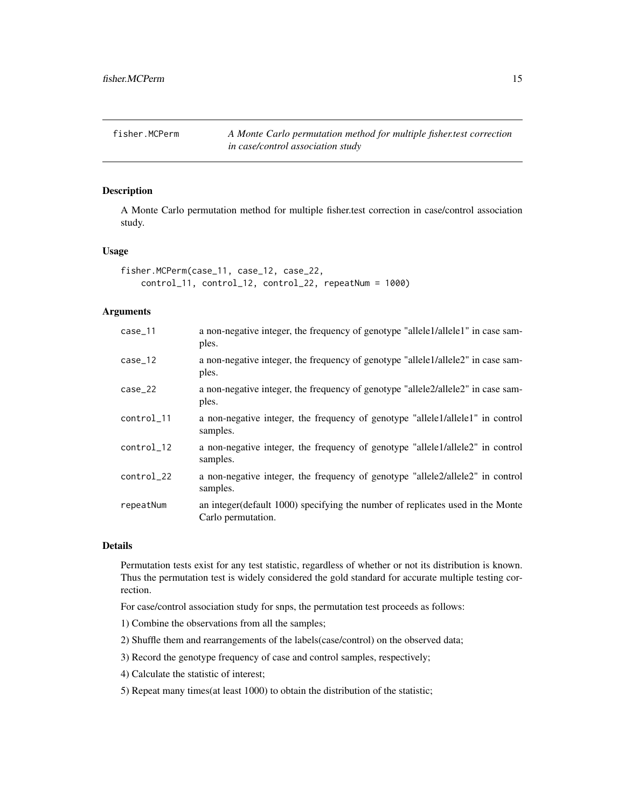<span id="page-14-1"></span><span id="page-14-0"></span>fisher.MCPerm *A Monte Carlo permutation method for multiple fisher.test correction in case/control association study*

# Description

A Monte Carlo permutation method for multiple fisher.test correction in case/control association study.

#### Usage

```
fisher.MCPerm(case_11, case_12, case_22,
   control_11, control_12, control_22, repeatNum = 1000)
```
#### **Arguments**

| $case_11$  | a non-negative integer, the frequency of genotype "allele1/allele1" in case sam-<br>ples.             |
|------------|-------------------------------------------------------------------------------------------------------|
| $case_12$  | a non-negative integer, the frequency of genotype "allele1/allele2" in case sam-<br>ples.             |
| $case_22$  | a non-negative integer, the frequency of genotype "allele2/allele2" in case sam-<br>ples.             |
| control_11 | a non-negative integer, the frequency of genotype "allele1/allele1" in control<br>samples.            |
| control_12 | a non-negative integer, the frequency of genotype "allele1/allele2" in control<br>samples.            |
| control_22 | a non-negative integer, the frequency of genotype "allele2/allele2" in control<br>samples.            |
| repeatNum  | an integer (default 1000) specifying the number of replicates used in the Monte<br>Carlo permutation. |

# Details

Permutation tests exist for any test statistic, regardless of whether or not its distribution is known. Thus the permutation test is widely considered the gold standard for accurate multiple testing correction.

For case/control association study for snps, the permutation test proceeds as follows:

- 1) Combine the observations from all the samples;
- 2) Shuffle them and rearrangements of the labels(case/control) on the observed data;
- 3) Record the genotype frequency of case and control samples, respectively;
- 4) Calculate the statistic of interest;
- 5) Repeat many times(at least 1000) to obtain the distribution of the statistic;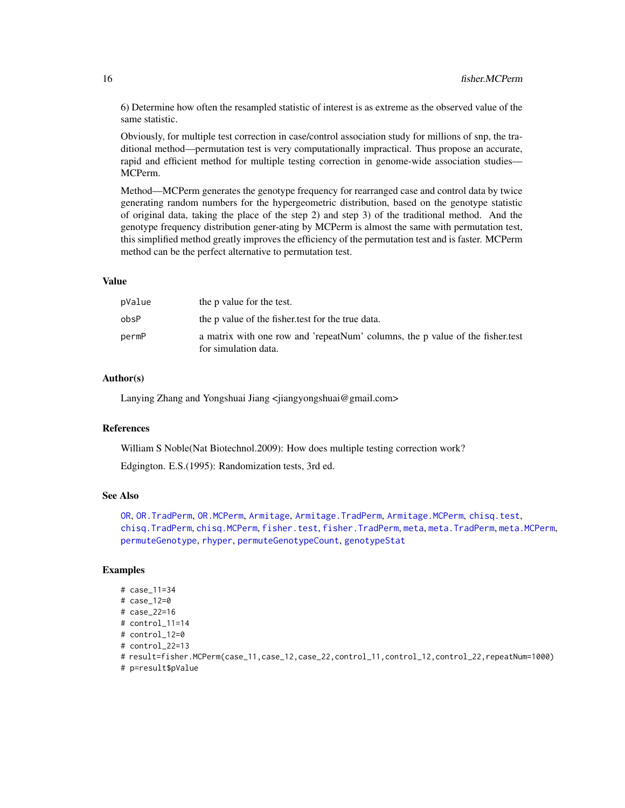6) Determine how often the resampled statistic of interest is as extreme as the observed value of the same statistic.

Obviously, for multiple test correction in case/control association study for millions of snp, the traditional method—permutation test is very computationally impractical. Thus propose an accurate, rapid and efficient method for multiple testing correction in genome-wide association studies— MCPerm.

Method—MCPerm generates the genotype frequency for rearranged case and control data by twice generating random numbers for the hypergeometric distribution, based on the genotype statistic of original data, taking the place of the step 2) and step 3) of the traditional method. And the genotype frequency distribution gener-ating by MCPerm is almost the same with permutation test, this simplified method greatly improves the efficiency of the permutation test and is faster. MCPerm method can be the perfect alternative to permutation test.

# Value

| pValue | the p value for the test.                                                                             |
|--------|-------------------------------------------------------------------------------------------------------|
| obsP   | the p value of the fisher test for the true data.                                                     |
| permP  | a matrix with one row and 'repeatNum' columns, the p value of the fisher test<br>for simulation data. |

#### Author(s)

Lanying Zhang and Yongshuai Jiang <jiangyongshuai@gmail.com>

#### References

William S Noble(Nat Biotechnol.2009): How does multiple testing correction work? Edgington. E.S.(1995): Randomization tests, 3rd ed.

#### See Also

[OR](#page-35-1), [OR.TradPerm](#page-38-1), [OR.MCPerm](#page-36-1), [Armitage](#page-4-1), [Armitage.TradPerm](#page-7-1), [Armitage.MCPerm](#page-6-1), [chisq.test](#page-0-0), [chisq.TradPerm](#page-11-1), [chisq.MCPerm](#page-9-1), [fisher.test](#page-0-0), [fisher.TradPerm](#page-16-1), [meta](#page-26-1), [meta.TradPerm](#page-31-1), [meta.MCPerm](#page-28-1), [permuteGenotype](#page-51-1), [rhyper](#page-0-0), [permuteGenotypeCount](#page-52-1), [genotypeStat](#page-19-1)

```
# case_11=34
# case_12=0
# case_22=16
# control_11=14
# control_12=0
# control_22=13
# result=fisher.MCPerm(case_11,case_12,case_22,control_11,control_12,control_22,repeatNum=1000)
# p=result$pValue
```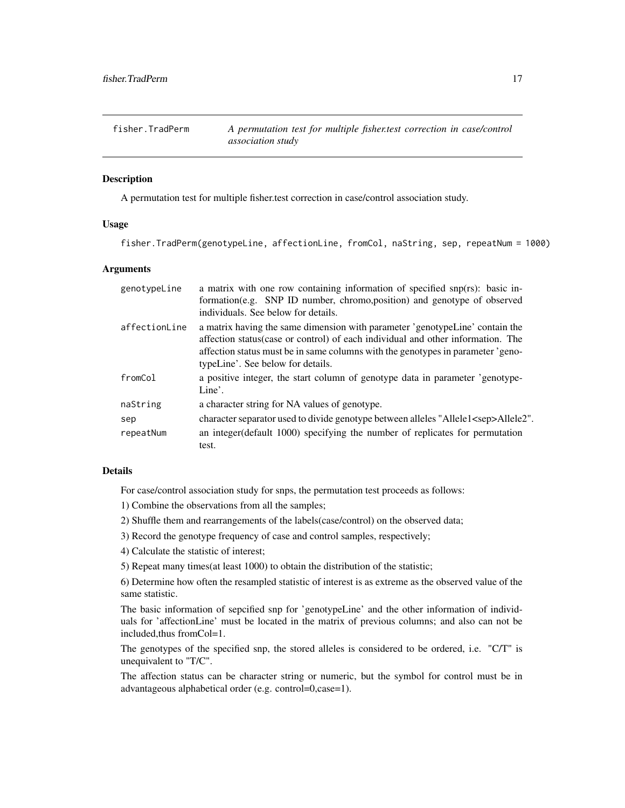<span id="page-16-1"></span><span id="page-16-0"></span>fisher.TradPerm *A permutation test for multiple fisher.test correction in case/control association study*

# **Description**

A permutation test for multiple fisher.test correction in case/control association study.

# Usage

fisher.TradPerm(genotypeLine, affectionLine, fromCol, naString, sep, repeatNum = 1000)

#### Arguments

| genotypeLine  | a matrix with one row containing information of specified snp(rs): basic in-<br>formation (e.g. SNP ID number, chromo, position) and genotype of observed<br>individuals. See below for details.                                                                                        |
|---------------|-----------------------------------------------------------------------------------------------------------------------------------------------------------------------------------------------------------------------------------------------------------------------------------------|
| affectionLine | a matrix having the same dimension with parameter 'genotypeLine' contain the<br>affection status(case or control) of each individual and other information. The<br>affection status must be in same columns with the genotypes in parameter 'geno-<br>typeLine'. See below for details. |
| fromCol       | a positive integer, the start column of genotype data in parameter 'genotype-<br>Line'.                                                                                                                                                                                                 |
| naString      | a character string for NA values of genotype.                                                                                                                                                                                                                                           |
| sep           | character separator used to divide genotype between alleles "Allele1 <sep>Allele2".</sep>                                                                                                                                                                                               |
| repeatNum     | an integer (default 1000) specifying the number of replicates for permutation                                                                                                                                                                                                           |
|               | test.                                                                                                                                                                                                                                                                                   |

# Details

For case/control association study for snps, the permutation test proceeds as follows:

1) Combine the observations from all the samples;

- 2) Shuffle them and rearrangements of the labels(case/control) on the observed data;
- 3) Record the genotype frequency of case and control samples, respectively;
- 4) Calculate the statistic of interest;

5) Repeat many times(at least 1000) to obtain the distribution of the statistic;

6) Determine how often the resampled statistic of interest is as extreme as the observed value of the same statistic.

The basic information of sepcified snp for 'genotypeLine' and the other information of individuals for 'affectionLine' must be located in the matrix of previous columns; and also can not be included,thus fromCol=1.

The genotypes of the specified snp, the stored alleles is considered to be ordered, i.e. "C/T" is unequivalent to "T/C".

The affection status can be character string or numeric, but the symbol for control must be in advantageous alphabetical order (e.g. control=0,case=1).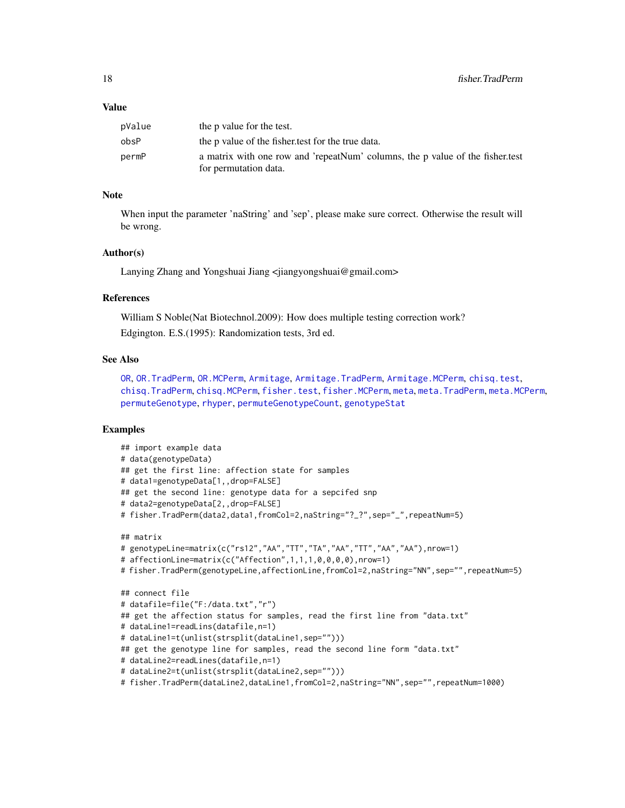#### Value

| pValue | the p value for the test.                                                                              |
|--------|--------------------------------------------------------------------------------------------------------|
| obsP   | the p value of the fisher test for the true data.                                                      |
| permP  | a matrix with one row and 'repeatNum' columns, the p value of the fisher.test<br>for permutation data. |

#### Note

When input the parameter 'naString' and 'sep', please make sure correct. Otherwise the result will be wrong.

#### Author(s)

Lanying Zhang and Yongshuai Jiang <jiangyongshuai@gmail.com>

#### References

William S Noble(Nat Biotechnol.2009): How does multiple testing correction work? Edgington. E.S.(1995): Randomization tests, 3rd ed.

# See Also

[OR](#page-35-1), [OR.TradPerm](#page-38-1), [OR.MCPerm](#page-36-1), [Armitage](#page-4-1), [Armitage.TradPerm](#page-7-1), [Armitage.MCPerm](#page-6-1), [chisq.test](#page-0-0), [chisq.TradPerm](#page-11-1), [chisq.MCPerm](#page-9-1), [fisher.test](#page-0-0), [fisher.MCPerm](#page-14-1), [meta](#page-26-1), [meta.TradPerm](#page-31-1), [meta.MCPerm](#page-28-1), [permuteGenotype](#page-51-1), [rhyper](#page-0-0), [permuteGenotypeCount](#page-52-1), [genotypeStat](#page-19-1)

```
## import example data
# data(genotypeData)
## get the first line: affection state for samples
# data1=genotypeData[1,,drop=FALSE]
## get the second line: genotype data for a sepcifed snp
# data2=genotypeData[2,,drop=FALSE]
# fisher.TradPerm(data2,data1,fromCol=2,naString="?_?",sep="_",repeatNum=5)
## matrix
# genotypeLine=matrix(c("rs12","AA","TT","TA","AA","TT","AA","AA"),nrow=1)
# affectionLine=matrix(c("Affection",1,1,1,0,0,0,0),nrow=1)
# fisher.TradPerm(genotypeLine,affectionLine,fromCol=2,naString="NN",sep="",repeatNum=5)
## connect file
# datafile=file("F:/data.txt","r")
## get the affection status for samples, read the first line from "data.txt"
# dataLine1=readLins(datafile,n=1)
# dataLine1=t(unlist(strsplit(dataLine1,sep="")))
## get the genotype line for samples, read the second line form "data.txt"
# dataLine2=readLines(datafile,n=1)
# dataLine2=t(unlist(strsplit(dataLine2,sep="")))
# fisher.TradPerm(dataLine2,dataLine1,fromCol=2,naString="NN",sep="",repeatNum=1000)
```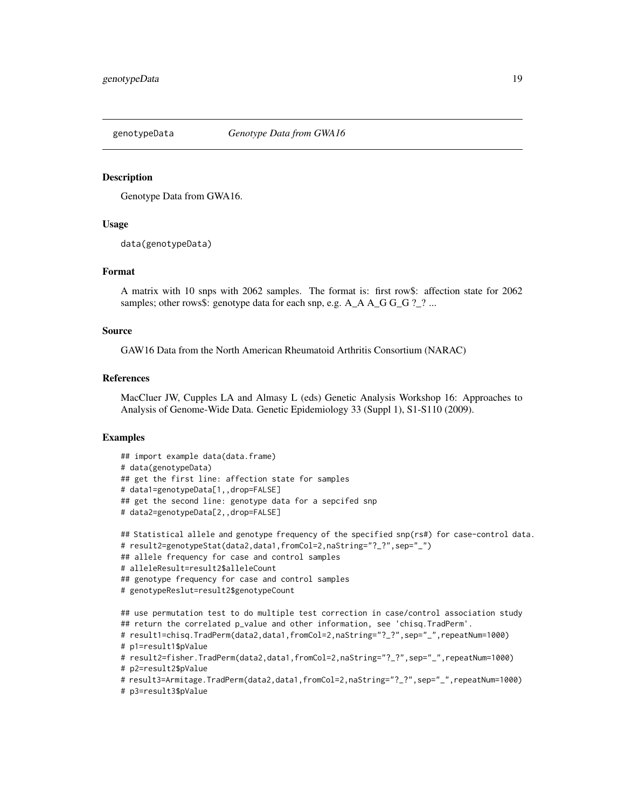<span id="page-18-0"></span>

#### Description

Genotype Data from GWA16.

#### Usage

data(genotypeData)

#### Format

A matrix with 10 snps with 2062 samples. The format is: first row\$: affection state for 2062 samples; other rows\$: genotype data for each snp, e.g.  $A_A A_G G_G ? ? ...$ 

#### Source

GAW16 Data from the North American Rheumatoid Arthritis Consortium (NARAC)

# References

MacCluer JW, Cupples LA and Almasy L (eds) Genetic Analysis Workshop 16: Approaches to Analysis of Genome-Wide Data. Genetic Epidemiology 33 (Suppl 1), S1-S110 (2009).

```
## import example data(data.frame)
# data(genotypeData)
## get the first line: affection state for samples
# data1=genotypeData[1,,drop=FALSE]
## get the second line: genotype data for a sepcifed snp
# data2=genotypeData[2,,drop=FALSE]
## Statistical allele and genotype frequency of the specified snp(rs#) for case-control data.
# result2=genotypeStat(data2,data1,fromCol=2,naString="?_?",sep="_")
## allele frequency for case and control samples
# alleleResult=result2$alleleCount
## genotype frequency for case and control samples
# genotypeReslut=result2$genotypeCount
## use permutation test to do multiple test correction in case/control association study
## return the correlated p_value and other information, see 'chisq.TradPerm'.
# result1=chisq.TradPerm(data2,data1,fromCol=2,naString="?_?",sep="_",repeatNum=1000)
# p1=result1$pValue
# result2=fisher.TradPerm(data2,data1,fromCol=2,naString="?_?",sep="_",repeatNum=1000)
# p2=result2$pValue
# result3=Armitage.TradPerm(data2,data1,fromCol=2,naString="?_?",sep="_",repeatNum=1000)
# p3=result3$pValue
```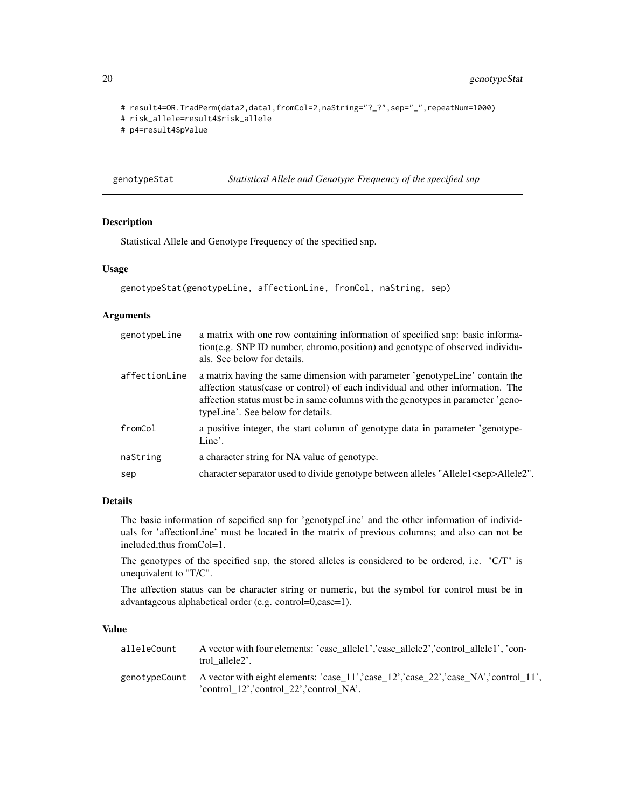```
# result4=OR.TradPerm(data2,data1,fromCol=2,naString="?_?",sep="_",repeatNum=1000)
# risk_allele=result4$risk_allele
# p4=result4$pValue
```
<span id="page-19-1"></span>genotypeStat *Statistical Allele and Genotype Frequency of the specified snp*

# Description

Statistical Allele and Genotype Frequency of the specified snp.

# Usage

```
genotypeStat(genotypeLine, affectionLine, fromCol, naString, sep)
```
# Arguments

| genotypeLine  | a matrix with one row containing information of specified snp: basic informa-<br>tion(e.g. SNP ID number, chromo, position) and genotype of observed individu-<br>als. See below for details.                                                                                           |
|---------------|-----------------------------------------------------------------------------------------------------------------------------------------------------------------------------------------------------------------------------------------------------------------------------------------|
| affectionLine | a matrix having the same dimension with parameter 'genotypeLine' contain the<br>affection status(case or control) of each individual and other information. The<br>affection status must be in same columns with the genotypes in parameter 'geno-<br>typeLine'. See below for details. |
| fromCol       | a positive integer, the start column of genotype data in parameter 'genotype-<br>Line'.                                                                                                                                                                                                 |
| naString      | a character string for NA value of genotype.                                                                                                                                                                                                                                            |
| sep           | character separator used to divide genotype between alleles "Allele1 <sep>Allele2".</sep>                                                                                                                                                                                               |
|               |                                                                                                                                                                                                                                                                                         |

#### Details

The basic information of sepcified snp for 'genotypeLine' and the other information of individuals for 'affectionLine' must be located in the matrix of previous columns; and also can not be included,thus fromCol=1.

The genotypes of the specified snp, the stored alleles is considered to be ordered, i.e. "C/T" is unequivalent to "T/C".

The affection status can be character string or numeric, but the symbol for control must be in advantageous alphabetical order (e.g. control=0,case=1).

# Value

| alleleCount | A vector with four elements: 'case allele1','case allele2','control allele1', 'con-<br>trol allele2'.                                        |
|-------------|----------------------------------------------------------------------------------------------------------------------------------------------|
|             | genotypeCount A vector with eight elements: 'case 11','case 12','case 22','case NA','control 11',<br>'control_12','control_22','control_NA'. |

<span id="page-19-0"></span>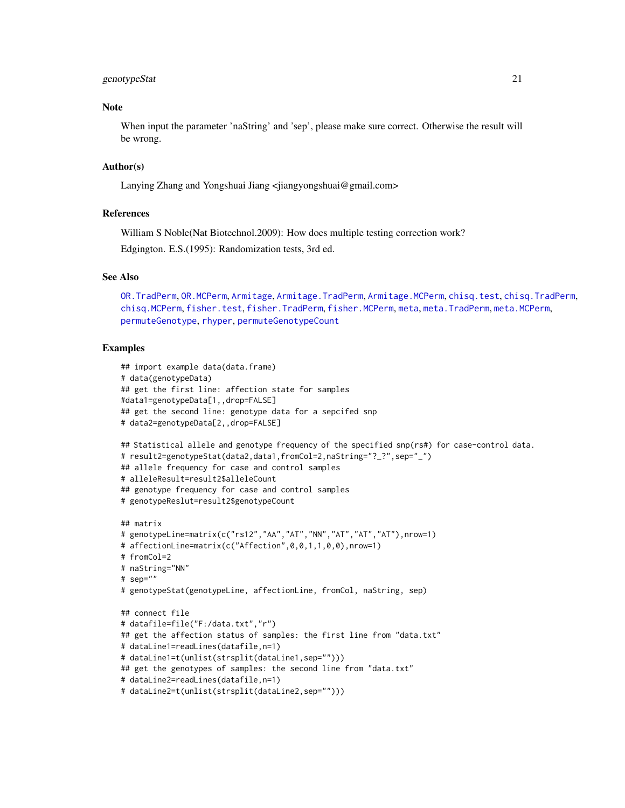#### genotypeStat 21

# Note

When input the parameter 'naString' and 'sep', please make sure correct. Otherwise the result will be wrong.

# Author(s)

Lanying Zhang and Yongshuai Jiang <jiangyongshuai@gmail.com>

#### References

William S Noble(Nat Biotechnol.2009): How does multiple testing correction work?

Edgington. E.S.(1995): Randomization tests, 3rd ed.

#### See Also

[OR.TradPerm](#page-38-1), [OR.MCPerm](#page-36-1), [Armitage](#page-4-1), [Armitage.TradPerm](#page-7-1), [Armitage.MCPerm](#page-6-1), [chisq.test](#page-0-0), [chisq.TradPerm](#page-11-1), [chisq.MCPerm](#page-9-1), [fisher.test](#page-0-0), [fisher.TradPerm](#page-16-1), [fisher.MCPerm](#page-14-1), [meta](#page-26-1), [meta.TradPerm](#page-31-1), [meta.MCPerm](#page-28-1), [permuteGenotype](#page-51-1), [rhyper](#page-0-0), [permuteGenotypeCount](#page-52-1)

```
## import example data(data.frame)
# data(genotypeData)
## get the first line: affection state for samples
#data1=genotypeData[1,,drop=FALSE]
## get the second line: genotype data for a sepcifed snp
# data2=genotypeData[2,,drop=FALSE]
## Statistical allele and genotype frequency of the specified snp(rs#) for case-control data.
# result2=genotypeStat(data2,data1,fromCol=2,naString="?_?",sep="_")
## allele frequency for case and control samples
# alleleResult=result2$alleleCount
## genotype frequency for case and control samples
# genotypeReslut=result2$genotypeCount
## matrix
# genotypeLine=matrix(c("rs12","AA","AT","NN","AT","AT","AT"),nrow=1)
# affectionLine=matrix(c("Affection",0,0,1,1,0,0),nrow=1)
# fromCol=2
# naString="NN"
# sep=""
# genotypeStat(genotypeLine, affectionLine, fromCol, naString, sep)
## connect file
# datafile=file("F:/data.txt","r")
## get the affection status of samples: the first line from "data.txt"
# dataLine1=readLines(datafile,n=1)
# dataLine1=t(unlist(strsplit(dataLine1,sep="")))
## get the genotypes of samples: the second line from "data.txt"
# dataLine2=readLines(datafile,n=1)
# dataLine2=t(unlist(strsplit(dataLine2,sep="")))
```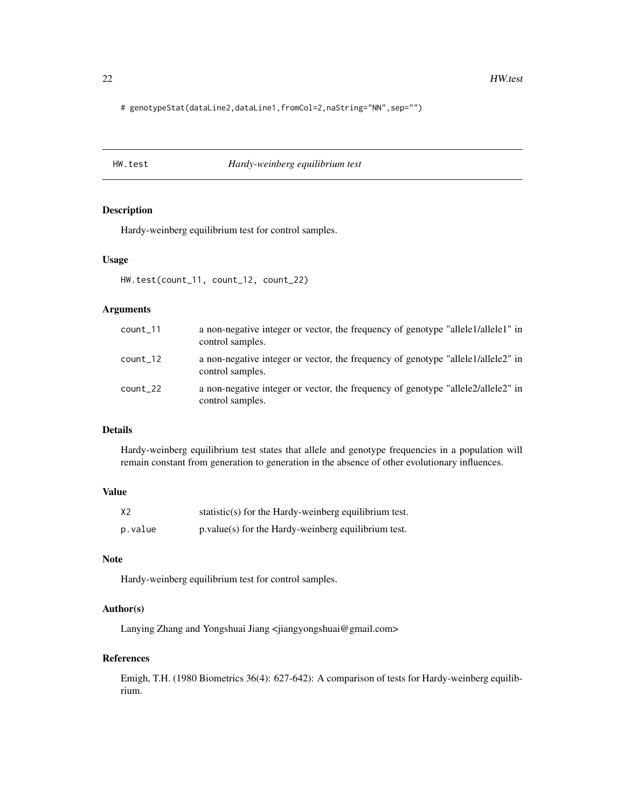<span id="page-21-0"></span># genotypeStat(dataLine2,dataLine1,fromCol=2,naString="NN",sep="")

#### HW.test *Hardy-weinberg equilibrium test*

### Description

Hardy-weinberg equilibrium test for control samples.

### Usage

HW.test(count\_11, count\_12, count\_22)

# Arguments

| $count_11$ | a non-negative integer or vector, the frequency of genotype "allele1/allele1" in<br>control samples. |
|------------|------------------------------------------------------------------------------------------------------|
| $count_12$ | a non-negative integer or vector, the frequency of genotype "allele1/allele2" in<br>control samples. |
| $count_22$ | a non-negative integer or vector, the frequency of genotype "alleelale2" in<br>control samples.      |

# Details

Hardy-weinberg equilibrium test states that allele and genotype frequencies in a population will remain constant from generation to generation in the absence of other evolutionary influences.

#### Value

| X <sub>2</sub> | statistic(s) for the Hardy-weinberg equilibrium test. |
|----------------|-------------------------------------------------------|
| p.value        | $p.value(s)$ for the Hardy-weinberg equilibrium test. |

# Note

Hardy-weinberg equilibrium test for control samples.

# Author(s)

Lanying Zhang and Yongshuai Jiang <jiangyongshuai@gmail.com>

### References

Emigh, T.H. (1980 Biometrics 36(4): 627-642): A comparison of tests for Hardy-weinberg equilibrium.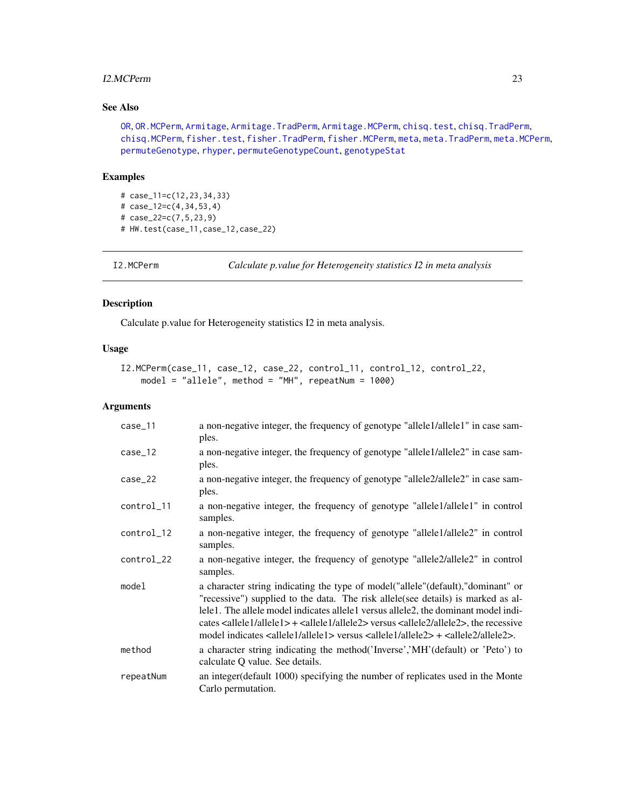#### <span id="page-22-0"></span>I2.MCPerm 23

# See Also

[OR](#page-35-1), [OR.MCPerm](#page-36-1), [Armitage](#page-4-1), [Armitage.TradPerm](#page-7-1), [Armitage.MCPerm](#page-6-1), [chisq.test](#page-0-0), [chisq.TradPerm](#page-11-1), [chisq.MCPerm](#page-9-1), [fisher.test](#page-0-0), [fisher.TradPerm](#page-16-1), [fisher.MCPerm](#page-14-1), [meta](#page-26-1), [meta.TradPerm](#page-31-1), [meta.MCPerm](#page-28-1), [permuteGenotype](#page-51-1), [rhyper](#page-0-0), [permuteGenotypeCount](#page-52-1), [genotypeStat](#page-19-1)

#### Examples

```
# case_11=c(12,23,34,33)
# case_12=c(4,34,53,4)
# case_22=c(7,5,23,9)
# HW.test(case_11,case_12,case_22)
```

```
I2.MCPerm Calculate p.value for Heterogeneity statistics I2 in meta analysis
```
# Description

Calculate p.value for Heterogeneity statistics I2 in meta analysis.

# Usage

```
I2.MCPerm(case_11, case_12, case_22, control_11, control_12, control_22,
   model = "allele", method = "MH", repeatNum = 1000)
```
# Arguments

| $case_11$  | a non-negative integer, the frequency of genotype "allele1/allele1" in case sam-<br>ples.                                                                                                                                                                                                                                                                                                                                                                                                                            |
|------------|----------------------------------------------------------------------------------------------------------------------------------------------------------------------------------------------------------------------------------------------------------------------------------------------------------------------------------------------------------------------------------------------------------------------------------------------------------------------------------------------------------------------|
| $case_12$  | a non-negative integer, the frequency of genotype "allele1/allele2" in case sam-<br>ples.                                                                                                                                                                                                                                                                                                                                                                                                                            |
| $case_22$  | a non-negative integer, the frequency of genotype "allele2/allele2" in case sam-<br>ples.                                                                                                                                                                                                                                                                                                                                                                                                                            |
| control_11 | a non-negative integer, the frequency of genotype "allele1/allele1" in control<br>samples.                                                                                                                                                                                                                                                                                                                                                                                                                           |
| control_12 | a non-negative integer, the frequency of genotype "allele1/allele2" in control<br>samples.                                                                                                                                                                                                                                                                                                                                                                                                                           |
| control_22 | a non-negative integer, the frequency of genotype "allele2/allele2" in control<br>samples.                                                                                                                                                                                                                                                                                                                                                                                                                           |
| model      | a character string indicating the type of model ("allele" (default), "dominant" or<br>"recessive") supplied to the data. The risk allele (see details) is marked as al-<br>lele1. The allele model indicates allele1 versus allele2, the dominant model indi-<br>cates $\leq$ allele $1$ /allele $1$ + $\leq$ allele $1$ /allele $2$ versus $\leq$ allele $2$ /allele $2$ >, the recessive<br>model indicates <allele1 allele1=""> versus <allele1 allele2=""> + <allele2 allele2="">.</allele2></allele1></allele1> |
| method     | a character string indicating the method ('Inverse','MH' (default) or 'Peto') to<br>calculate Q value. See details.                                                                                                                                                                                                                                                                                                                                                                                                  |
| repeatNum  | an integer (default 1000) specifying the number of replicates used in the Monte<br>Carlo permutation.                                                                                                                                                                                                                                                                                                                                                                                                                |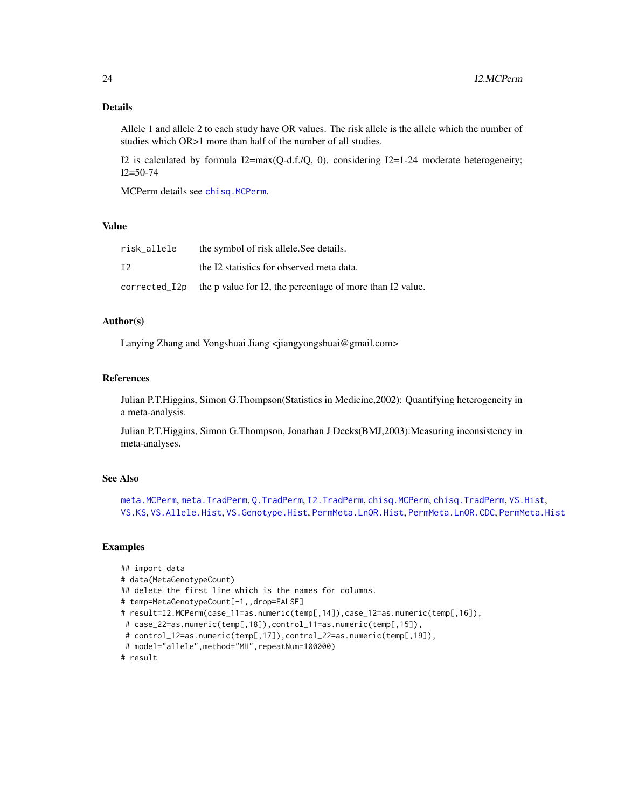# Details

Allele 1 and allele 2 to each study have OR values. The risk allele is the allele which the number of studies which OR>1 more than half of the number of all studies.

I2 is calculated by formula I2=max( $Q$ -d.f./ $Q$ , 0), considering I2=1-24 moderate heterogeneity; I2=50-74

MCPerm details see [chisq.MCPerm](#page-9-1).

# Value

| risk_allele   | the symbol of risk allele. See details.                   |
|---------------|-----------------------------------------------------------|
| T2            | the I2 statistics for observed meta data.                 |
| corrected_I2p | the p value for I2, the percentage of more than I2 value. |

# Author(s)

Lanying Zhang and Yongshuai Jiang <jiangyongshuai@gmail.com>

#### References

Julian P.T.Higgins, Simon G.Thompson(Statistics in Medicine,2002): Quantifying heterogeneity in a meta-analysis.

Julian P.T.Higgins, Simon G.Thompson, Jonathan J Deeks(BMJ,2003):Measuring inconsistency in meta-analyses.

#### See Also

[meta.MCPerm](#page-28-1), [meta.TradPerm](#page-31-1), [Q.TradPerm](#page-56-1), [I2.TradPerm](#page-24-1), [chisq.MCPerm](#page-9-1), [chisq.TradPerm](#page-11-1), [VS.Hist](#page-74-1), [VS.KS](#page-76-1), [VS.Allele.Hist](#page-60-1), [VS.Genotype.Hist](#page-69-1), [PermMeta.LnOR.Hist](#page-48-1), [PermMeta.LnOR.CDC](#page-47-1), [PermMeta.Hist](#page-43-1)

```
## import data
# data(MetaGenotypeCount)
## delete the first line which is the names for columns.
# temp=MetaGenotypeCount[-1,,drop=FALSE]
# result=I2.MCPerm(case_11=as.numeric(temp[,14]),case_12=as.numeric(temp[,16]),
 # case_22=as.numeric(temp[,18]),control_11=as.numeric(temp[,15]),
 # control_12=as.numeric(temp[,17]),control_22=as.numeric(temp[,19]),
 # model="allele",method="MH",repeatNum=100000)
# result
```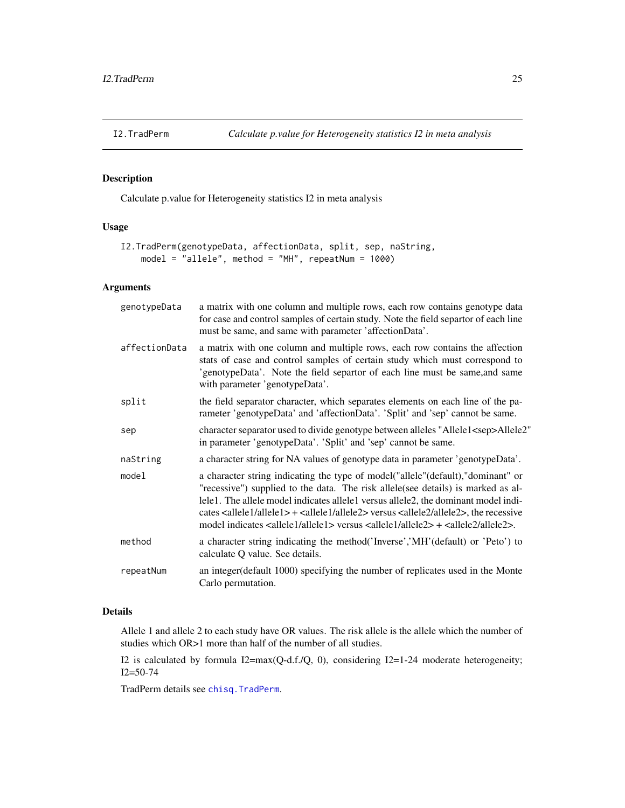<span id="page-24-1"></span><span id="page-24-0"></span>

# Description

Calculate p.value for Heterogeneity statistics I2 in meta analysis

# Usage

```
I2.TradPerm(genotypeData, affectionData, split, sep, naString,
   model = "allele", method = "MH", repeatNum = 1000)
```
# Arguments

| genotypeData  | a matrix with one column and multiple rows, each row contains genotype data<br>for case and control samples of certain study. Note the field separtor of each line<br>must be same, and same with parameter 'affectionData'.                                                                                                                                                                                                                                                                                        |
|---------------|---------------------------------------------------------------------------------------------------------------------------------------------------------------------------------------------------------------------------------------------------------------------------------------------------------------------------------------------------------------------------------------------------------------------------------------------------------------------------------------------------------------------|
| affectionData | a matrix with one column and multiple rows, each row contains the affection<br>stats of case and control samples of certain study which must correspond to<br>'genotypeData'. Note the field separtor of each line must be same, and same<br>with parameter 'genotypeData'.                                                                                                                                                                                                                                         |
| split         | the field separator character, which separates elements on each line of the pa-<br>rameter 'genotypeData' and 'affectionData'. 'Split' and 'sep' cannot be same.                                                                                                                                                                                                                                                                                                                                                    |
| sep           | character separator used to divide genotype between alleles "Allele1 <sep>Allele2"<br/>in parameter 'genotypeData'. 'Split' and 'sep' cannot be same.</sep>                                                                                                                                                                                                                                                                                                                                                         |
| naString      | a character string for NA values of genotype data in parameter 'genotypeData'.                                                                                                                                                                                                                                                                                                                                                                                                                                      |
| model         | a character string indicating the type of model ("allele" (default), "dominant" or<br>"recessive") supplied to the data. The risk allele(see details) is marked as al-<br>lele1. The allele model indicates allele1 versus allele2, the dominant model indi-<br>cates <allele1 allele1="">+<allele1 allele2=""> versus <allele2 allele2="">, the recessive<br/>model indicates <allele1 allele1=""> versus <allele1 allele2=""> + <allele2 allele2="">.</allele2></allele1></allele1></allele2></allele1></allele1> |
| method        | a character string indicating the method ('Inverse','MH' (default) or 'Peto') to<br>calculate Q value. See details.                                                                                                                                                                                                                                                                                                                                                                                                 |
| repeatNum     | an integer (default 1000) specifying the number of replicates used in the Monte<br>Carlo permutation.                                                                                                                                                                                                                                                                                                                                                                                                               |
|               |                                                                                                                                                                                                                                                                                                                                                                                                                                                                                                                     |

# Details

Allele 1 and allele 2 to each study have OR values. The risk allele is the allele which the number of studies which OR>1 more than half of the number of all studies.

I2 is calculated by formula I2=max(Q-d.f./Q, 0), considering I2=1-24 moderate heterogeneity; I2=50-74

TradPerm details see [chisq.TradPerm](#page-11-1).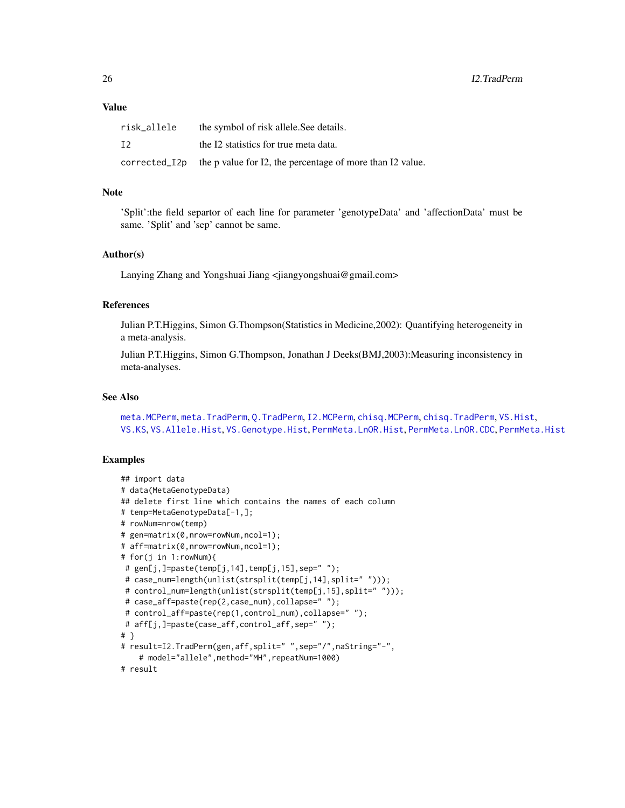# Value

| risk_allele   | the symbol of risk allele. See details.                   |
|---------------|-----------------------------------------------------------|
| I2            | the I2 statistics for true meta data.                     |
| corrected_I2p | the p value for I2, the percentage of more than I2 value. |

# Note

'Split':the field separtor of each line for parameter 'genotypeData' and 'affectionData' must be same. 'Split' and 'sep' cannot be same.

#### Author(s)

Lanying Zhang and Yongshuai Jiang <jiangyongshuai@gmail.com>

# References

Julian P.T.Higgins, Simon G.Thompson(Statistics in Medicine,2002): Quantifying heterogeneity in a meta-analysis.

Julian P.T.Higgins, Simon G.Thompson, Jonathan J Deeks(BMJ, 2003): Measuring inconsistency in meta-analyses.

# See Also

```
meta.MCPerm, meta.TradPerm, Q.TradPerm, I2.MCPerm, chisq.MCPerm, chisq.TradPerm, VS.Hist,
VS.KS, VS.Allele.Hist, VS.Genotype.Hist, PermMeta.LnOR.Hist, PermMeta.LnOR.CDC, PermMeta.Hist
```

```
## import data
# data(MetaGenotypeData)
## delete first line which contains the names of each column
# temp=MetaGenotypeData[-1,];
# rowNum=nrow(temp)
# gen=matrix(0,nrow=rowNum,ncol=1);
# aff=matrix(0,nrow=rowNum,ncol=1);
# for(j in 1:rowNum){
 # gen[j,]=paste(temp[j,14],temp[j,15],sep=' ";
 # case_num=length(unlist(strsplit(temp[j,14],split=" ")));
 # control_num=length(unlist(strsplit(temp[j,15],split=" ")));
 # case_aff=paste(rep(2,case_num),collapse=" ");
 # control_aff=paste(rep(1,control_num),collapse=" ");
 # aff[j,]=paste(case_aff,control_aff,sep=" ");
# }
# result=I2.TradPerm(gen,aff,split=" ",sep="/",naString="-",
    # model="allele",method="MH",repeatNum=1000)
# result
```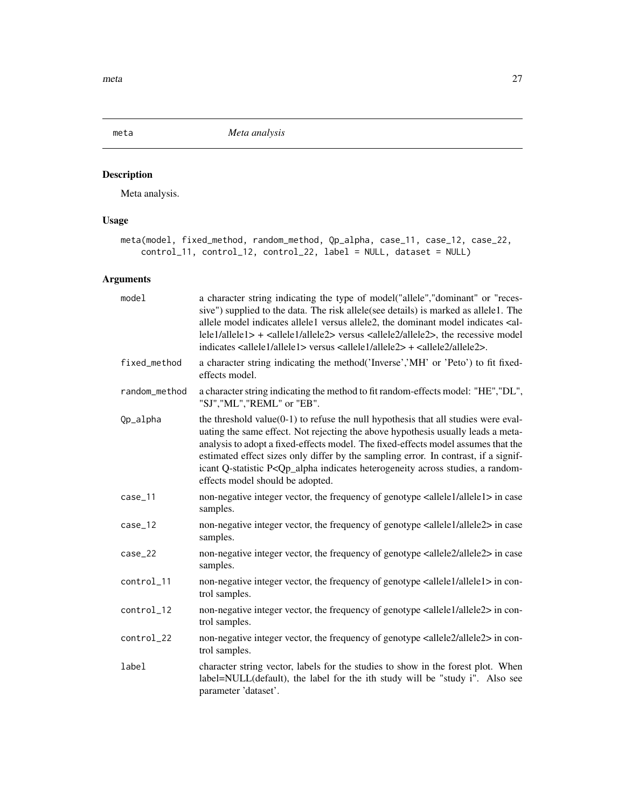<span id="page-26-1"></span><span id="page-26-0"></span>

# Description

Meta analysis.

# Usage

```
meta(model, fixed_method, random_method, Qp_alpha, case_11, case_12, case_22,
   control_11, control_12, control_22, label = NULL, dataset = NULL)
```
# Arguments

| model         | a character string indicating the type of model("allele","dominant" or "reces-<br>sive") supplied to the data. The risk allele (see details) is marked as allele1. The<br>allele model indicates allele1 versus allele2, the dominant model indicates <al-<br>lele1/allele1&gt; + <allele1 allele2=""> versus <allele2 allele2="">, the recessive model<br/>indicates <allele1 allele1=""> versus <allele1 allele2=""> + <allele2 allele2="">.</allele2></allele1></allele1></allele2></allele1></al-<br>  |
|---------------|------------------------------------------------------------------------------------------------------------------------------------------------------------------------------------------------------------------------------------------------------------------------------------------------------------------------------------------------------------------------------------------------------------------------------------------------------------------------------------------------------------|
| fixed_method  | a character string indicating the method('Inverse','MH' or 'Peto') to fit fixed-<br>effects model.                                                                                                                                                                                                                                                                                                                                                                                                         |
| random_method | a character string indicating the method to fit random-effects model: "HE", "DL",<br>"SJ","ML","REML" or "EB".                                                                                                                                                                                                                                                                                                                                                                                             |
| Qp_alpha      | the threshold value( $0-1$ ) to refuse the null hypothesis that all studies were eval-<br>uating the same effect. Not rejecting the above hypothesis usually leads a meta-<br>analysis to adopt a fixed-effects model. The fixed-effects model assumes that the<br>estimated effect sizes only differ by the sampling error. In contrast, if a signif-<br>icant Q-statistic P <qp_alpha a="" across="" heterogeneity="" indicates="" random-<br="" studies,="">effects model should be adopted.</qp_alpha> |
| case_11       | non-negative integer vector, the frequency of genotype <allele1 allele1=""> in case<br/>samples.</allele1>                                                                                                                                                                                                                                                                                                                                                                                                 |
| case_12       | non-negative integer vector, the frequency of genotype <allele1 allele2=""> in case<br/>samples.</allele1>                                                                                                                                                                                                                                                                                                                                                                                                 |
| case_22       | non-negative integer vector, the frequency of genotype <allele2 allele2=""> in case<br/>samples.</allele2>                                                                                                                                                                                                                                                                                                                                                                                                 |
| control_11    | non-negative integer vector, the frequency of genotype <allele1 allele1=""> in con-<br/>trol samples.</allele1>                                                                                                                                                                                                                                                                                                                                                                                            |
| control_12    | non-negative integer vector, the frequency of genotype <allele1 allele2=""> in con-<br/>trol samples.</allele1>                                                                                                                                                                                                                                                                                                                                                                                            |
| control_22    | non-negative integer vector, the frequency of genotype <allele2 allele2=""> in con-<br/>trol samples.</allele2>                                                                                                                                                                                                                                                                                                                                                                                            |
| label         | character string vector, labels for the studies to show in the forest plot. When<br>label=NULL(default), the label for the ith study will be "study i". Also see<br>parameter 'dataset'.                                                                                                                                                                                                                                                                                                                   |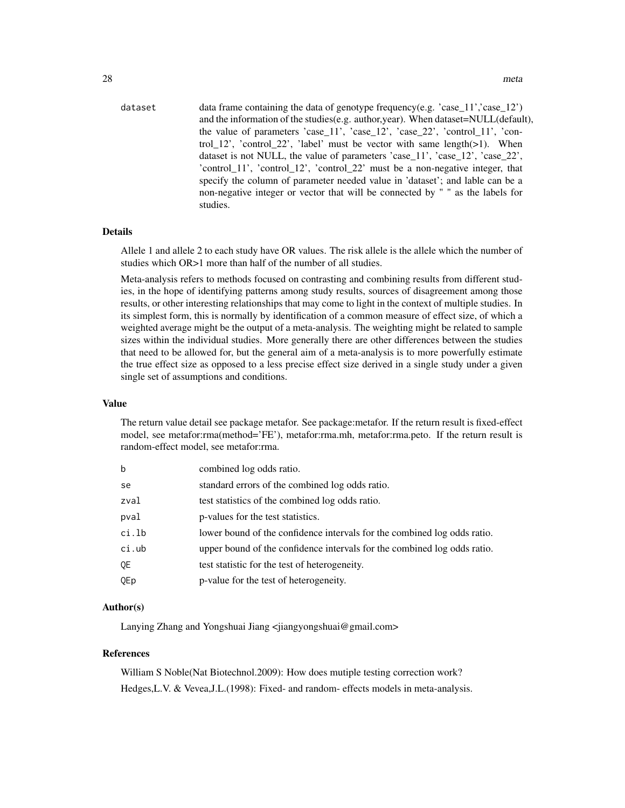dataset data frame containing the data of genotype frequency(e.g.  $\text{'case}\_11\text{'},\text{'case}\_12\text{'})$ and the information of the studies(e.g. author,year). When dataset=NULL(default), the value of parameters 'case\_11', 'case\_12', 'case\_22', 'control\_11', 'control\_12', 'control\_22', 'label' must be vector with same length(>1). When dataset is not NULL, the value of parameters 'case\_11', 'case\_12', 'case\_22', 'control\_11', 'control\_12', 'control\_22' must be a non-negative integer, that specify the column of parameter needed value in 'dataset'; and lable can be a non-negative integer or vector that will be connected by " " as the labels for studies.

#### Details

Allele 1 and allele 2 to each study have OR values. The risk allele is the allele which the number of studies which OR>1 more than half of the number of all studies.

Meta-analysis refers to methods focused on contrasting and combining results from different studies, in the hope of identifying patterns among study results, sources of disagreement among those results, or other interesting relationships that may come to light in the context of multiple studies. In its simplest form, this is normally by identification of a common measure of effect size, of which a weighted average might be the output of a meta-analysis. The weighting might be related to sample sizes within the individual studies. More generally there are other differences between the studies that need to be allowed for, but the general aim of a meta-analysis is to more powerfully estimate the true effect size as opposed to a less precise effect size derived in a single study under a given single set of assumptions and conditions.

#### Value

The return value detail see package metafor. See package:metafor. If the return result is fixed-effect model, see metafor:rma(method='FE'), metafor:rma.mh, metafor:rma.peto. If the return result is random-effect model, see metafor:rma.

| b     | combined log odds ratio.                                                 |
|-------|--------------------------------------------------------------------------|
| se    | standard errors of the combined log odds ratio.                          |
| zval  | test statistics of the combined log odds ratio.                          |
| pval  | p-values for the test statistics.                                        |
| ci.lb | lower bound of the confidence intervals for the combined log odds ratio. |
| ci.ub | upper bound of the confidence intervals for the combined log odds ratio. |
| 0E    | test statistic for the test of heterogeneity.                            |
| QEp   | p-value for the test of heterogeneity.                                   |

### Author(s)

Lanying Zhang and Yongshuai Jiang <jiangyongshuai@gmail.com>

#### References

William S Noble(Nat Biotechnol.2009): How does mutiple testing correction work? Hedges,L.V. & Vevea,J.L.(1998): Fixed- and random- effects models in meta-analysis.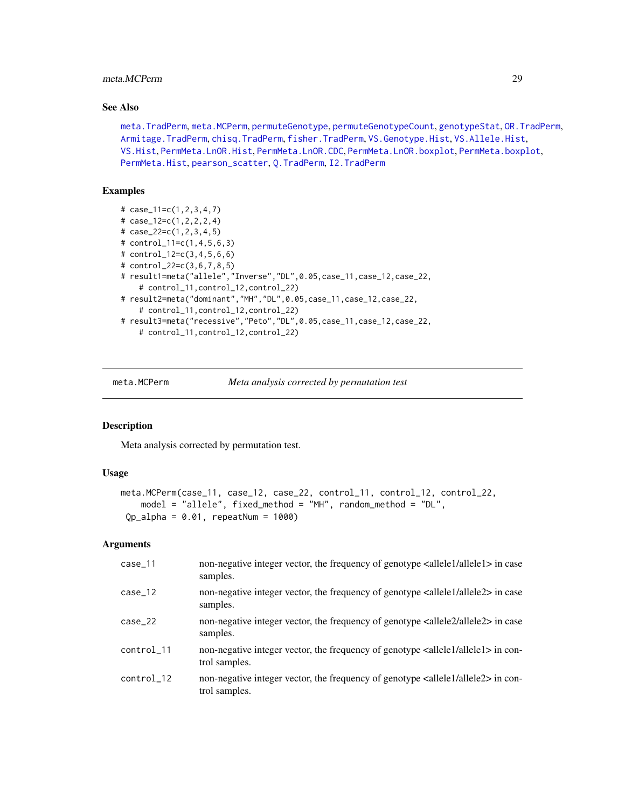# <span id="page-28-0"></span>meta.MCPerm 29

# See Also

[meta.TradPerm](#page-31-1), [meta.MCPerm](#page-28-1), [permuteGenotype](#page-51-1), [permuteGenotypeCount](#page-52-1), [genotypeStat](#page-19-1), [OR.TradPerm](#page-38-1), [Armitage.TradPerm](#page-7-1), [chisq.TradPerm](#page-11-1), [fisher.TradPerm](#page-16-1), [VS.Genotype.Hist](#page-69-1), [VS.Allele.Hist](#page-60-1), [VS.Hist](#page-74-1), [PermMeta.LnOR.Hist](#page-48-1), [PermMeta.LnOR.CDC](#page-47-1), [PermMeta.LnOR.boxplot](#page-44-1), [PermMeta.boxplot](#page-41-1), [PermMeta.Hist](#page-43-1), [pearson\\_scatter](#page-40-1), [Q.TradPerm](#page-56-1), [I2.TradPerm](#page-24-1)

# Examples

```
# case_11=c(1,2,3,4,7)
# case_12=c(1,2,2,2,4)
# case_22=c(1,2,3,4,5)
# control_11=c(1,4,5,6,3)
# control_12=c(3,4,5,6,6)
# control_22=c(3,6,7,8,5)
# result1=meta("allele","Inverse","DL",0.05,case_11,case_12,case_22,
    # control_11,control_12,control_22)
# result2=meta("dominant","MH","DL",0.05,case_11,case_12,case_22,
    # control_11,control_12,control_22)
# result3=meta("recessive","Peto","DL",0.05,case_11,case_12,case_22,
    # control_11,control_12,control_22)
```
<span id="page-28-1"></span>

meta.MCPerm *Meta analysis corrected by permutation test*

# Description

Meta analysis corrected by permutation test.

#### Usage

```
meta.MCPerm(case_11, case_12, case_22, control_11, control_12, control_22,
    model = "allele", fixed_method = "MH", random_method = "DL",
Qp_{all}pha = 0.01, repeatNum = 1000)
```
# Arguments

| $case_11$  | non-negative integer vector, the frequency of genotype <allele1 allele1=""> in case<br/>samples.</allele1>      |
|------------|-----------------------------------------------------------------------------------------------------------------|
| $case_12$  | non-negative integer vector, the frequency of genotype <allele1 allele2=""> in case<br/>samples.</allele1>      |
| $case_22$  | non-negative integer vector, the frequency of genotype $\alpha$ llele2/allele2> in case<br>samples.             |
| control_11 | non-negative integer vector, the frequency of genotype <allele1 allele1=""> in con-<br/>trol samples.</allele1> |
| control_12 | non-negative integer vector, the frequency of genotype $\alpha$ llele $1$ /allele $2$ in con-<br>trol samples.  |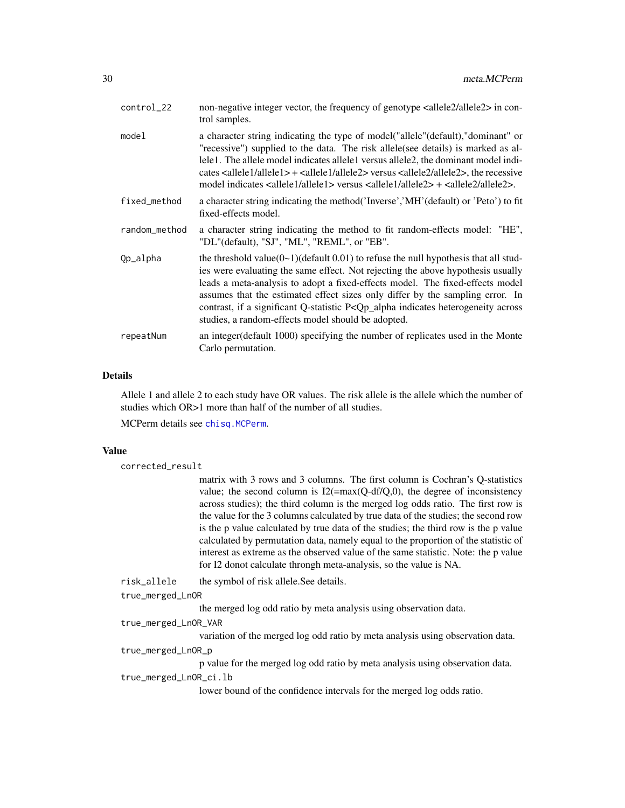| control_22    | non-negative integer vector, the frequency of genotype $\alpha$ llele2/allele2> in con-<br>trol samples.                                                                                                                                                                                                                                                                                                                                                                                                           |
|---------------|--------------------------------------------------------------------------------------------------------------------------------------------------------------------------------------------------------------------------------------------------------------------------------------------------------------------------------------------------------------------------------------------------------------------------------------------------------------------------------------------------------------------|
| model         | a character string indicating the type of model ("allele" (default), "dominant" or<br>"recessive") supplied to the data. The risk allele (see details) is marked as al-<br>lele1. The allele model indicates allele1 versus allele2, the dominant model indi-<br>cates $\leq$ allele $1$ /allele $1$ + $\leq$ allele $1$ /allele $2$ > versus $\leq$ allele $2$ /allele $2$ >, the recessive<br>model indicates $\langle$ allele1/allele1> versus $\langle$ allele1/allele2> + $\langle$ allele2/allele2>.         |
| fixed_method  | a character string indicating the method ('Inverse','MH' (default) or 'Peto') to fit<br>fixed-effects model.                                                                                                                                                                                                                                                                                                                                                                                                       |
| random_method | a character string indicating the method to fit random-effects model: "HE",<br>"DL"(default), "SJ", "ML", "REML", or "EB".                                                                                                                                                                                                                                                                                                                                                                                         |
| Qp_alpha      | the threshold value( $0\text{~}1$ )(default 0.01) to refuse the null hypothesis that all stud-<br>ies were evaluating the same effect. Not rejecting the above hypothesis usually<br>leads a meta-analysis to adopt a fixed-effects model. The fixed-effects model<br>assumes that the estimated effect sizes only differ by the sampling error. In<br>contrast, if a significant Q-statistic P <qp_alpha across<br="" heterogeneity="" indicates="">studies, a random-effects model should be adopted.</qp_alpha> |
| repeatNum     | an integer (default 1000) specifying the number of replicates used in the Monte<br>Carlo permutation.                                                                                                                                                                                                                                                                                                                                                                                                              |

# Details

Allele 1 and allele 2 to each study have OR values. The risk allele is the allele which the number of studies which OR>1 more than half of the number of all studies.

MCPerm details see [chisq.MCPerm](#page-9-1).

# Value

corrected\_result

matrix with 3 rows and 3 columns. The first column is Cochran's Q-statistics value; the second column is  $I2(=\max(Q-df/Q,0))$ , the degree of inconsistency across studies); the third column is the merged log odds ratio. The first row is the value for the 3 columns calculated by true data of the studies; the second row is the p value calculated by true data of the studies; the third row is the p value calculated by permutation data, namely equal to the proportion of the statistic of interest as extreme as the observed value of the same statistic. Note: the p value for I2 donot calculate throngh meta-analysis, so the value is NA.

risk\_allele the symbol of risk allele.See details.

true\_merged\_LnOR

the merged log odd ratio by meta analysis using observation data.

# true\_merged\_LnOR\_VAR

variation of the merged log odd ratio by meta analysis using observation data. true\_merged\_LnOR\_p

p value for the merged log odd ratio by meta analysis using observation data.

# true\_merged\_LnOR\_ci.lb

lower bound of the confidence intervals for the merged log odds ratio.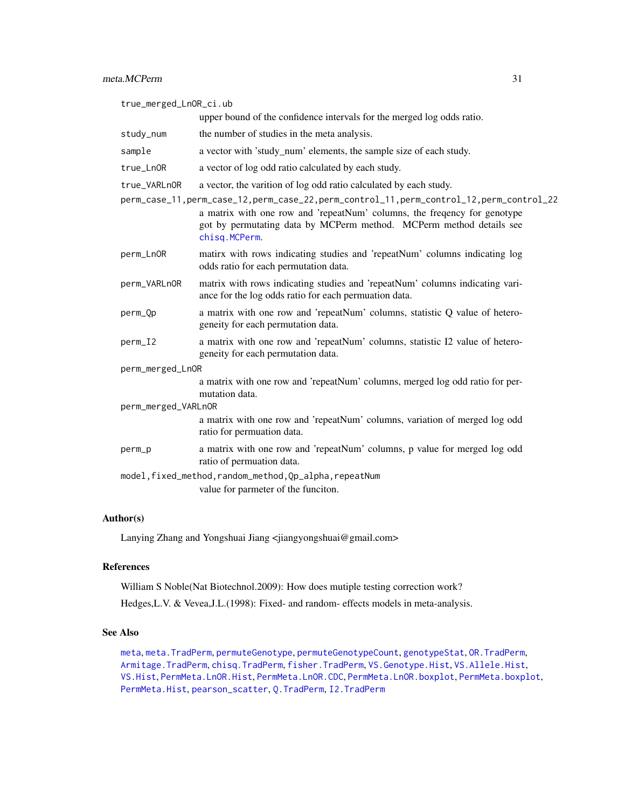true\_merged\_LnOR\_ci.ub upper bound of the confidence intervals for the merged log odds ratio. study\_num the number of studies in the meta analysis. sample a vector with 'study\_num' elements, the sample size of each study. true\_LnOR a vector of log odd ratio calculated by each study. true\_VARLnOR a vector, the varition of log odd ratio calculated by each study. perm\_case\_11,perm\_case\_12,perm\_case\_22,perm\_control\_11,perm\_control\_12,perm\_control\_22 a matrix with one row and 'repeatNum' columns, the freqency for genotype got by permutating data by MCPerm method. MCPerm method details see [chisq.MCPerm](#page-9-1). perm\_LnOR matirx with rows indicating studies and 'repeatNum' columns indicating log odds ratio for each permutation data. perm\_VARLnOR matrix with rows indicating studies and 'repeatNum' columns indicating variance for the log odds ratio for each permuation data. perm\_Qp a matrix with one row and 'repeatNum' columns, statistic Q value of heterogeneity for each permutation data. perm\_I2 a matrix with one row and 'repeatNum' columns, statistic I2 value of heterogeneity for each permutation data. perm\_merged\_LnOR a matrix with one row and 'repeatNum' columns, merged log odd ratio for permutation data. perm\_merged\_VARLnOR a matrix with one row and 'repeatNum' columns, variation of merged log odd ratio for permuation data. perm\_p a matrix with one row and 'repeatNum' columns, p value for merged log odd ratio of permuation data. model,fixed\_method,random\_method,Qp\_alpha,repeatNum value for parmeter of the funciton.

### Author(s)

Lanying Zhang and Yongshuai Jiang <jiangyongshuai@gmail.com>

# References

William S Noble(Nat Biotechnol.2009): How does mutiple testing correction work?

Hedges,L.V. & Vevea,J.L.(1998): Fixed- and random- effects models in meta-analysis.

### See Also

[meta](#page-26-1), [meta.TradPerm](#page-31-1), [permuteGenotype](#page-51-1), [permuteGenotypeCount](#page-52-1), [genotypeStat](#page-19-1), [OR.TradPerm](#page-38-1), [Armitage.TradPerm](#page-7-1), [chisq.TradPerm](#page-11-1), [fisher.TradPerm](#page-16-1), [VS.Genotype.Hist](#page-69-1), [VS.Allele.Hist](#page-60-1), [VS.Hist](#page-74-1), [PermMeta.LnOR.Hist](#page-48-1), [PermMeta.LnOR.CDC](#page-47-1), [PermMeta.LnOR.boxplot](#page-44-1), [PermMeta.boxplot](#page-41-1), [PermMeta.Hist](#page-43-1), [pearson\\_scatter](#page-40-1), [Q.TradPerm](#page-56-1), [I2.TradPerm](#page-24-1)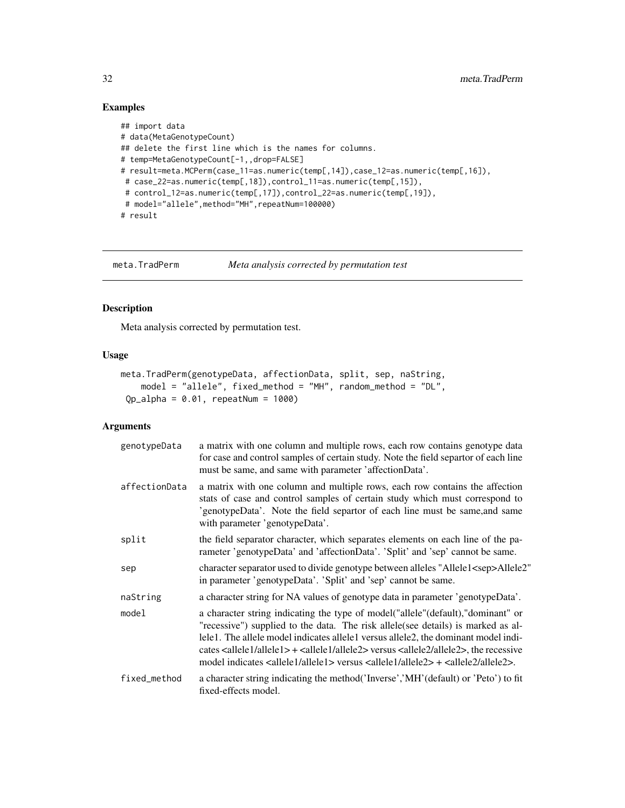# Examples

```
## import data
# data(MetaGenotypeCount)
## delete the first line which is the names for columns.
# temp=MetaGenotypeCount[-1,,drop=FALSE]
# result=meta.MCPerm(case_11=as.numeric(temp[,14]),case_12=as.numeric(temp[,16]),
# case_22=as.numeric(temp[,18]),control_11=as.numeric(temp[,15]),
 # control_12=as.numeric(temp[,17]),control_22=as.numeric(temp[,19]),
 # model="allele", method="MH", repeatNum=100000)
# result
```
<span id="page-31-1"></span>

meta.TradPerm *Meta analysis corrected by permutation test*

# Description

Meta analysis corrected by permutation test.

# Usage

```
meta.TradPerm(genotypeData, affectionData, split, sep, naString,
    model = "allele", fixed_method = "MH", random_method = "DL",
Qp_{all}pha = 0.01, repeatNum = 1000)
```
# Arguments

| genotypeData  | a matrix with one column and multiple rows, each row contains genotype data<br>for case and control samples of certain study. Note the field separtor of each line<br>must be same, and same with parameter 'affectionData'.                                                                                                                                                                                                                                                                            |
|---------------|---------------------------------------------------------------------------------------------------------------------------------------------------------------------------------------------------------------------------------------------------------------------------------------------------------------------------------------------------------------------------------------------------------------------------------------------------------------------------------------------------------|
| affectionData | a matrix with one column and multiple rows, each row contains the affection<br>stats of case and control samples of certain study which must correspond to<br>'genotypeData'. Note the field separtor of each line must be same, and same<br>with parameter 'genotypeData'.                                                                                                                                                                                                                             |
| split         | the field separator character, which separates elements on each line of the pa-<br>rameter 'genotypeData' and 'affectionData'. 'Split' and 'sep' cannot be same.                                                                                                                                                                                                                                                                                                                                        |
| sep           | character separator used to divide genotype between alleles "Allele1 <sep>Allele2"<br/>in parameter 'genotypeData'. 'Split' and 'sep' cannot be same.</sep>                                                                                                                                                                                                                                                                                                                                             |
| naString      | a character string for NA values of genotype data in parameter 'genotypeData'.                                                                                                                                                                                                                                                                                                                                                                                                                          |
| model         | a character string indicating the type of model ("allele" (default), "dominant" or<br>"recessive") supplied to the data. The risk allele (see details) is marked as al-<br>lele1. The allele model indicates allele1 versus allele2, the dominant model indi-<br>cates $\leq$ allele $1$ /allele $1$ + $\leq$ allele $1$ /allele $2$ versus $\leq$ allele $2$ /allele $2$ , the recessive<br>model indicates $\langle$ allele1/allele1> versus $\langle$ allele1/allele2> + $\langle$ allele2/allele2>. |
| fixed_method  | a character string indicating the method ('Inverse','MH' (default) or 'Peto') to fit<br>fixed-effects model.                                                                                                                                                                                                                                                                                                                                                                                            |

<span id="page-31-0"></span>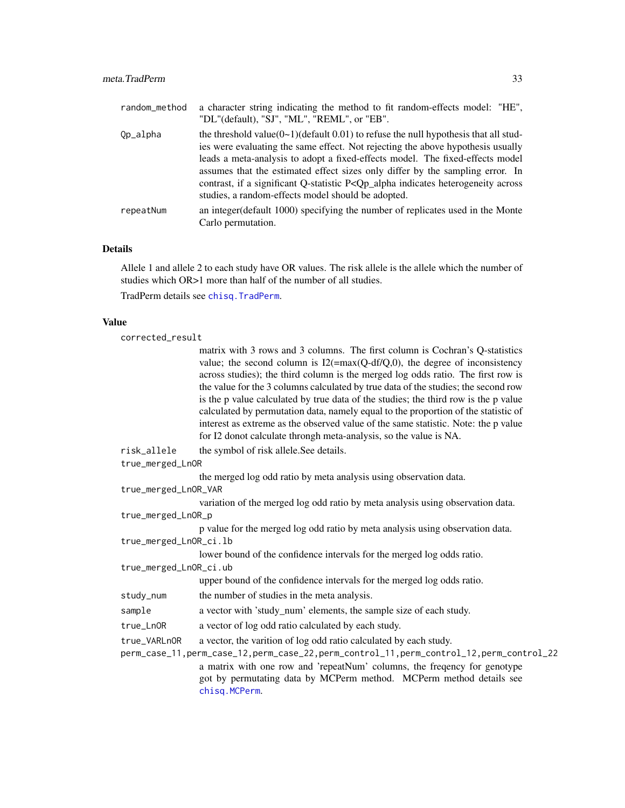| random_method | a character string indicating the method to fit random-effects model: "HE",<br>"DL"(default), "SJ", "ML", "REML", or "EB".                                                                                                                                                                                                                                                                                                                                                                                      |
|---------------|-----------------------------------------------------------------------------------------------------------------------------------------------------------------------------------------------------------------------------------------------------------------------------------------------------------------------------------------------------------------------------------------------------------------------------------------------------------------------------------------------------------------|
| Qp_alpha      | the threshold value( $0\sim 1$ )(default 0.01) to refuse the null hypothesis that all stud-<br>ies were evaluating the same effect. Not rejecting the above hypothesis usually<br>leads a meta-analysis to adopt a fixed-effects model. The fixed-effects model<br>assumes that the estimated effect sizes only differ by the sampling error. In<br>contrast, if a significant Q-statistic P <qp_alpha across<br="" heterogeneity="" indicates="">studies, a random-effects model should be adopted.</qp_alpha> |
| repeatNum     | an integer (default 1000) specifying the number of replicates used in the Monte<br>Carlo permutation.                                                                                                                                                                                                                                                                                                                                                                                                           |

# Details

Allele 1 and allele 2 to each study have OR values. The risk allele is the allele which the number of studies which OR>1 more than half of the number of all studies.

TradPerm details see [chisq.TradPerm](#page-11-1).

#### Value

```
corrected_result
```
matrix with 3 rows and 3 columns. The first column is Cochran's Q-statistics value; the second column is  $I2(=\max(Q-df/Q,0))$ , the degree of inconsistency across studies); the third column is the merged log odds ratio. The first row is the value for the 3 columns calculated by true data of the studies; the second row is the p value calculated by true data of the studies; the third row is the p value calculated by permutation data, namely equal to the proportion of the statistic of interest as extreme as the observed value of the same statistic. Note: the p value for I2 donot calculate throngh meta-analysis, so the value is NA.

risk\_allele the symbol of risk allele.See details.

true\_merged\_LnOR

the merged log odd ratio by meta analysis using observation data.

true\_merged\_LnOR\_VAR

variation of the merged log odd ratio by meta analysis using observation data. true\_merged\_LnOR\_p

p value for the merged log odd ratio by meta analysis using observation data. true\_merged\_LnOR\_ci.lb

lower bound of the confidence intervals for the merged log odds ratio.

true\_merged\_LnOR\_ci.ub

upper bound of the confidence intervals for the merged log odds ratio.

study\_num the number of studies in the meta analysis.

sample a vector with 'study\_num' elements, the sample size of each study.

true\_LnOR a vector of log odd ratio calculated by each study.

true\_VARLnOR a vector, the varition of log odd ratio calculated by each study.

perm\_case\_11,perm\_case\_12,perm\_case\_22,perm\_control\_11,perm\_control\_12,perm\_control\_22 a matrix with one row and 'repeatNum' columns, the freqency for genotype got by permutating data by MCPerm method. MCPerm method details see [chisq.MCPerm](#page-9-1).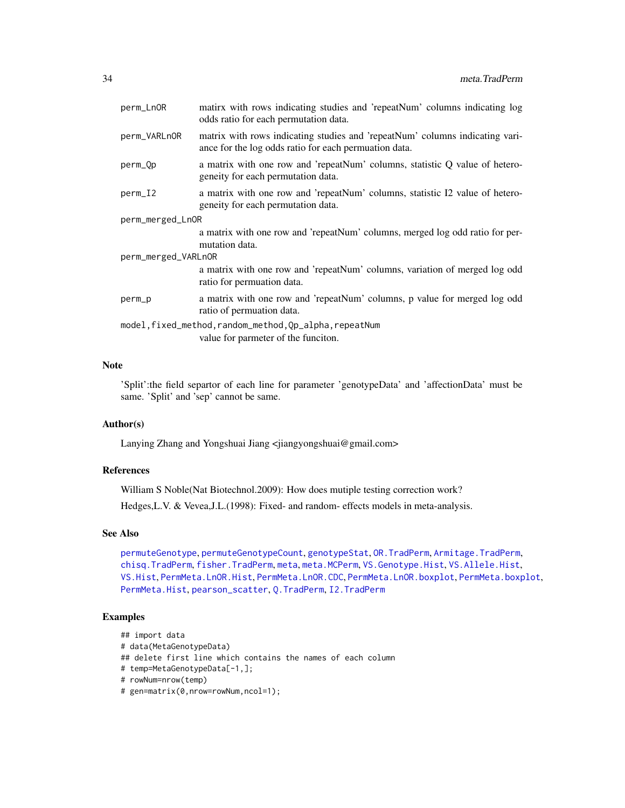| perm_LnOR                                               | matirx with rows indicating studies and 'repeatNum' columns indicating log<br>odds ratio for each permutation data.                   |  |
|---------------------------------------------------------|---------------------------------------------------------------------------------------------------------------------------------------|--|
| perm_VARLnOR                                            | matrix with rows indicating studies and 'repeatNum' columns indicating vari-<br>ance for the log odds ratio for each permuation data. |  |
| perm_Qp                                                 | a matrix with one row and 'repeatNum' columns, statistic Q value of hetero-<br>geneity for each permutation data.                     |  |
| perm_I2                                                 | a matrix with one row and 'repeatNum' columns, statistic I2 value of hetero-<br>geneity for each permutation data.                    |  |
| perm_merged_LnOR                                        |                                                                                                                                       |  |
|                                                         | a matrix with one row and 'repeatNum' columns, merged log odd ratio for per-<br>mutation data.                                        |  |
| perm_merged_VARLnOR                                     |                                                                                                                                       |  |
|                                                         | a matrix with one row and 'repeatNum' columns, variation of merged log odd<br>ratio for permuation data.                              |  |
| perm_p                                                  | a matrix with one row and 'repeatNum' columns, p value for merged log odd<br>ratio of permuation data.                                |  |
| model, fixed_method, random_method, Qp_alpha, repeatNum |                                                                                                                                       |  |
|                                                         | value for parmeter of the funciton.                                                                                                   |  |
|                                                         |                                                                                                                                       |  |

# Note

'Split':the field separtor of each line for parameter 'genotypeData' and 'affectionData' must be same. 'Split' and 'sep' cannot be same.

# Author(s)

Lanying Zhang and Yongshuai Jiang <jiangyongshuai@gmail.com>

# References

William S Noble(Nat Biotechnol.2009): How does mutiple testing correction work? Hedges,L.V. & Vevea,J.L.(1998): Fixed- and random- effects models in meta-analysis.

# See Also

[permuteGenotype](#page-51-1), [permuteGenotypeCount](#page-52-1), [genotypeStat](#page-19-1), [OR.TradPerm](#page-38-1), [Armitage.TradPerm](#page-7-1), [chisq.TradPerm](#page-11-1), [fisher.TradPerm](#page-16-1), [meta](#page-26-1), [meta.MCPerm](#page-28-1), [VS.Genotype.Hist](#page-69-1), [VS.Allele.Hist](#page-60-1), [VS.Hist](#page-74-1), [PermMeta.LnOR.Hist](#page-48-1), [PermMeta.LnOR.CDC](#page-47-1), [PermMeta.LnOR.boxplot](#page-44-1), [PermMeta.boxplot](#page-41-1), [PermMeta.Hist](#page-43-1), [pearson\\_scatter](#page-40-1), [Q.TradPerm](#page-56-1), [I2.TradPerm](#page-24-1)

#### Examples

```
## import data
```

```
# data(MetaGenotypeData)
```
## delete first line which contains the names of each column

```
# temp=MetaGenotypeData[-1,];
```

```
# rowNum=nrow(temp)
```

```
# gen=matrix(0,nrow=rowNum,ncol=1);
```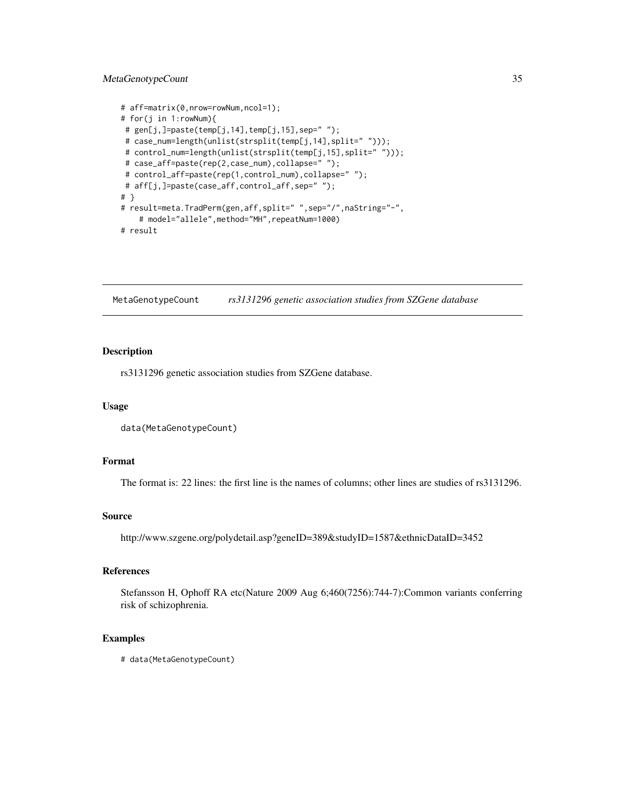# <span id="page-34-0"></span>MetaGenotypeCount 35

```
# aff=matrix(0,nrow=rowNum,ncol=1);
# for(j in 1:rowNum){
# gen[j,]=paste(temp[j,14],temp[j,15],sep=" ");
# case_num=length(unlist(strsplit(temp[j,14],split=" ")));
# control_num=length(unlist(strsplit(temp[j,15],split=" ")));
# case_aff=paste(rep(2,case_num),collapse=" ");
# control_aff=paste(rep(1,control_num),collapse=" ");
# aff[j,]=paste(case_aff,control_aff,sep=" ");
# }
# result=meta.TradPerm(gen,aff,split=" ",sep="/",naString="-",
    # model="allele",method="MH",repeatNum=1000)
# result
```
MetaGenotypeCount *rs3131296 genetic association studies from SZGene database*

# Description

rs3131296 genetic association studies from SZGene database.

#### Usage

```
data(MetaGenotypeCount)
```
# Format

The format is: 22 lines: the first line is the names of columns; other lines are studies of rs3131296.

#### Source

http://www.szgene.org/polydetail.asp?geneID=389&studyID=1587&ethnicDataID=3452

# References

Stefansson H, Ophoff RA etc(Nature 2009 Aug 6;460(7256):744-7):Common variants conferring risk of schizophrenia.

```
# data(MetaGenotypeCount)
```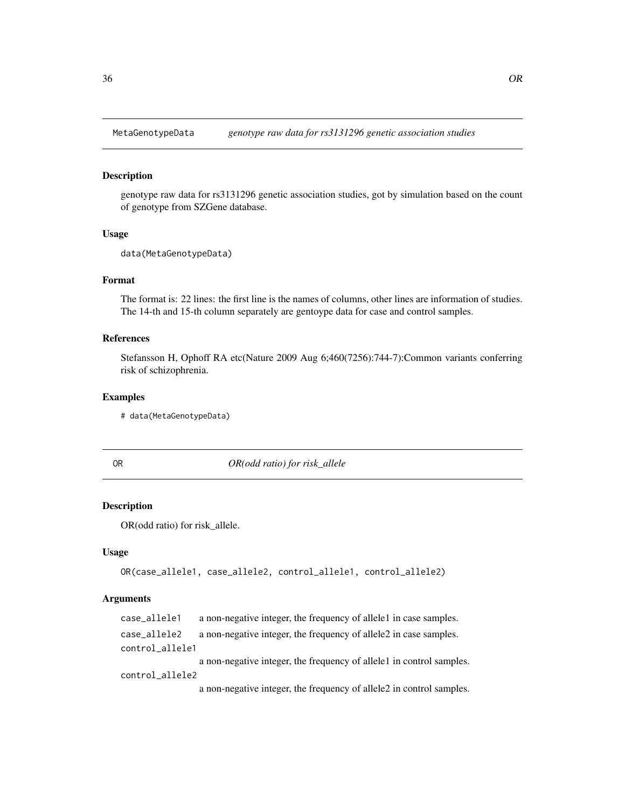<span id="page-35-0"></span>

# Description

genotype raw data for rs3131296 genetic association studies, got by simulation based on the count of genotype from SZGene database.

### Usage

data(MetaGenotypeData)

# Format

The format is: 22 lines: the first line is the names of columns, other lines are information of studies. The 14-th and 15-th column separately are gentoype data for case and control samples.

#### References

Stefansson H, Ophoff RA etc(Nature 2009 Aug 6;460(7256):744-7):Common variants conferring risk of schizophrenia.

#### Examples

# data(MetaGenotypeData)

<span id="page-35-1"></span>OR *OR(odd ratio) for risk\_allele*

#### **Description**

OR(odd ratio) for risk\_allele.

#### Usage

OR(case\_allele1, case\_allele2, control\_allele1, control\_allele2)

# Arguments

case\_allele1 a non-negative integer, the frequency of allele1 in case samples. case\_allele2 a non-negative integer, the frequency of allele2 in case samples. control\_allele1 a non-negative integer, the frequency of allele1 in control samples. control\_allele2 a non-negative integer, the frequency of allele2 in control samples.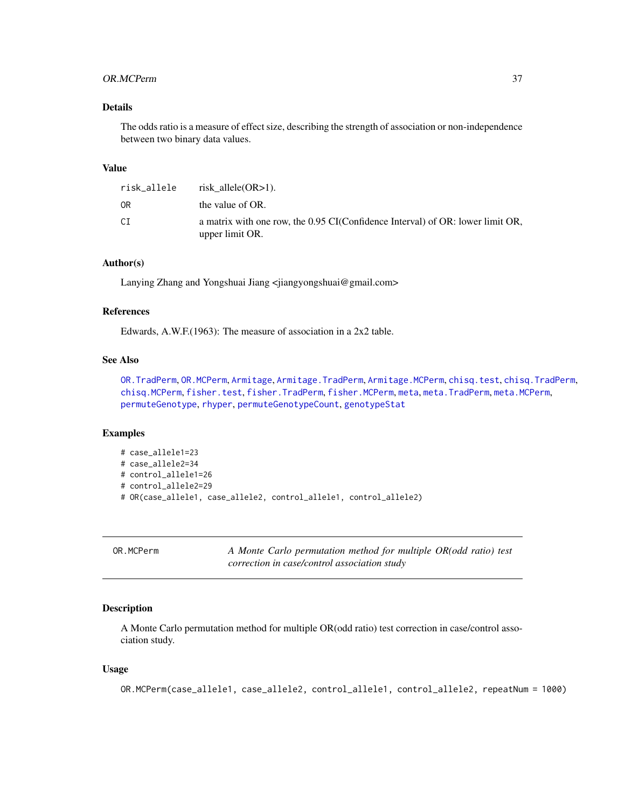#### OR.MCPerm 37

## Details

The odds ratio is a measure of effect size, describing the strength of association or non-independence between two binary data values.

## Value

| risk_allele | risk allele $(OR>1)$ .                                                                            |
|-------------|---------------------------------------------------------------------------------------------------|
| 0R          | the value of OR.                                                                                  |
| СI          | a matrix with one row, the 0.95 CI(Confidence Interval) of OR: lower limit OR,<br>upper limit OR. |

## Author(s)

Lanying Zhang and Yongshuai Jiang <jiangyongshuai@gmail.com>

### References

Edwards, A.W.F.(1963): The measure of association in a 2x2 table.

## See Also

[OR.TradPerm](#page-38-0), [OR.MCPerm](#page-36-0), [Armitage](#page-4-0), [Armitage.TradPerm](#page-7-0), [Armitage.MCPerm](#page-6-0), [chisq.test](#page-0-0), [chisq.TradPerm](#page-11-0), [chisq.MCPerm](#page-9-0), [fisher.test](#page-0-0), [fisher.TradPerm](#page-16-0), [fisher.MCPerm](#page-14-0), [meta](#page-26-0), [meta.TradPerm](#page-31-0), [meta.MCPerm](#page-28-0), [permuteGenotype](#page-51-0), [rhyper](#page-0-0), [permuteGenotypeCount](#page-52-0), [genotypeStat](#page-19-0)

### Examples

```
# case_allele1=23
# case_allele2=34
# control_allele1=26
# control_allele2=29
# OR(case_allele1, case_allele2, control_allele1, control_allele2)
```
<span id="page-36-0"></span>OR.MCPerm *A Monte Carlo permutation method for multiple OR(odd ratio) test correction in case/control association study*

#### **Description**

A Monte Carlo permutation method for multiple OR(odd ratio) test correction in case/control association study.

#### Usage

OR.MCPerm(case\_allele1, case\_allele2, control\_allele1, control\_allele2, repeatNum = 1000)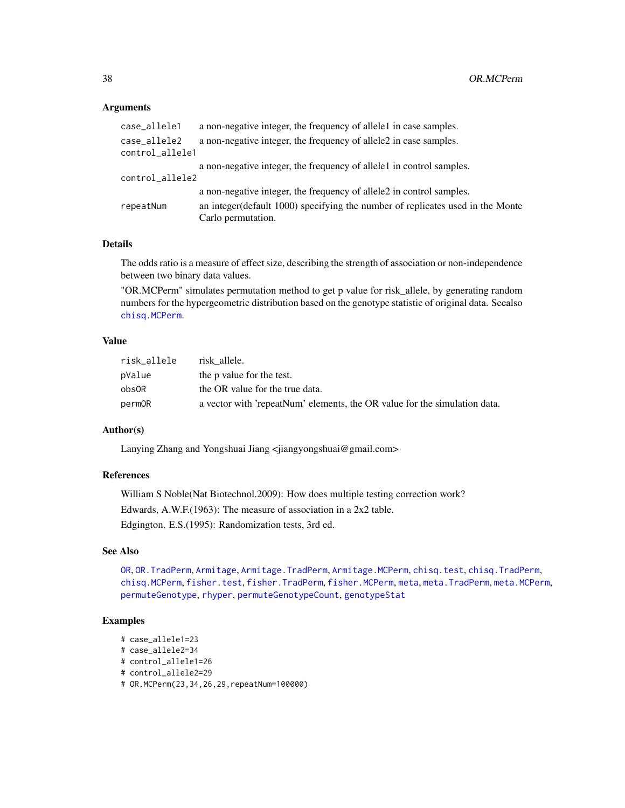### Arguments

| case_allele1    | a non-negative integer, the frequency of allelel in case samples.               |
|-----------------|---------------------------------------------------------------------------------|
| case allele2    | a non-negative integer, the frequency of allele 2 in case samples.              |
| control_allele1 |                                                                                 |
|                 | a non-negative integer, the frequency of allele1 in control samples.            |
| control_allele2 |                                                                                 |
|                 | a non-negative integer, the frequency of allele2 in control samples.            |
| repeatNum       | an integer (default 1000) specifying the number of replicates used in the Monte |
|                 | Carlo permutation.                                                              |
|                 |                                                                                 |

## **Details**

The odds ratio is a measure of effect size, describing the strength of association or non-independence between two binary data values.

"OR.MCPerm" simulates permutation method to get p value for risk\_allele, by generating random numbers for the hypergeometric distribution based on the genotype statistic of original data. Seealso [chisq.MCPerm](#page-9-0).

# Value

| risk_allele | risk allele.                                                              |
|-------------|---------------------------------------------------------------------------|
| pValue      | the p value for the test.                                                 |
| obsOR       | the OR value for the true data.                                           |
| permOR      | a vector with 'repeatNum' elements, the OR value for the simulation data. |

## Author(s)

Lanying Zhang and Yongshuai Jiang <jiangyongshuai@gmail.com>

# References

William S Noble(Nat Biotechnol.2009): How does multiple testing correction work? Edwards, A.W.F.(1963): The measure of association in a 2x2 table. Edgington. E.S.(1995): Randomization tests, 3rd ed.

### See Also

[OR](#page-35-0), [OR.TradPerm](#page-38-0), [Armitage](#page-4-0), [Armitage.TradPerm](#page-7-0), [Armitage.MCPerm](#page-6-0), [chisq.test](#page-0-0), [chisq.TradPerm](#page-11-0), [chisq.MCPerm](#page-9-0), [fisher.test](#page-0-0), [fisher.TradPerm](#page-16-0), [fisher.MCPerm](#page-14-0), [meta](#page-26-0), [meta.TradPerm](#page-31-0), [meta.MCPerm](#page-28-0), [permuteGenotype](#page-51-0), [rhyper](#page-0-0), [permuteGenotypeCount](#page-52-0), [genotypeStat](#page-19-0)

## Examples

```
# case_allele1=23
# case_allele2=34
# control_allele1=26
# control_allele2=29
# OR.MCPerm(23,34,26,29,repeatNum=100000)
```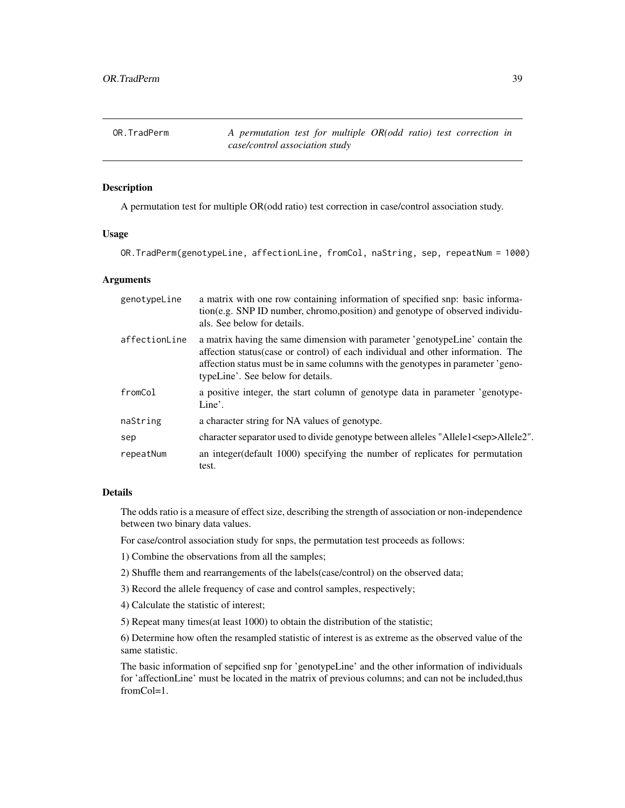<span id="page-38-0"></span>OR.TradPerm *A permutation test for multiple OR(odd ratio) test correction in case/control association study*

### Description

A permutation test for multiple OR(odd ratio) test correction in case/control association study.

### Usage

OR.TradPerm(genotypeLine, affectionLine, fromCol, naString, sep, repeatNum = 1000)

# Arguments

| genotypeLine  | a matrix with one row containing information of specified snp: basic informa-<br>tion(e.g. SNP ID number, chromo, position) and genotype of observed individu-<br>als. See below for details.                                                                                           |
|---------------|-----------------------------------------------------------------------------------------------------------------------------------------------------------------------------------------------------------------------------------------------------------------------------------------|
| affectionLine | a matrix having the same dimension with parameter 'genotypeLine' contain the<br>affection status(case or control) of each individual and other information. The<br>affection status must be in same columns with the genotypes in parameter 'geno-<br>typeLine'. See below for details. |
| fromCol       | a positive integer, the start column of genotype data in parameter 'genotype-<br>Line'.                                                                                                                                                                                                 |
| naString      | a character string for NA values of genotype.                                                                                                                                                                                                                                           |
| sep           | character separator used to divide genotype between alleles "Allele1 <sep>Allele2".</sep>                                                                                                                                                                                               |
| repeatNum     | an integer (default 1000) specifying the number of replicates for permutation<br>test.                                                                                                                                                                                                  |

#### Details

The odds ratio is a measure of effect size, describing the strength of association or non-independence between two binary data values.

For case/control association study for snps, the permutation test proceeds as follows:

- 1) Combine the observations from all the samples;
- 2) Shuffle them and rearrangements of the labels(case/control) on the observed data;
- 3) Record the allele frequency of case and control samples, respectively;
- 4) Calculate the statistic of interest;
- 5) Repeat many times(at least 1000) to obtain the distribution of the statistic;

6) Determine how often the resampled statistic of interest is as extreme as the observed value of the same statistic.

The basic information of sepcified snp for 'genotypeLine' and the other information of individuals for 'affectionLine' must be located in the matrix of previous columns; and can not be included,thus fromCol=1.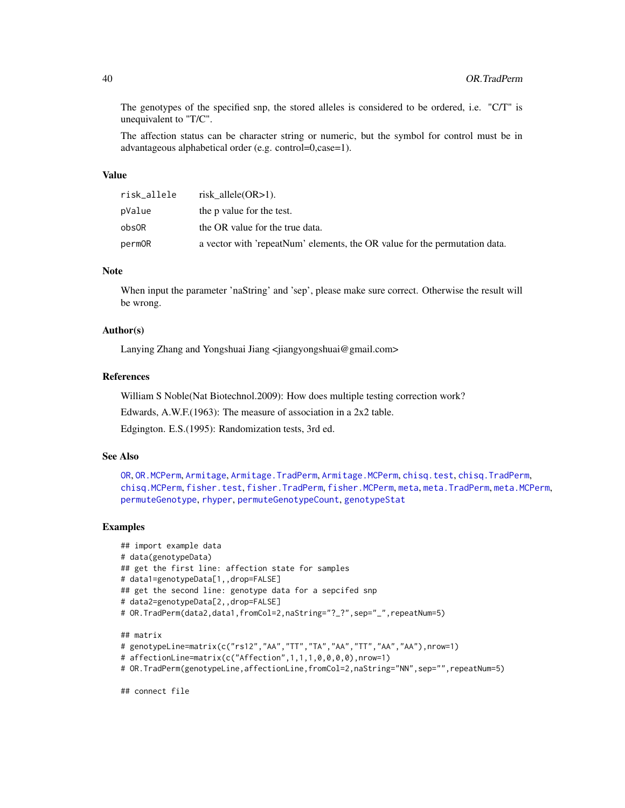The genotypes of the specified snp, the stored alleles is considered to be ordered, i.e. "C/T" is unequivalent to "T/C".

The affection status can be character string or numeric, but the symbol for control must be in advantageous alphabetical order (e.g. control=0,case=1).

## Value

| risk_allele | risk allele $(OR>1)$ .                                                     |
|-------------|----------------------------------------------------------------------------|
| pValue      | the p value for the test.                                                  |
| obs0R       | the OR value for the true data.                                            |
| permOR      | a vector with 'repeatNum' elements, the OR value for the permutation data. |

#### Note

When input the parameter 'naString' and 'sep', please make sure correct. Otherwise the result will be wrong.

# Author(s)

Lanying Zhang and Yongshuai Jiang <jiangyongshuai@gmail.com>

### References

William S Noble(Nat Biotechnol.2009): How does multiple testing correction work?

Edwards, A.W.F.(1963): The measure of association in a 2x2 table.

Edgington. E.S.(1995): Randomization tests, 3rd ed.

## See Also

[OR](#page-35-0), [OR.MCPerm](#page-36-0), [Armitage](#page-4-0), [Armitage.TradPerm](#page-7-0), [Armitage.MCPerm](#page-6-0), [chisq.test](#page-0-0), [chisq.TradPerm](#page-11-0), [chisq.MCPerm](#page-9-0), [fisher.test](#page-0-0), [fisher.TradPerm](#page-16-0), [fisher.MCPerm](#page-14-0), [meta](#page-26-0), [meta.TradPerm](#page-31-0), [meta.MCPerm](#page-28-0), [permuteGenotype](#page-51-0), [rhyper](#page-0-0), [permuteGenotypeCount](#page-52-0), [genotypeStat](#page-19-0)

### Examples

```
## import example data
# data(genotypeData)
## get the first line: affection state for samples
# data1=genotypeData[1,,drop=FALSE]
## get the second line: genotype data for a sepcifed snp
# data2=genotypeData[2,,drop=FALSE]
# OR.TradPerm(data2,data1,fromCol=2,naString="?_?",sep="_",repeatNum=5)
## matrix
# genotypeLine=matrix(c("rs12","AA","TT","TA","AA","TT","AA","AA"),nrow=1)
# affectionLine=matrix(c("Affection",1,1,1,0,0,0,0),nrow=1)
```
# OR.TradPerm(genotypeLine,affectionLine,fromCol=2,naString="NN",sep="",repeatNum=5)

## connect file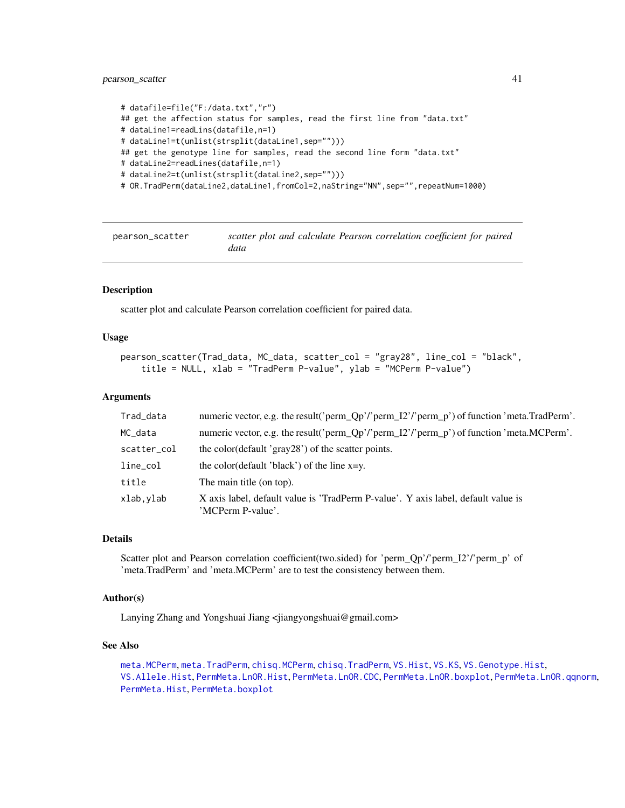```
# datafile=file("F:/data.txt","r")
## get the affection status for samples, read the first line from "data.txt"
# dataLine1=readLins(datafile,n=1)
# dataLine1=t(unlist(strsplit(dataLine1,sep="")))
## get the genotype line for samples, read the second line form "data.txt"
# dataLine2=readLines(datafile,n=1)
# dataLine2=t(unlist(strsplit(dataLine2,sep="")))
# OR.TradPerm(dataLine2,dataLine1,fromCol=2,naString="NN",sep="",repeatNum=1000)
```
pearson\_scatter *scatter plot and calculate Pearson correlation coefficient for paired data*

### Description

scatter plot and calculate Pearson correlation coefficient for paired data.

### Usage

```
pearson_scatter(Trad_data, MC_data, scatter_col = "gray28", line_col = "black",
   title = NULL, xlab = "TradPerm P-value", ylab = "MCPerm P-value")
```
### Arguments

| Trad_data   | numeric vector, e.g. the result('perm_Qp'/'perm_I2'/'perm_p') of function 'meta.TradPerm'.             |
|-------------|--------------------------------------------------------------------------------------------------------|
| MC_data     | numeric vector, e.g. the result('perm_Qp'/'perm_I2'/'perm_p') of function 'meta.MCPerm'.               |
| scatter_col | the color(default 'gray28') of the scatter points.                                                     |
| line_col    | the color(default 'black') of the line $x=y$ .                                                         |
| title       | The main title (on top).                                                                               |
| xlab,ylab   | X axis label, default value is 'TradPerm P-value'. Y axis label, default value is<br>'MCPerm P-value'. |

## Details

Scatter plot and Pearson correlation coefficient(two.sided) for 'perm\_Qp'/'perm\_I2'/'perm\_p' of 'meta.TradPerm' and 'meta.MCPerm' are to test the consistency between them.

### Author(s)

Lanying Zhang and Yongshuai Jiang <jiangyongshuai@gmail.com>

# See Also

[meta.MCPerm](#page-28-0), [meta.TradPerm](#page-31-0), [chisq.MCPerm](#page-9-0), [chisq.TradPerm](#page-11-0), [VS.Hist](#page-74-0), [VS.KS](#page-76-0), [VS.Genotype.Hist](#page-69-0), [VS.Allele.Hist](#page-60-0), [PermMeta.LnOR.Hist](#page-48-0), [PermMeta.LnOR.CDC](#page-47-0), [PermMeta.LnOR.boxplot](#page-44-0), [PermMeta.LnOR.qqnorm](#page-50-0), [PermMeta.Hist](#page-43-0), [PermMeta.boxplot](#page-41-0)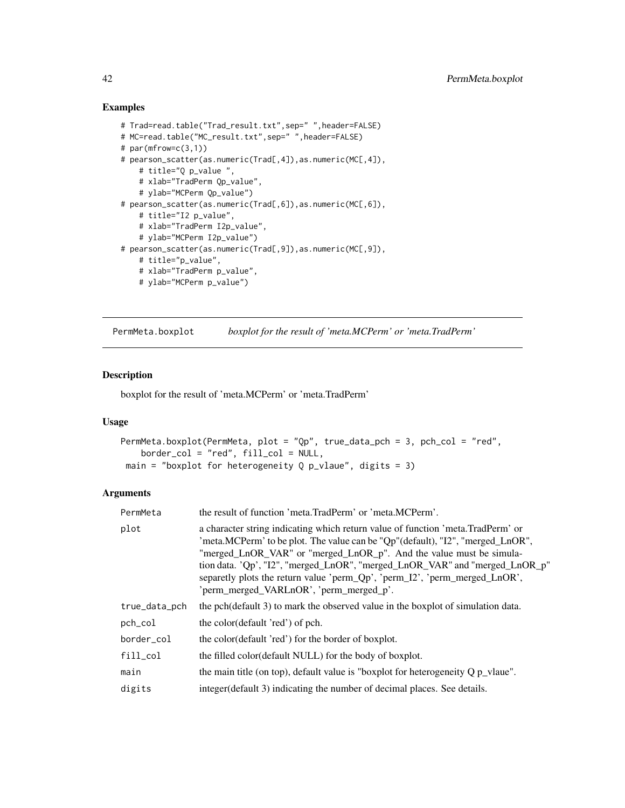## Examples

```
# Trad=read.table("Trad_result.txt",sep=" ",header=FALSE)
# MC=read.table("MC_result.txt",sep=" ",header=FALSE)
# par(mfrow=c(3,1))# pearson_scatter(as.numeric(Trad[,4]),as.numeric(MC[,4]),
    # title="Q p_value ",
   # xlab="TradPerm Qp_value",
    # ylab="MCPerm Qp_value")
# pearson_scatter(as.numeric(Trad[,6]),as.numeric(MC[,6]),
    # title="I2 p_value",
    # xlab="TradPerm I2p_value",
    # ylab="MCPerm I2p_value")
# pearson_scatter(as.numeric(Trad[,9]),as.numeric(MC[,9]),
   # title="p_value",
   # xlab="TradPerm p_value",
    # ylab="MCPerm p_value")
```
<span id="page-41-0"></span>PermMeta.boxplot *boxplot for the result of 'meta.MCPerm' or 'meta.TradPerm'*

### Description

boxplot for the result of 'meta.MCPerm' or 'meta.TradPerm'

### Usage

```
PermMeta.boxplot(PermMeta, plot = "Qp", true_data_pch = 3, pch_col = "red",
   border_col = "red", fill_col = NULL,
main = "boxplot for heterogeneity Q p_vlaue", digits = 3)
```
# Arguments

| PermMeta      | the result of function 'meta.TradPerm' or 'meta.MCPerm'.                                                                                                                                                                                                                                                                                                                                                                                          |
|---------------|---------------------------------------------------------------------------------------------------------------------------------------------------------------------------------------------------------------------------------------------------------------------------------------------------------------------------------------------------------------------------------------------------------------------------------------------------|
| plot          | a character string indicating which return value of function 'meta. TradPerm' or<br>'meta.MCPerm' to be plot. The value can be "Qp"(default), "I2", "merged_LnOR",<br>"merged_LnOR_VAR" or "merged_LnOR_p". And the value must be simula-<br>tion data. 'Qp', "I2", "merged_LnOR", "merged_LnOR_VAR" and "merged_LnOR_p"<br>separetly plots the return value 'perm_Qp', 'perm_I2', 'perm_merged_LnOR',<br>'perm_merged_VARLnOR', 'perm_merged_p'. |
| true_data_pch | the pch(default 3) to mark the observed value in the boxplot of simulation data.                                                                                                                                                                                                                                                                                                                                                                  |
| pch_col       | the color(default 'red') of pch.                                                                                                                                                                                                                                                                                                                                                                                                                  |
| border col    | the color(default 'red') for the border of boxplot.                                                                                                                                                                                                                                                                                                                                                                                               |
| $fill_{col}$  | the filled color(default NULL) for the body of boxplot.                                                                                                                                                                                                                                                                                                                                                                                           |
| main          | the main title (on top), default value is "boxplot for heterogeneity $Q p$ vlaue".                                                                                                                                                                                                                                                                                                                                                                |
| digits        | integer (default 3) indicating the number of decimal places. See details.                                                                                                                                                                                                                                                                                                                                                                         |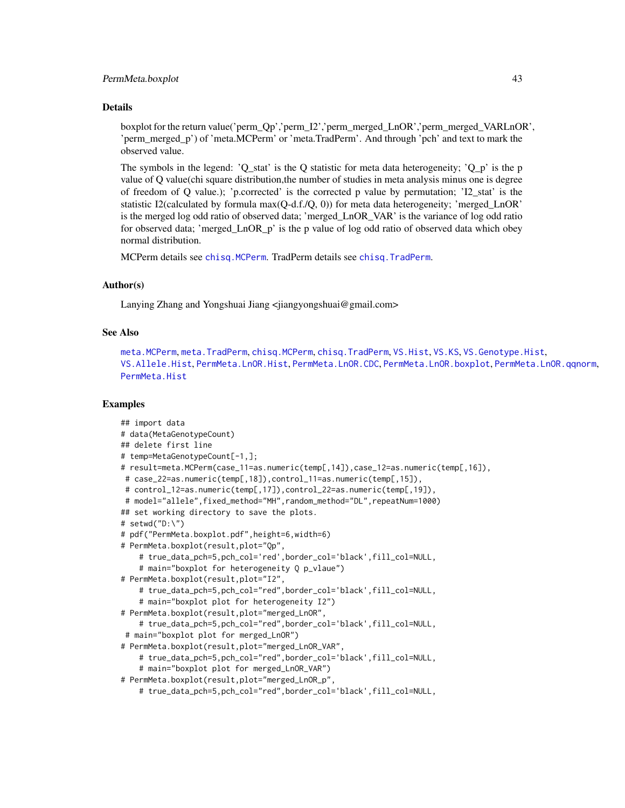### PermMeta.boxplot 43

#### Details

boxplot for the return value('perm\_Qp','perm\_I2','perm\_merged\_LnOR','perm\_merged\_VARLnOR', 'perm\_merged\_p') of 'meta.MCPerm' or 'meta.TradPerm'. And through 'pch' and text to mark the observed value.

The symbols in the legend:  $'Q$ \_stat' is the Q statistic for meta data heterogeneity;  $'Q_p$ ' is the p value of Q value(chi square distribution,the number of studies in meta analysis minus one is degree of freedom of Q value.); 'p.corrected' is the corrected p value by permutation; 'I2\_stat' is the statistic I2(calculated by formula  $max(Q-d.f./Q, 0)$ ) for meta data heterogeneity; 'merged LnOR' is the merged log odd ratio of observed data; 'merged\_LnOR\_VAR' is the variance of log odd ratio for observed data; 'merged\_LnOR\_p' is the p value of log odd ratio of observed data which obey normal distribution.

MCPerm details see [chisq.MCPerm](#page-9-0). TradPerm details see [chisq.TradPerm](#page-11-0).

### Author(s)

Lanying Zhang and Yongshuai Jiang <jiangyongshuai@gmail.com>

# See Also

```
meta.MCPerm, meta.TradPerm, chisq.MCPerm, chisq.TradPerm, VS.Hist, VS.KS, VS.Genotype.Hist,
VS.Allele.Hist, PermMeta.LnOR.Hist, PermMeta.LnOR.CDC, PermMeta.LnOR.boxplot, PermMeta.LnOR.qqnorm,
PermMeta.Hist
```
## Examples

```
## import data
# data(MetaGenotypeCount)
## delete first line
# temp=MetaGenotypeCount[-1,];
# result=meta.MCPerm(case_11=as.numeric(temp[,14]),case_12=as.numeric(temp[,16]),
# case_22=as.numeric(temp[,18]),control_11=as.numeric(temp[,15]),
# control_12=as.numeric(temp[,17]),control_22=as.numeric(temp[,19]),
# model="allele",fixed_method="MH",random_method="DL",repeatNum=1000)
## set working directory to save the plots.
# setwd("D:\")
# pdf("PermMeta.boxplot.pdf",height=6,width=6)
# PermMeta.boxplot(result,plot="Qp",
    # true_data_pch=5,pch_col='red',border_col='black',fill_col=NULL,
    # main="boxplot for heterogeneity Q p_vlaue")
# PermMeta.boxplot(result,plot="I2",
    # true_data_pch=5,pch_col="red",border_col='black',fill_col=NULL,
    # main="boxplot plot for heterogeneity I2")
# PermMeta.boxplot(result,plot="merged_LnOR",
    # true_data_pch=5,pch_col="red",border_col='black',fill_col=NULL,
 # main="boxplot plot for merged_LnOR")
# PermMeta.boxplot(result,plot="merged_LnOR_VAR",
    # true_data_pch=5,pch_col="red",border_col='black',fill_col=NULL,
    # main="boxplot plot for merged_LnOR_VAR")
# PermMeta.boxplot(result,plot="merged_LnOR_p",
    # true_data_pch=5,pch_col="red",border_col='black',fill_col=NULL,
```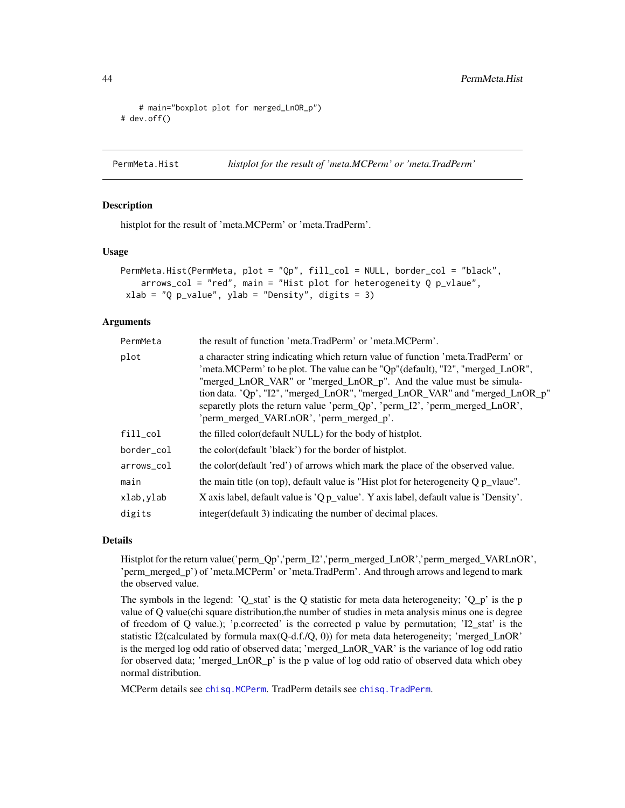```
# main="boxplot plot for merged_LnOR_p")
# dev.off()
```
<span id="page-43-0"></span>PermMeta.Hist *histplot for the result of 'meta.MCPerm' or 'meta.TradPerm'*

### Description

histplot for the result of 'meta.MCPerm' or 'meta.TradPerm'.

### Usage

```
PermMeta.Hist(PermMeta, plot = "Qp", fill_col = NULL, border_col = "black",
   arrows_col = "red", main = "Hist plot for heterogeneity Q p_vlaue",
xlab = "Q p_value", ylab = "Density", digits = 3)
```
### **Arguments**

| PermMeta   | the result of function 'meta.TradPerm' or 'meta.MCPerm'.                                                                                                                                                                                                                                                                                                                                                                                          |
|------------|---------------------------------------------------------------------------------------------------------------------------------------------------------------------------------------------------------------------------------------------------------------------------------------------------------------------------------------------------------------------------------------------------------------------------------------------------|
| plot       | a character string indicating which return value of function 'meta. TradPerm' or<br>'meta.MCPerm' to be plot. The value can be "Qp"(default), "I2", "merged_LnOR",<br>"merged_LnOR_VAR" or "merged_LnOR_p". And the value must be simula-<br>tion data. 'Qp', "I2", "merged_LnOR", "merged_LnOR_VAR" and "merged_LnOR_p"<br>separetly plots the return value 'perm_Qp', 'perm_I2', 'perm_merged_LnOR',<br>'perm_merged_VARLnOR', 'perm_merged_p'. |
| fill_col   | the filled color (default NULL) for the body of histplot.                                                                                                                                                                                                                                                                                                                                                                                         |
| border col | the color(default 'black') for the border of histplot.                                                                                                                                                                                                                                                                                                                                                                                            |
| arrows_col | the color(default 'red') of arrows which mark the place of the observed value.                                                                                                                                                                                                                                                                                                                                                                    |
| main       | the main title (on top), default value is "Hist plot for heterogeneity $Q p$ vlaue".                                                                                                                                                                                                                                                                                                                                                              |
| xlab,ylab  | X axis label, default value is 'Q p_value'. Y axis label, default value is 'Density'.                                                                                                                                                                                                                                                                                                                                                             |
| digits     | integer (default 3) indicating the number of decimal places.                                                                                                                                                                                                                                                                                                                                                                                      |

### Details

Histplot for the return value('perm\_Qp','perm\_I2','perm\_merged\_LnOR','perm\_merged\_VARLnOR', 'perm\_merged\_p') of 'meta.MCPerm' or 'meta.TradPerm'. And through arrows and legend to mark the observed value.

The symbols in the legend:  $'Q$ \_stat' is the Q statistic for meta data heterogeneity;  $'Q_p'$  is the p value of Q value(chi square distribution,the number of studies in meta analysis minus one is degree of freedom of Q value.); 'p.corrected' is the corrected p value by permutation; 'I2\_stat' is the statistic I2(calculated by formula max(Q-d.f./Q, 0)) for meta data heterogeneity; 'merged\_LnOR' is the merged log odd ratio of observed data; 'merged\_LnOR\_VAR' is the variance of log odd ratio for observed data; 'merged\_LnOR\_p' is the p value of log odd ratio of observed data which obey normal distribution.

MCPerm details see [chisq.MCPerm](#page-9-0). TradPerm details see [chisq.TradPerm](#page-11-0).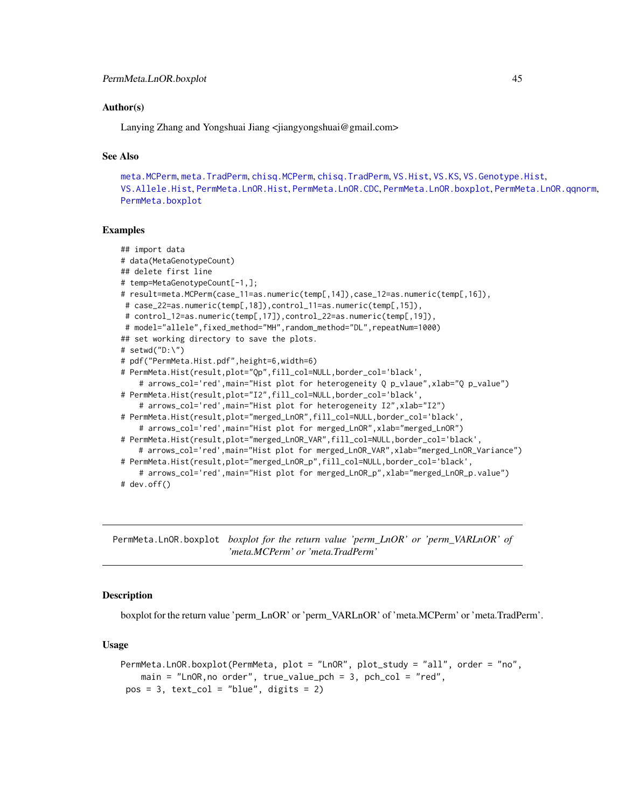## Author(s)

Lanying Zhang and Yongshuai Jiang <jiangyongshuai@gmail.com>

# See Also

```
meta.MCPerm, meta.TradPerm, chisq.MCPerm, chisq.TradPerm, VS.Hist, VS.KS, VS.Genotype.Hist,
VS.Allele.Hist, PermMeta.LnOR.Hist, PermMeta.LnOR.CDC, PermMeta.LnOR.boxplot, PermMeta.LnOR.qqnorm,
PermMeta.boxplot
```
### Examples

```
## import data
# data(MetaGenotypeCount)
## delete first line
# temp=MetaGenotypeCount[-1,];
# result=meta.MCPerm(case_11=as.numeric(temp[,14]),case_12=as.numeric(temp[,16]),
# case_22=as.numeric(temp[,18]),control_11=as.numeric(temp[,15]),
# control_12=as.numeric(temp[,17]),control_22=as.numeric(temp[,19]),
 # model="allele",fixed_method="MH",random_method="DL",repeatNum=1000)
## set working directory to save the plots.
# setwd("D:\")
# pdf("PermMeta.Hist.pdf",height=6,width=6)
# PermMeta.Hist(result,plot="Qp",fill_col=NULL,border_col='black',
    # arrows_col='red',main="Hist plot for heterogeneity Q p_vlaue",xlab="Q p_value")
# PermMeta.Hist(result,plot="I2",fill_col=NULL,border_col='black',
    # arrows_col='red',main="Hist plot for heterogeneity I2",xlab="I2")
# PermMeta.Hist(result,plot="merged_LnOR",fill_col=NULL,border_col='black',
    # arrows_col='red',main="Hist plot for merged_LnOR", xlab="merged_LnOR")
# PermMeta.Hist(result,plot="merged_LnOR_VAR",fill_col=NULL,border_col='black',
   # arrows_col='red',main="Hist plot for merged_LnOR_VAR", xlab="merged_LnOR_Variance")
# PermMeta.Hist(result,plot="merged_LnOR_p",fill_col=NULL,border_col='black',
    # arrows_col='red',main="Hist plot for merged_LnOR_p",xlab="merged_LnOR_p.value")
# dev.off()
```
<span id="page-44-0"></span>PermMeta.LnOR.boxplot *boxplot for the return value 'perm\_LnOR' or 'perm\_VARLnOR' of 'meta.MCPerm' or 'meta.TradPerm'*

## Description

boxplot for the return value 'perm\_LnOR' or 'perm\_VARLnOR' of 'meta.MCPerm' or 'meta.TradPerm'.

# Usage

```
PermMeta.LnOR.boxplot(PermMeta, plot = "LnOR", plot_study = "all", order = "no",
   main = "LnOR,no order", true_value_pch = 3, pch_col = "red",
pos = 3, text\_col = "blue", digits = 2)
```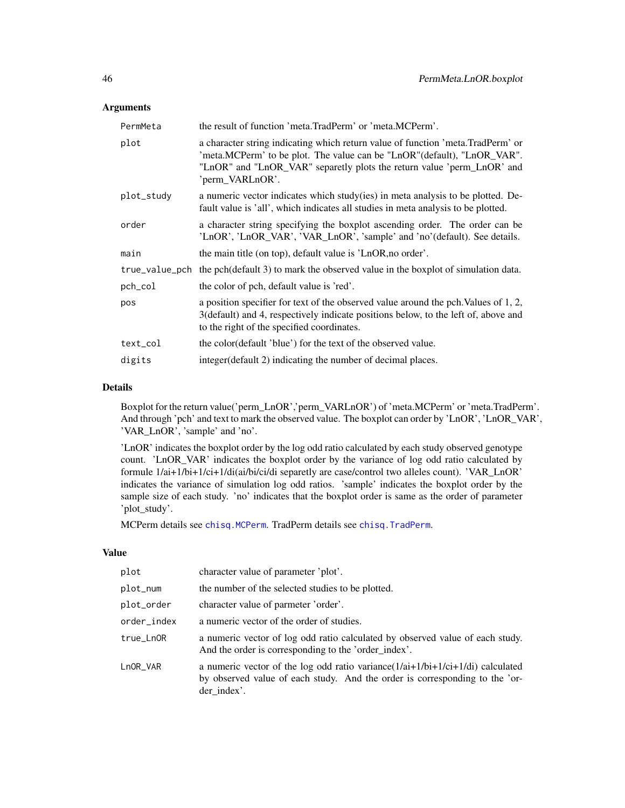# Arguments

| PermMeta   | the result of function 'meta.TradPerm' or 'meta.MCPerm'.                                                                                                                                                                                                  |
|------------|-----------------------------------------------------------------------------------------------------------------------------------------------------------------------------------------------------------------------------------------------------------|
| plot       | a character string indicating which return value of function 'meta. TradPerm' or<br>'meta.MCPerm' to be plot. The value can be "LnOR" (default), "LnOR_VAR".<br>"LnOR" and "LnOR_VAR" separetly plots the return value 'perm_LnOR' and<br>'perm_VARLnOR'. |
| plot_study | a numeric vector indicates which study (ies) in meta analysis to be plotted. De-<br>fault value is 'all', which indicates all studies in meta analysis to be plotted.                                                                                     |
| order      | a character string specifying the boxplot ascending order. The order can be<br>'LnOR', 'LnOR_VAR', 'VAR_LnOR', 'sample' and 'no'(default). See details.                                                                                                   |
| main       | the main title (on top), default value is 'LnOR, no order'.                                                                                                                                                                                               |
|            | true_value_pch the pch(default 3) to mark the observed value in the boxplot of simulation data.                                                                                                                                                           |
| pch_col    | the color of pch, default value is 'red'.                                                                                                                                                                                                                 |
| pos        | a position specifier for text of the observed value around the pch. Values of 1, 2,<br>3(default) and 4, respectively indicate positions below, to the left of, above and<br>to the right of the specified coordinates.                                   |
| text_col   | the color(default 'blue') for the text of the observed value.                                                                                                                                                                                             |
| digits     | integer (default 2) indicating the number of decimal places.                                                                                                                                                                                              |

## Details

Boxplot for the return value('perm\_LnOR','perm\_VARLnOR') of 'meta.MCPerm' or 'meta.TradPerm'. And through 'pch' and text to mark the observed value. The boxplot can order by 'LnOR', 'LnOR\_VAR', 'VAR\_LnOR', 'sample' and 'no'.

'LnOR' indicates the boxplot order by the log odd ratio calculated by each study observed genotype count. 'LnOR\_VAR' indicates the boxplot order by the variance of log odd ratio calculated by formule 1/ai+1/bi+1/ci+1/di(ai/bi/ci/di separetly are case/control two alleles count). 'VAR\_LnOR' indicates the variance of simulation log odd ratios. 'sample' indicates the boxplot order by the sample size of each study. 'no' indicates that the boxplot order is same as the order of parameter 'plot\_study'.

MCPerm details see [chisq.MCPerm](#page-9-0). TradPerm details see [chisq.TradPerm](#page-11-0).

## Value

| plot        | character value of parameter 'plot'.                                                                                                                                            |
|-------------|---------------------------------------------------------------------------------------------------------------------------------------------------------------------------------|
| plot_num    | the number of the selected studies to be plotted.                                                                                                                               |
| plot_order  | character value of parmeter 'order'.                                                                                                                                            |
| order_index | a numeric vector of the order of studies.                                                                                                                                       |
| true_LnOR   | a numeric vector of log odd ratio calculated by observed value of each study.<br>And the order is corresponding to the 'order_index'.                                           |
| LnOR_VAR    | a numeric vector of the log odd ratio variance $(1/ai+1/bi+1/ci+1/di)$ calculated<br>by observed value of each study. And the order is corresponding to the 'or-<br>der_index'. |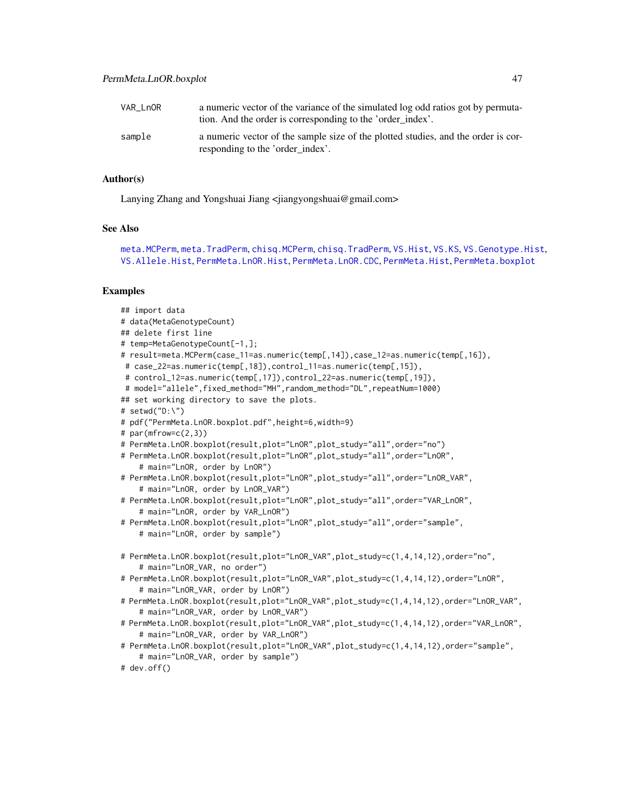| VAR LnOR | a numeric vector of the variance of the simulated log odd ratios got by permuta-<br>tion. And the order is corresponding to the 'order index'. |
|----------|------------------------------------------------------------------------------------------------------------------------------------------------|
| sample   | a numeric vector of the sample size of the plotted studies, and the order is cor-<br>responding to the 'order index'.                          |

# Author(s)

Lanying Zhang and Yongshuai Jiang <jiangyongshuai@gmail.com>

### See Also

```
meta.MCPerm, meta.TradPerm, chisq.MCPerm, chisq.TradPerm, VS.Hist, VS.KS, VS.Genotype.Hist,
VS.Allele.Hist, PermMeta.LnOR.Hist, PermMeta.LnOR.CDC, PermMeta.Hist, PermMeta.boxplot
```
# Examples

```
## import data
# data(MetaGenotypeCount)
## delete first line
# temp=MetaGenotypeCount[-1,];
# result=meta.MCPerm(case_11=as.numeric(temp[,14]),case_12=as.numeric(temp[,16]),
# case_22=as.numeric(temp[,18]),control_11=as.numeric(temp[,15]),
# control_12=as.numeric(temp[,17]),control_22=as.numeric(temp[,19]),
# model="allele",fixed_method="MH",random_method="DL",repeatNum=1000)
## set working directory to save the plots.
# setwd("D:\")
# pdf("PermMeta.LnOR.boxplot.pdf",height=6,width=9)
# par(mfrow=c(2,3))
# PermMeta.LnOR.boxplot(result,plot="LnOR",plot_study="all",order="no")
# PermMeta.LnOR.boxplot(result,plot="LnOR",plot_study="all",order="LnOR",
    # main="LnOR, order by LnOR")
# PermMeta.LnOR.boxplot(result,plot="LnOR",plot_study="all",order="LnOR_VAR",
    # main="LnOR, order by LnOR_VAR")
# PermMeta.LnOR.boxplot(result,plot="LnOR",plot_study="all",order="VAR_LnOR",
    # main="LnOR, order by VAR_LnOR")
# PermMeta.LnOR.boxplot(result,plot="LnOR",plot_study="all",order="sample",
    # main="LnOR, order by sample")
# PermMeta.LnOR.boxplot(result,plot="LnOR_VAR",plot_study=c(1,4,14,12),order="no",
    # main="LnOR_VAR, no order")
# PermMeta.LnOR.boxplot(result,plot="LnOR_VAR",plot_study=c(1,4,14,12),order="LnOR",
    # main="LnOR_VAR, order by LnOR")
# PermMeta.LnOR.boxplot(result,plot="LnOR_VAR",plot_study=c(1,4,14,12),order="LnOR_VAR",
    # main="LnOR_VAR, order by LnOR_VAR")
# PermMeta.LnOR.boxplot(result,plot="LnOR_VAR",plot_study=c(1,4,14,12),order="VAR_LnOR",
    # main="LnOR_VAR, order by VAR_LnOR")
# PermMeta.LnOR.boxplot(result,plot="LnOR_VAR",plot_study=c(1,4,14,12),order="sample",
    # main="LnOR_VAR, order by sample")
# dev.off()
```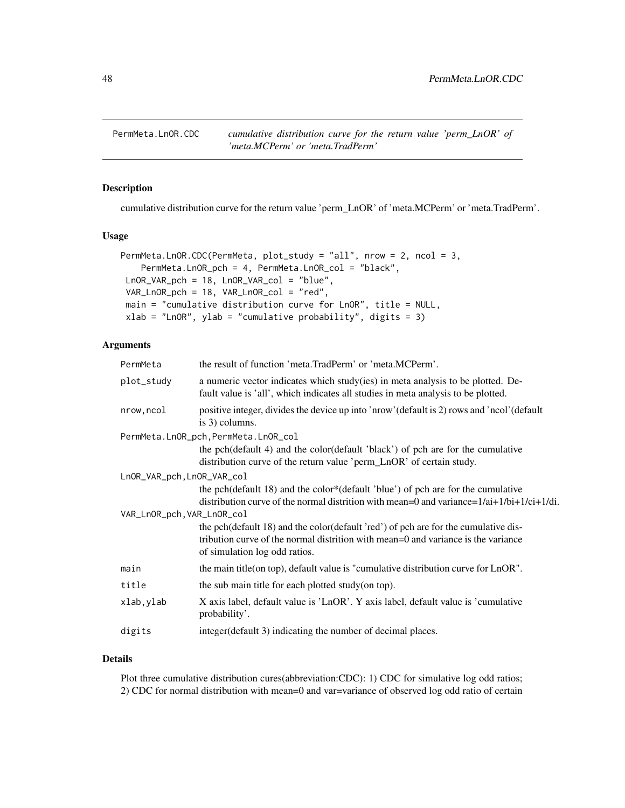<span id="page-47-0"></span>PermMeta.LnOR.CDC *cumulative distribution curve for the return value 'perm\_LnOR' of 'meta.MCPerm' or 'meta.TradPerm'*

## Description

cumulative distribution curve for the return value 'perm\_LnOR' of 'meta.MCPerm' or 'meta.TradPerm'.

### Usage

```
PermMeta.LnOR.CDC(PermMeta, plot_study = "all", nrow = 2, ncol = 3,
   PermMeta.LnOR_pch = 4, PermMeta.LnOR_col = "black",
LnOR_VAR_pch = 18, LnOR_VAR_col = "blue",
VAR_LnOR_pch = 18, VAR_LnOR_col = "red",
main = "cumulative distribution curve for LnOR", title = NULL,
xlab = "LnOR", ylab = "cumulative probability", digits = 3)
```
## Arguments

| PermMeta                   | the result of function 'meta.TradPerm' or 'meta.MCPerm'.                                                                                                                                                  |
|----------------------------|-----------------------------------------------------------------------------------------------------------------------------------------------------------------------------------------------------------|
| plot_study                 | a numeric vector indicates which study(ies) in meta analysis to be plotted. De-<br>fault value is 'all', which indicates all studies in meta analysis to be plotted.                                      |
| nrow, ncol                 | positive integer, divides the device up into 'nrow' (default is 2) rows and 'ncol' (default<br>is 3) columns.                                                                                             |
|                            | PermMeta.LnOR_pch, PermMeta.LnOR_col                                                                                                                                                                      |
|                            | the pch(default 4) and the color(default 'black') of pch are for the cumulative<br>distribution curve of the return value 'perm_LnOR' of certain study.                                                   |
| LnOR_VAR_pch, LnOR_VAR_col |                                                                                                                                                                                                           |
|                            | the pch(default 18) and the color*(default 'blue') of pch are for the cumulative<br>distribution curve of the normal distrition with mean=0 and variance= $1/ai+1/bi+1/ci+1/di$ .                         |
| VAR_LnOR_pch, VAR_LnOR_col |                                                                                                                                                                                                           |
|                            | the pch(default 18) and the color(default 'red') of pch are for the cumulative dis-<br>tribution curve of the normal distrition with mean=0 and variance is the variance<br>of simulation log odd ratios. |
| main                       | the main title (on top), default value is "cumulative distribution curve for LnOR".                                                                                                                       |
| title                      | the sub main title for each plotted study (on top).                                                                                                                                                       |
| xlab, ylab                 | X axis label, default value is 'LnOR'. Y axis label, default value is 'cumulative<br>probability'.                                                                                                        |
| digits                     | integer(default 3) indicating the number of decimal places.                                                                                                                                               |
|                            |                                                                                                                                                                                                           |

## Details

Plot three cumulative distribution cures(abbreviation:CDC): 1) CDC for simulative log odd ratios; 2) CDC for normal distribution with mean=0 and var=variance of observed log odd ratio of certain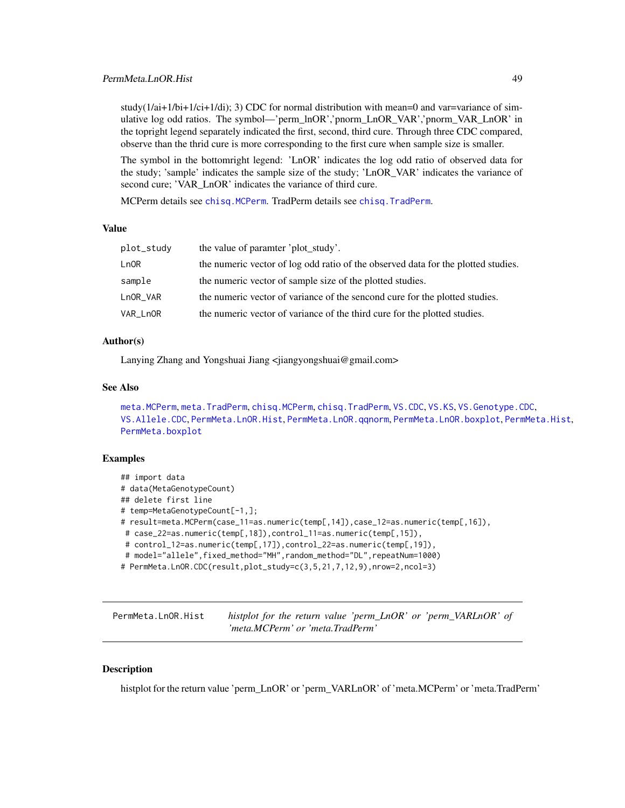study( $1/a$ i+ $1/b$ i+ $1/c$ i+ $1/d$ i); 3) CDC for normal distribution with mean=0 and var=variance of simulative log odd ratios. The symbol—'perm\_lnOR','pnorm\_LnOR\_VAR','pnorm\_VAR\_LnOR' in the topright legend separately indicated the first, second, third cure. Through three CDC compared, observe than the thrid cure is more corresponding to the first cure when sample size is smaller.

The symbol in the bottomright legend: 'LnOR' indicates the log odd ratio of observed data for the study; 'sample' indicates the sample size of the study; 'LnOR\_VAR' indicates the variance of second cure; 'VAR\_LnOR' indicates the variance of third cure.

MCPerm details see [chisq.MCPerm](#page-9-0). TradPerm details see [chisq.TradPerm](#page-11-0).

### Value

| the value of paramter 'plot_study'.                                               |
|-----------------------------------------------------------------------------------|
| the numeric vector of log odd ratio of the observed data for the plotted studies. |
| the numeric vector of sample size of the plotted studies.                         |
| the numeric vector of variance of the sencond cure for the plotted studies.       |
| the numeric vector of variance of the third cure for the plotted studies.         |
|                                                                                   |

## Author(s)

Lanying Zhang and Yongshuai Jiang <jiangyongshuai@gmail.com>

### See Also

```
meta.MCPerm, meta.TradPerm, chisq.MCPerm, chisq.TradPerm, VS.CDC, VS.KS, VS.Genotype.CDC,
VS.Allele.CDC, PermMeta.LnOR.Hist, PermMeta.LnOR.qqnorm, PermMeta.LnOR.boxplot, PermMeta.Hist,
PermMeta.boxplot
```
### Examples

```
## import data
# data(MetaGenotypeCount)
## delete first line
# temp=MetaGenotypeCount[-1,];
# result=meta.MCPerm(case_11=as.numeric(temp[,14]),case_12=as.numeric(temp[,16]),
# case_22=as.numeric(temp[,18]),control_11=as.numeric(temp[,15]),
# control_12=as.numeric(temp[,17]),control_22=as.numeric(temp[,19]),
 # model="allele",fixed_method="MH",random_method="DL",repeatNum=1000)
# PermMeta.LnOR.CDC(result,plot_study=c(3,5,21,7,12,9),nrow=2,ncol=3)
```
<span id="page-48-0"></span>PermMeta.LnOR.Hist *histplot for the return value 'perm\_LnOR' or 'perm\_VARLnOR' of 'meta.MCPerm' or 'meta.TradPerm'*

## **Description**

histplot for the return value 'perm\_LnOR' or 'perm\_VARLnOR' of 'meta.MCPerm' or 'meta.TradPerm'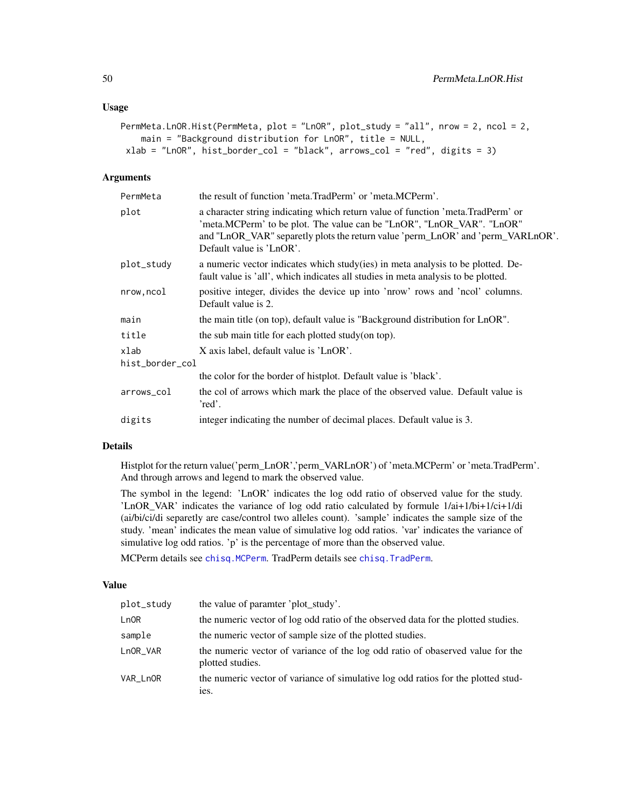### Usage

```
PermMeta.LnOR.Hist(PermMeta, plot = "LnOR", plot_study = "all", nrow = 2, ncol = 2,
   main = "Background distribution for LnOR", title = NULL,
xlab = "LnOR", hist_border_col = "black", arrows_col = "red", digits = 3)
```
## Arguments

| PermMeta        | the result of function 'meta.TradPerm' or 'meta.MCPerm'.                                                                                                                                                                                                                 |
|-----------------|--------------------------------------------------------------------------------------------------------------------------------------------------------------------------------------------------------------------------------------------------------------------------|
| plot            | a character string indicating which return value of function 'meta. TradPerm' or<br>'meta.MCPerm' to be plot. The value can be "LnOR", "LnOR_VAR". "LnOR"<br>and "LnOR_VAR" separetly plots the return value 'perm_LnOR' and 'perm_VARLnOR'.<br>Default value is 'LnOR'. |
| plot_study      | a numeric vector indicates which study (ies) in meta analysis to be plotted. De-<br>fault value is 'all', which indicates all studies in meta analysis to be plotted.                                                                                                    |
| nrow, ncol      | positive integer, divides the device up into 'nrow' rows and 'ncol' columns.<br>Default value is 2.                                                                                                                                                                      |
| main            | the main title (on top), default value is "Background distribution for LnOR".                                                                                                                                                                                            |
| title           | the sub main title for each plotted study (on top).                                                                                                                                                                                                                      |
| xlab            | X axis label, default value is 'LnOR'.                                                                                                                                                                                                                                   |
| hist_border_col |                                                                                                                                                                                                                                                                          |
|                 | the color for the border of histplot. Default value is 'black'.                                                                                                                                                                                                          |
| arrows_col      | the col of arrows which mark the place of the observed value. Default value is<br>'red'.                                                                                                                                                                                 |
| digits          | integer indicating the number of decimal places. Default value is 3.                                                                                                                                                                                                     |

### Details

Histplot for the return value('perm\_LnOR','perm\_VARLnOR') of 'meta.MCPerm' or 'meta.TradPerm'. And through arrows and legend to mark the observed value.

The symbol in the legend: 'LnOR' indicates the log odd ratio of observed value for the study. 'LnOR\_VAR' indicates the variance of log odd ratio calculated by formule 1/ai+1/bi+1/ci+1/di (ai/bi/ci/di separetly are case/control two alleles count). 'sample' indicates the sample size of the study. 'mean' indicates the mean value of simulative log odd ratios. 'var' indicates the variance of simulative log odd ratios. 'p' is the percentage of more than the observed value.

MCPerm details see [chisq.MCPerm](#page-9-0). TradPerm details see [chisq.TradPerm](#page-11-0).

# Value

| plot_study | the value of paramter 'plot_study'.                                                                |
|------------|----------------------------------------------------------------------------------------------------|
| LnOR       | the numeric vector of log odd ratio of the observed data for the plotted studies.                  |
| sample     | the numeric vector of sample size of the plotted studies.                                          |
| LnOR_VAR   | the numeric vector of variance of the log odd ratio of obaserved value for the<br>plotted studies. |
| VAR LnOR   | the numeric vector of variance of simulative log odd ratios for the plotted stud-<br>ies.          |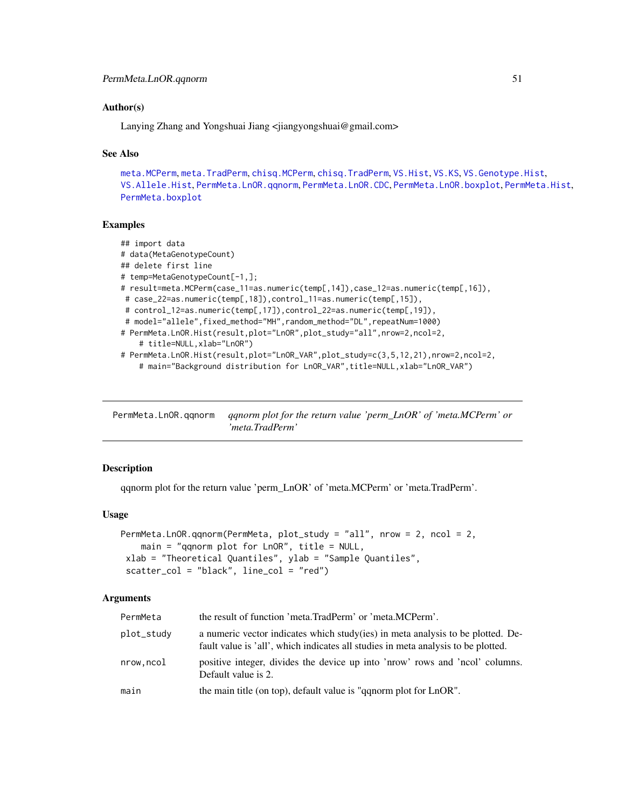### Author(s)

Lanying Zhang and Yongshuai Jiang <jiangyongshuai@gmail.com>

### See Also

```
meta.MCPerm, meta.TradPerm, chisq.MCPerm, chisq.TradPerm, VS.Hist, VS.KS, VS.Genotype.Hist,
VS.Allele.Hist, PermMeta.LnOR.qqnorm, PermMeta.LnOR.CDC, PermMeta.LnOR.boxplot, PermMeta.Hist,
PermMeta.boxplot
```
# Examples

```
## import data
# data(MetaGenotypeCount)
## delete first line
# temp=MetaGenotypeCount[-1,];
# result=meta.MCPerm(case_11=as.numeric(temp[,14]),case_12=as.numeric(temp[,16]),
# case_22=as.numeric(temp[,18]),control_11=as.numeric(temp[,15]),
 # control_12=as.numeric(temp[,17]),control_22=as.numeric(temp[,19]),
 # model="allele",fixed_method="MH",random_method="DL",repeatNum=1000)
# PermMeta.LnOR.Hist(result,plot="LnOR",plot_study="all",nrow=2,ncol=2,
    # title=NULL,xlab="LnOR")
# PermMeta.LnOR.Hist(result,plot="LnOR_VAR",plot_study=c(3,5,12,21),nrow=2,ncol=2,
    # main="Background distribution for LnOR_VAR",title=NULL,xlab="LnOR_VAR")
```
<span id="page-50-0"></span>PermMeta.LnOR.qqnorm *qqnorm plot for the return value 'perm\_LnOR' of 'meta.MCPerm' or 'meta.TradPerm'*

## **Description**

qqnorm plot for the return value 'perm\_LnOR' of 'meta.MCPerm' or 'meta.TradPerm'.

### Usage

```
PermMeta.LnOR.qqnorm(PermMeta, plot_study = "all", nrow = 2, ncol = 2,
   main = "qqnorm plot for LnOR", title = NULL,
xlab = "Theoretical Quantiles", ylab = "Sample Quantiles",
 scatter_col = "black", line_col = "red")
```
## Arguments

| PermMeta   | the result of function 'meta.TradPerm' or 'meta.MCPerm'.                                                                                                              |
|------------|-----------------------------------------------------------------------------------------------------------------------------------------------------------------------|
| plot_study | a numeric vector indicates which study (ies) in meta analysis to be plotted. De-<br>fault value is 'all', which indicates all studies in meta analysis to be plotted. |
| nrow.ncol  | positive integer, divides the device up into 'nrow' rows and 'ncol' columns.<br>Default value is 2.                                                                   |
| main       | the main title (on top), default value is "qqnorm plot for LnOR".                                                                                                     |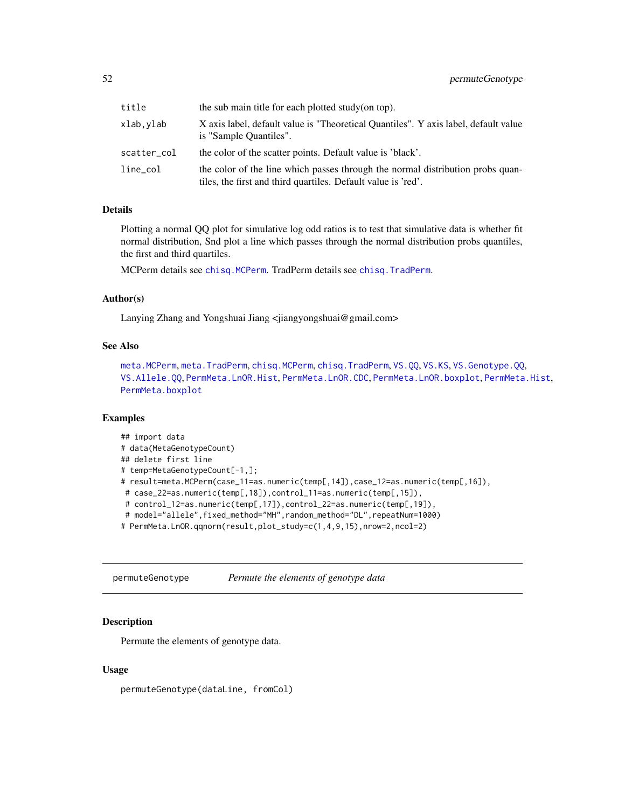| title       | the sub main title for each plotted study (on top).                                                                                             |
|-------------|-------------------------------------------------------------------------------------------------------------------------------------------------|
| xlab.vlab   | X axis label, default value is "Theoretical Quantiles". Y axis label, default value<br>is "Sample Quantiles".                                   |
| scatter_col | the color of the scatter points. Default value is 'black'.                                                                                      |
| line_col    | the color of the line which passes through the normal distribution probs quan-<br>tiles, the first and third quartiles. Default value is 'red'. |

### Details

Plotting a normal QQ plot for simulative log odd ratios is to test that simulative data is whether fit normal distribution, Snd plot a line which passes through the normal distribution probs quantiles, the first and third quartiles.

MCPerm details see [chisq.MCPerm](#page-9-0). TradPerm details see [chisq.TradPerm](#page-11-0).

## Author(s)

Lanying Zhang and Yongshuai Jiang <jiangyongshuai@gmail.com>

### See Also

```
meta.MCPerm, meta.TradPerm, chisq.MCPerm, chisq.TradPerm, VS.QQ, VS.KS, VS.Genotype.QQ,
VS.Allele.QQ, PermMeta.LnOR.Hist, PermMeta.LnOR.CDC, PermMeta.LnOR.boxplot, PermMeta.Hist,
PermMeta.boxplot
```
# Examples

```
## import data
# data(MetaGenotypeCount)
## delete first line
# temp=MetaGenotypeCount[-1,];
# result=meta.MCPerm(case_11=as.numeric(temp[,14]),case_12=as.numeric(temp[,16]),
# case_22=as.numeric(temp[,18]),control_11=as.numeric(temp[,15]),
 # control_12=as.numeric(temp[,17]),control_22=as.numeric(temp[,19]),
 # model="allele",fixed_method="MH",random_method="DL",repeatNum=1000)
# PermMeta.LnOR.qqnorm(result,plot_study=c(1,4,9,15),nrow=2,ncol=2)
```
<span id="page-51-0"></span>permuteGenotype *Permute the elements of genotype data*

# Description

Permute the elements of genotype data.

### Usage

permuteGenotype(dataLine, fromCol)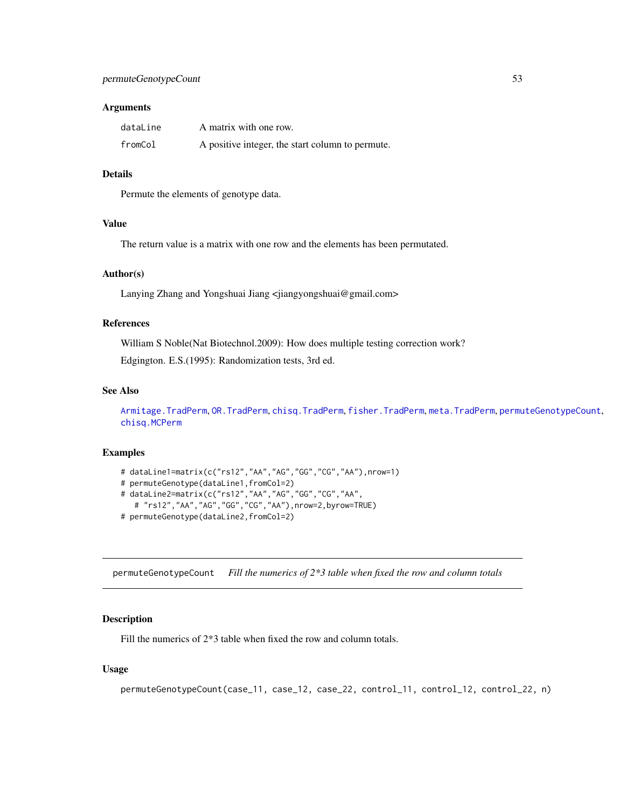#### **Arguments**

| dataLine | A matrix with one row.                           |
|----------|--------------------------------------------------|
| fromCol  | A positive integer, the start column to permute. |

# Details

Permute the elements of genotype data.

## Value

The return value is a matrix with one row and the elements has been permutated.

### Author(s)

Lanying Zhang and Yongshuai Jiang <jiangyongshuai@gmail.com>

### References

William S Noble(Nat Biotechnol.2009): How does multiple testing correction work?

Edgington. E.S.(1995): Randomization tests, 3rd ed.

### See Also

[Armitage.TradPerm](#page-7-0), [OR.TradPerm](#page-38-0), [chisq.TradPerm](#page-11-0), [fisher.TradPerm](#page-16-0), [meta.TradPerm](#page-31-0), [permuteGenotypeCount](#page-52-0), [chisq.MCPerm](#page-9-0)

## Examples

```
# dataLine1=matrix(c("rs12","AA","AG","GG","CG","AA"),nrow=1)
# permuteGenotype(dataLine1,fromCol=2)
# dataLine2=matrix(c("rs12","AA","AG","GG","CG","AA",
  # "rs12","AA","AG","GG","CG","AA"),nrow=2,byrow=TRUE)
# permuteGenotype(dataLine2,fromCol=2)
```
<span id="page-52-0"></span>permuteGenotypeCount *Fill the numerics of 2\*3 table when fixed the row and column totals*

#### Description

Fill the numerics of  $2*3$  table when fixed the row and column totals.

# Usage

```
permuteGenotypeCount(case_11, case_12, case_22, control_11, control_12, control_22, n)
```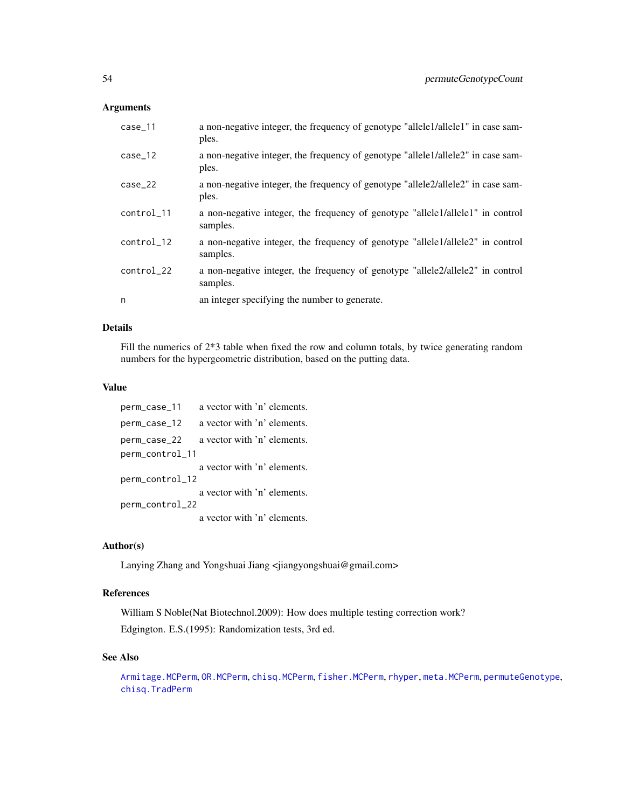# Arguments

| $case_11$  | a non-negative integer, the frequency of genotype "allele1/allele1" in case sam-<br>ples.  |
|------------|--------------------------------------------------------------------------------------------|
| $case_12$  | a non-negative integer, the frequency of genotype "allele1/allele2" in case sam-<br>ples.  |
| $case_22$  | a non-negative integer, the frequency of genotype "allele2/allele2" in case sam-<br>ples.  |
| control_11 | a non-negative integer, the frequency of genotype "allele1/allele1" in control<br>samples. |
| control_12 | a non-negative integer, the frequency of genotype "allele1/allele2" in control<br>samples. |
| control_22 | a non-negative integer, the frequency of genotype "allele2/allele2" in control<br>samples. |
| n          | an integer specifying the number to generate.                                              |

# Details

Fill the numerics of 2\*3 table when fixed the row and column totals, by twice generating random numbers for the hypergeometric distribution, based on the putting data.

# Value

| perm_case_11    | a vector with 'n' elements. |  |
|-----------------|-----------------------------|--|
| perm_case_12    | a vector with 'n' elements. |  |
| perm_case_22    | a vector with 'n' elements. |  |
| perm_control_11 |                             |  |
|                 | a vector with 'n' elements. |  |
| perm_control_12 |                             |  |
|                 | a vector with 'n' elements. |  |
| perm_control_22 |                             |  |
|                 | a vector with 'n' elements. |  |

# Author(s)

Lanying Zhang and Yongshuai Jiang <jiangyongshuai@gmail.com>

# References

William S Noble(Nat Biotechnol.2009): How does multiple testing correction work? Edgington. E.S.(1995): Randomization tests, 3rd ed.

# See Also

[Armitage.MCPerm](#page-6-0), [OR.MCPerm](#page-36-0), [chisq.MCPerm](#page-9-0), [fisher.MCPerm](#page-14-0), [rhyper](#page-0-0), [meta.MCPerm](#page-28-0), [permuteGenotype](#page-51-0), [chisq.TradPerm](#page-11-0)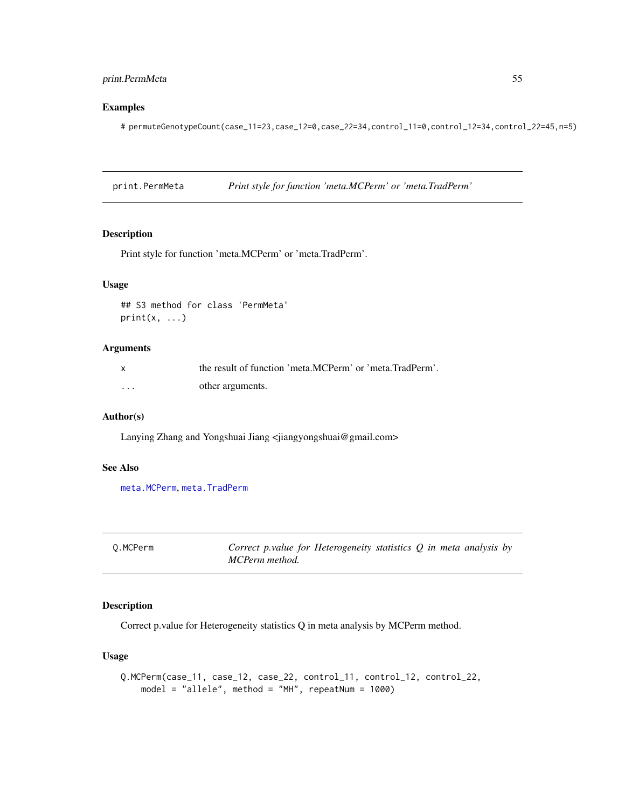# print.PermMeta 55

# Examples

# permuteGenotypeCount(case\_11=23,case\_12=0,case\_22=34,control\_11=0,control\_12=34,control\_22=45,n=5)

print.PermMeta *Print style for function 'meta.MCPerm' or 'meta.TradPerm'*

### Description

Print style for function 'meta.MCPerm' or 'meta.TradPerm'.

# Usage

```
## S3 method for class 'PermMeta'
print(x, \ldots)
```
# Arguments

| $\mathsf{x}$ | the result of function 'meta.MCPerm' or 'meta.TradPerm'. |
|--------------|----------------------------------------------------------|
| .            | other arguments.                                         |

## Author(s)

Lanying Zhang and Yongshuai Jiang <jiangyongshuai@gmail.com>

# See Also

[meta.MCPerm](#page-28-0), [meta.TradPerm](#page-31-0)

<span id="page-54-0"></span>

| 0.MCPerm | Correct p.value for Heterogeneity statistics $Q$ in meta analysis by |  |
|----------|----------------------------------------------------------------------|--|
|          | MCPerm method.                                                       |  |

# Description

Correct p.value for Heterogeneity statistics Q in meta analysis by MCPerm method.

# Usage

```
Q.MCPerm(case_11, case_12, case_22, control_11, control_12, control_22,
   model = "allele", method = "MH", repeatNum = 1000)
```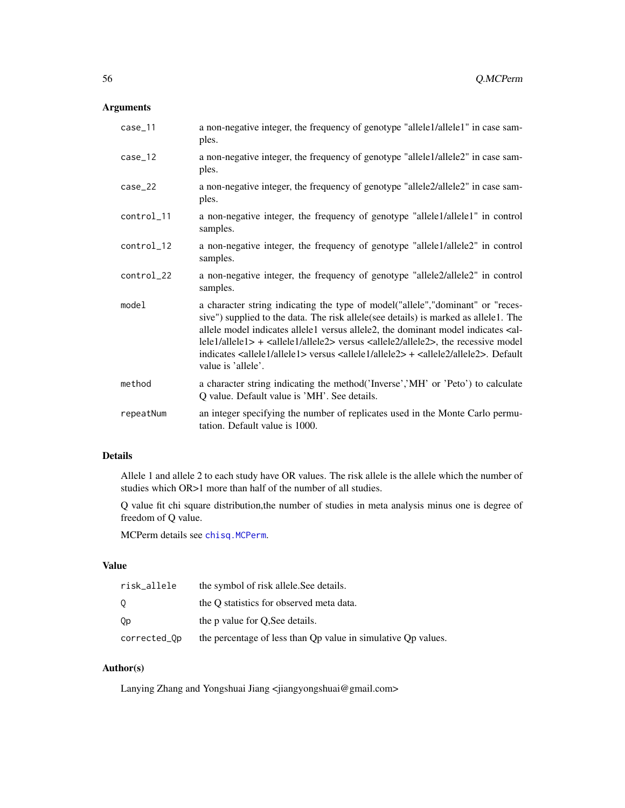# Arguments

| case_11    | a non-negative integer, the frequency of genotype "allele1/allele1" in case sam-<br>ples.                                                                                                                                                                                                                                                                                                                                                                                                                                                              |
|------------|--------------------------------------------------------------------------------------------------------------------------------------------------------------------------------------------------------------------------------------------------------------------------------------------------------------------------------------------------------------------------------------------------------------------------------------------------------------------------------------------------------------------------------------------------------|
| $case_12$  | a non-negative integer, the frequency of genotype "allele1/allele2" in case sam-<br>ples.                                                                                                                                                                                                                                                                                                                                                                                                                                                              |
| $case_22$  | a non-negative integer, the frequency of genotype "allele2/allele2" in case sam-<br>ples.                                                                                                                                                                                                                                                                                                                                                                                                                                                              |
| control_11 | a non-negative integer, the frequency of genotype "allele1/allele1" in control<br>samples.                                                                                                                                                                                                                                                                                                                                                                                                                                                             |
| control_12 | a non-negative integer, the frequency of genotype "allele1/allele2" in control<br>samples.                                                                                                                                                                                                                                                                                                                                                                                                                                                             |
| control_22 | a non-negative integer, the frequency of genotype "allele2/allele2" in control<br>samples.                                                                                                                                                                                                                                                                                                                                                                                                                                                             |
| model      | a character string indicating the type of model ("allele", "dominant" or "reces-<br>sive") supplied to the data. The risk allele(see details) is marked as allele1. The<br>allele model indicates allele1 versus allele2, the dominant model indicates <al-<br><math>lel/allele1&gt; + <a>allele1/allele2&gt;</a></math> versus <math>&lt;allele2/allele2&gt;</math>, the recessive model<br/>indicates <allele1 allele1=""> versus <allele1 allele2=""> + <allele2 allele2="">. Default<br/>value is 'allele'.</allele2></allele1></allele1></al-<br> |
| method     | a character string indicating the method ('Inverse','MH' or 'Peto') to calculate<br>Q value. Default value is 'MH'. See details.                                                                                                                                                                                                                                                                                                                                                                                                                       |
| repeatNum  | an integer specifying the number of replicates used in the Monte Carlo permu-<br>tation. Default value is 1000.                                                                                                                                                                                                                                                                                                                                                                                                                                        |

# Details

Allele 1 and allele 2 to each study have OR values. The risk allele is the allele which the number of studies which OR>1 more than half of the number of all studies.

Q value fit chi square distribution,the number of studies in meta analysis minus one is degree of freedom of Q value.

MCPerm details see [chisq.MCPerm](#page-9-0).

### Value

| risk_allele  | the symbol of risk allele. See details.                       |
|--------------|---------------------------------------------------------------|
| 0            | the Q statistics for observed meta data.                      |
| Qр           | the p value for O.See details.                                |
| corrected_Op | the percentage of less than Qp value in simulative Qp values. |

# Author(s)

Lanying Zhang and Yongshuai Jiang <jiangyongshuai@gmail.com>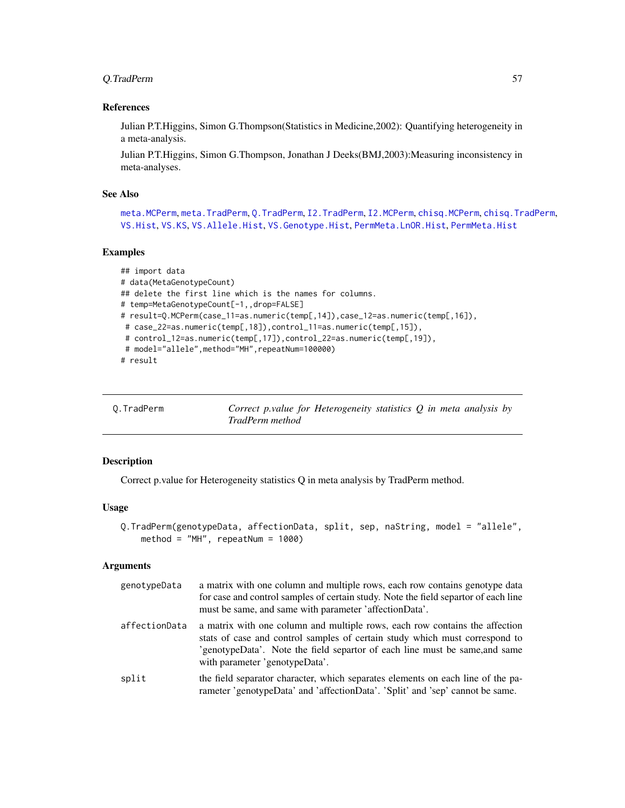# Q.TradPerm 57

### References

Julian P.T.Higgins, Simon G.Thompson(Statistics in Medicine,2002): Quantifying heterogeneity in a meta-analysis.

Julian P.T.Higgins, Simon G.Thompson, Jonathan J Deeks(BMJ,2003):Measuring inconsistency in meta-analyses.

### See Also

[meta.MCPerm](#page-28-0), [meta.TradPerm](#page-31-0), [Q.TradPerm](#page-56-0), [I2.TradPerm](#page-24-0), [I2.MCPerm](#page-22-0), [chisq.MCPerm](#page-9-0), [chisq.TradPerm](#page-11-0), [VS.Hist](#page-74-0), [VS.KS](#page-76-0), [VS.Allele.Hist](#page-60-0), [VS.Genotype.Hist](#page-69-0), [PermMeta.LnOR.Hist](#page-48-0), [PermMeta.Hist](#page-43-0)

### Examples

```
## import data
# data(MetaGenotypeCount)
## delete the first line which is the names for columns.
# temp=MetaGenotypeCount[-1,,drop=FALSE]
# result=Q.MCPerm(case_11=as.numeric(temp[,14]),case_12=as.numeric(temp[,16]),
# case_22=as.numeric(temp[,18]),control_11=as.numeric(temp[,15]),
# control_12=as.numeric(temp[,17]),control_22=as.numeric(temp[,19]),
# model="allele", method="MH", repeatNum=100000)
# result
```
<span id="page-56-0"></span>

| 0.TradPerm | Correct p.value for Heterogeneity statistics $Q$ in meta analysis by |
|------------|----------------------------------------------------------------------|
|            | TradPerm method                                                      |

# Description

Correct p.value for Heterogeneity statistics Q in meta analysis by TradPerm method.

### Usage

```
Q.TradPerm(genotypeData, affectionData, split, sep, naString, model = "allele",
   method = "MH", repeatNum = 1000)
```
# Arguments

| genotypeData  | a matrix with one column and multiple rows, each row contains genotype data<br>for case and control samples of certain study. Note the field separtor of each line<br>must be same, and same with parameter 'affectionData'.                                                |
|---------------|-----------------------------------------------------------------------------------------------------------------------------------------------------------------------------------------------------------------------------------------------------------------------------|
| affectionData | a matrix with one column and multiple rows, each row contains the affection<br>stats of case and control samples of certain study which must correspond to<br>'genotypeData'. Note the field separtor of each line must be same, and same<br>with parameter 'genotypeData'. |
| split         | the field separator character, which separates elements on each line of the pa-<br>rameter 'genotypeData' and 'affectionData'. 'Split' and 'sep' cannot be same.                                                                                                            |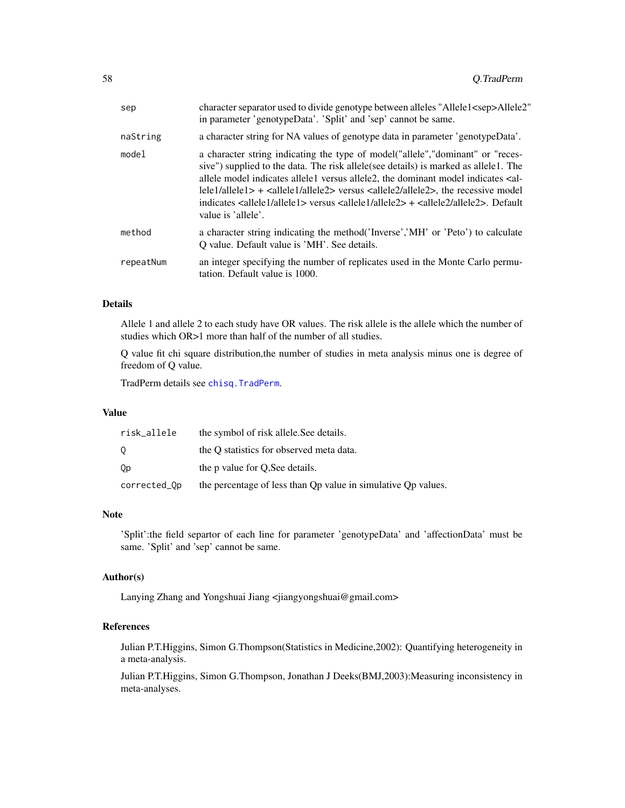| sep       | character separator used to divide genotype between alleles "Allele1 <sep>Allele2"<br/>in parameter 'genotypeData'. 'Split' and 'sep' cannot be same.</sep>                                                                                                                                                                                                                                                                                                                                                                                                                                                                                             |
|-----------|---------------------------------------------------------------------------------------------------------------------------------------------------------------------------------------------------------------------------------------------------------------------------------------------------------------------------------------------------------------------------------------------------------------------------------------------------------------------------------------------------------------------------------------------------------------------------------------------------------------------------------------------------------|
| naString  | a character string for NA values of genotype data in parameter 'genotypeData'.                                                                                                                                                                                                                                                                                                                                                                                                                                                                                                                                                                          |
| model     | a character string indicating the type of model ("allele", "dominant" or "reces-<br>sive") supplied to the data. The risk allele (see details) is marked as allele1. The<br>allele model indicates allele1 versus allele2, the dominant model indicates <al-<br><math>lel/allele1&gt; + <a lel allele2=""></a lel></math> versus <math>&lt;allele2/allele2&gt;</math>, the recessive model<br/>indicates <math>\leq</math>allele<math>1</math>/allele<math>1</math>&gt; versus <math>\leq</math>allele<math>1</math>/allele<math>2</math>&gt; + <math>\leq</math>allele<math>2</math>/allele<math>2</math>&gt;. Default<br/>value is 'allele'.</al-<br> |
| method    | a character string indicating the method ('Inverse','MH' or 'Peto') to calculate<br>O value. Default value is 'MH'. See details.                                                                                                                                                                                                                                                                                                                                                                                                                                                                                                                        |
| repeatNum | an integer specifying the number of replicates used in the Monte Carlo permu-<br>tation. Default value is 1000.                                                                                                                                                                                                                                                                                                                                                                                                                                                                                                                                         |

# Details

Allele 1 and allele 2 to each study have OR values. The risk allele is the allele which the number of studies which OR>1 more than half of the number of all studies.

Q value fit chi square distribution,the number of studies in meta analysis minus one is degree of freedom of Q value.

TradPerm details see [chisq.TradPerm](#page-11-0).

### Value

| risk_allele  | the symbol of risk allele. See details.                       |
|--------------|---------------------------------------------------------------|
|              | the O statistics for observed meta data.                      |
| Qр           | the p value for O.See details.                                |
| corrected_Qp | the percentage of less than Qp value in simulative Qp values. |

### Note

'Split':the field separtor of each line for parameter 'genotypeData' and 'affectionData' must be same. 'Split' and 'sep' cannot be same.

### Author(s)

Lanying Zhang and Yongshuai Jiang <jiangyongshuai@gmail.com>

### References

Julian P.T.Higgins, Simon G.Thompson(Statistics in Medicine,2002): Quantifying heterogeneity in a meta-analysis.

Julian P.T.Higgins, Simon G.Thompson, Jonathan J Deeks(BMJ,2003):Measuring inconsistency in meta-analyses.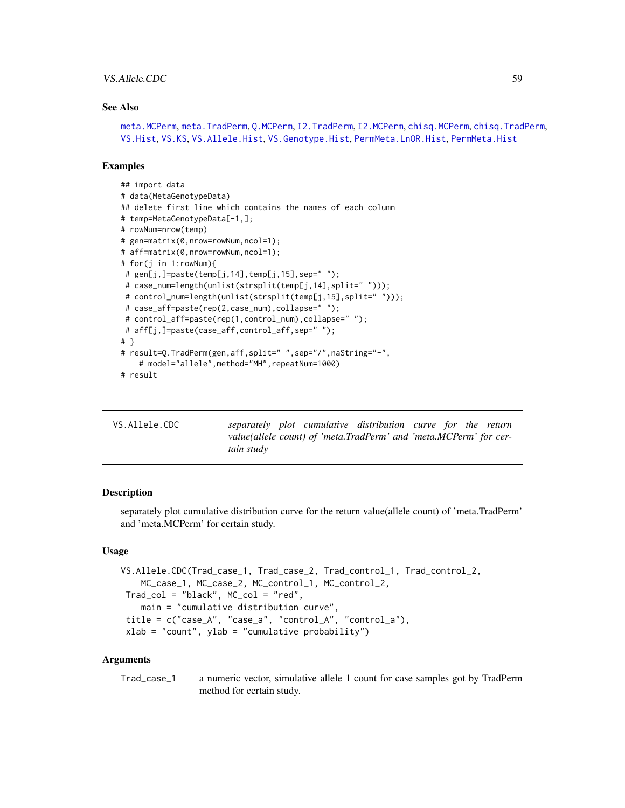## VS. Allele.CDC 59

### See Also

```
meta.MCPerm, meta.TradPerm, Q.MCPerm, I2.TradPerm, I2.MCPerm, chisq.MCPerm, chisq.TradPerm,
VS.Hist, VS.KS, VS.Allele.Hist, VS.Genotype.Hist, PermMeta.LnOR.Hist, PermMeta.Hist
```
### Examples

```
## import data
# data(MetaGenotypeData)
## delete first line which contains the names of each column
# temp=MetaGenotypeData[-1,];
# rowNum=nrow(temp)
# gen=matrix(0,nrow=rowNum,ncol=1);
# aff=matrix(0,nrow=rowNum,ncol=1);
# for(j in 1:rowNum){
# gen[j,]=paste(temp[j,14],temp[j,15],sep=' ';
# case_num=length(unlist(strsplit(temp[j,14],split=" ")));
# control_num=length(unlist(strsplit(temp[j,15],split=" ")));
# case_aff=paste(rep(2,case_num),collapse=" ");
# control_aff=paste(rep(1,control_num),collapse=" ");
# aff[j,]=paste(case_aff,control_aff,sep=" ");
# }
# result=Q.TradPerm(gen,aff,split=" ",sep="/",naString="-",
    # model="allele",method="MH",repeatNum=1000)
# result
```
<span id="page-58-0"></span>

| VS.Allele.CDC |            |  | separately plot cumulative distribution curve for the return      |  |  |
|---------------|------------|--|-------------------------------------------------------------------|--|--|
|               |            |  | value(allele count) of 'meta.TradPerm' and 'meta.MCPerm' for cer- |  |  |
|               | tain study |  |                                                                   |  |  |

# Description

separately plot cumulative distribution curve for the return value(allele count) of 'meta.TradPerm' and 'meta.MCPerm' for certain study.

#### Usage

```
VS.Allele.CDC(Trad_case_1, Trad_case_2, Trad_control_1, Trad_control_2,
   MC_case_1, MC_case_2, MC_control_1, MC_control_2,
Trad_col = "black", MC_col = "red",
   main = "cumulative distribution curve",
title = c("case_A", "case_a", "control_A", "control_a"),
xlab = "count", ylab = "cumulative probability")
```
### Arguments

Trad\_case\_1 a numeric vector, simulative allele 1 count for case samples got by TradPerm method for certain study.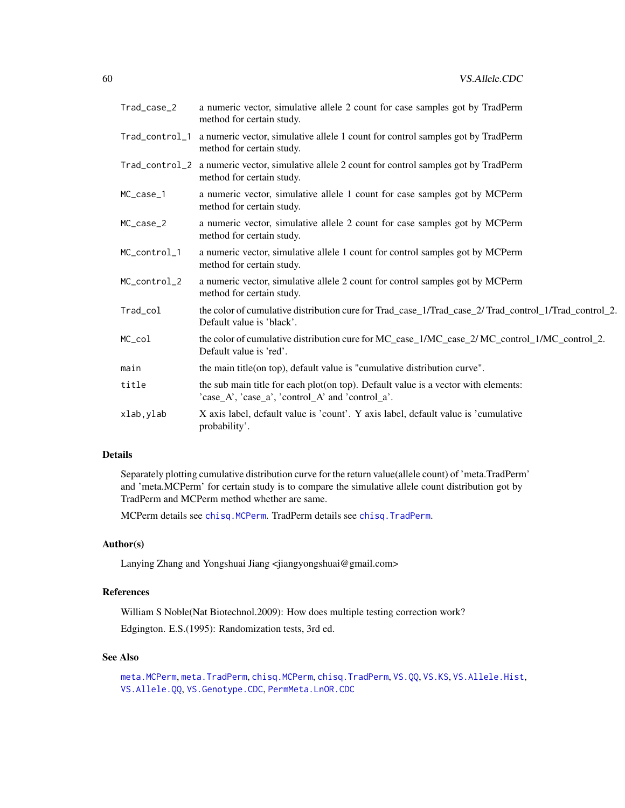| Trad_case_2  | a numeric vector, simulative allele 2 count for case samples got by TradPerm<br>method for certain study.                                                                |
|--------------|--------------------------------------------------------------------------------------------------------------------------------------------------------------------------|
|              | Trad_control_1 a numeric vector, simulative allele 1 count for control samples got by TradPerm<br>method for certain study.                                              |
|              | Trad_control_2 a numeric vector, simulative allele 2 count for control samples got by TradPerm<br>method for certain study.                                              |
| $MC\_case_1$ | a numeric vector, simulative allele 1 count for case samples got by MCPerm<br>method for certain study.                                                                  |
| MC_case_2    | a numeric vector, simulative allele 2 count for case samples got by MCPerm<br>method for certain study.                                                                  |
| MC_control_1 | a numeric vector, simulative allele 1 count for control samples got by MCPerm<br>method for certain study.                                                               |
| MC_control_2 | a numeric vector, simulative allele 2 count for control samples got by MCPerm<br>method for certain study.                                                               |
| Trad_col     | the color of cumulative distribution cure for Trad_case_1/Trad_case_2/Trad_control_1/Trad_control_2.<br>Default value is 'black'.                                        |
| MC_col       | the color of cumulative distribution cure for MC_case_1/MC_case_2/ MC_control_1/MC_control_2.<br>Default value is 'red'.                                                 |
| main         | the main title(on top), default value is "cumulative distribution curve".                                                                                                |
| title        | the sub main title for each plot(on top). Default value is a vector with elements:<br>$\text{'case\_A'}, \text{'case\_a'}, \text{'control\_A'} and \text{'control\_a'}.$ |
| xlab, ylab   | X axis label, default value is 'count'. Y axis label, default value is 'cumulative<br>probability'.                                                                      |

# Details

Separately plotting cumulative distribution curve for the return value(allele count) of 'meta.TradPerm' and 'meta.MCPerm' for certain study is to compare the simulative allele count distribution got by TradPerm and MCPerm method whether are same.

MCPerm details see [chisq.MCPerm](#page-9-0). TradPerm details see [chisq.TradPerm](#page-11-0).

# Author(s)

Lanying Zhang and Yongshuai Jiang <jiangyongshuai@gmail.com>

# References

William S Noble(Nat Biotechnol.2009): How does multiple testing correction work? Edgington. E.S.(1995): Randomization tests, 3rd ed.

# See Also

```
meta.MCPerm, meta.TradPerm, chisq.MCPerm, chisq.TradPerm, VS.QQ, VS.KS, VS.Allele.Hist,
VS.Allele.QQ, VS.Genotype.CDC, PermMeta.LnOR.CDC
```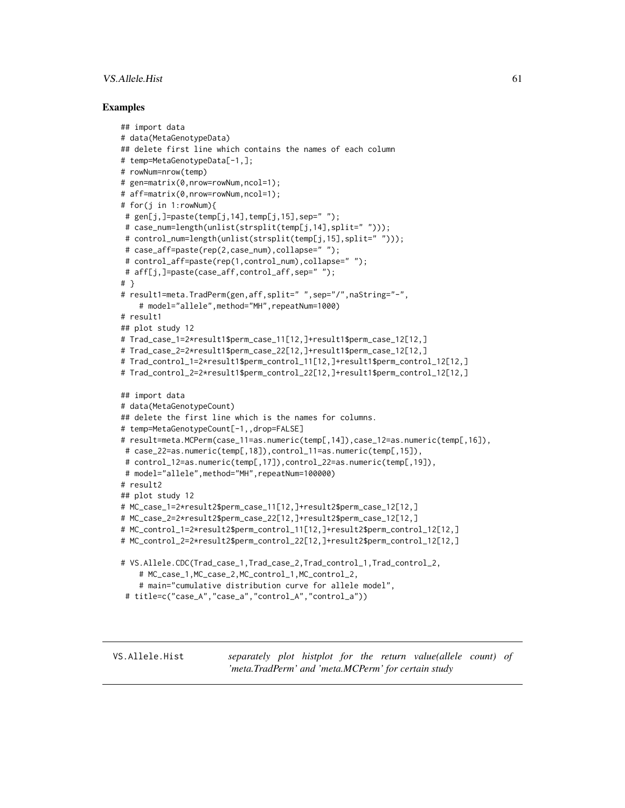# VS. Allele. Hist 61

### Examples

```
## import data
# data(MetaGenotypeData)
## delete first line which contains the names of each column
# temp=MetaGenotypeData[-1,];
# rowNum=nrow(temp)
# gen=matrix(0,nrow=rowNum,ncol=1);
# aff=matrix(0,nrow=rowNum,ncol=1);
# for(j in 1:rowNum){
# gen[j,]=paste(temp[j,14],temp[j,15],sep=" ");
# case_num=length(unlist(strsplit(temp[j,14],split=" ")));
 # control_num=length(unlist(strsplit(temp[j,15],split=" ")));
 # case_aff=paste(rep(2,case_num),collapse=" ");
# control_aff=paste(rep(1,control_num),collapse=" ");
# aff[j,]=paste(case_aff,control_aff,sep=" ");
# }
# result1=meta.TradPerm(gen,aff,split=" ",sep="/",naString="-",
    # model="allele",method="MH",repeatNum=1000)
# result1
## plot study 12
# Trad_case_1=2*result1$perm_case_11[12,]+result1$perm_case_12[12,]
# Trad_case_2=2*result1$perm_case_22[12,]+result1$perm_case_12[12,]
# Trad_control_1=2*result1$perm_control_11[12,]+result1$perm_control_12[12,]
# Trad_control_2=2*result1$perm_control_22[12,]+result1$perm_control_12[12,]
## import data
# data(MetaGenotypeCount)
## delete the first line which is the names for columns.
# temp=MetaGenotypeCount[-1,,drop=FALSE]
# result=meta.MCPerm(case_11=as.numeric(temp[,14]),case_12=as.numeric(temp[,16]),
# case_22=as.numeric(temp[,18]),control_11=as.numeric(temp[,15]),
# control_12=as.numeric(temp[,17]),control_22=as.numeric(temp[,19]),
# model="allele",method="MH",repeatNum=100000)
# result2
## plot study 12
# MC_case_1=2*result2$perm_case_11[12,]+result2$perm_case_12[12,]
# MC_case_2=2*result2$perm_case_22[12,]+result2$perm_case_12[12,]
# MC_control_1=2*result2$perm_control_11[12,]+result2$perm_control_12[12,]
# MC_control_2=2*result2$perm_control_22[12,]+result2$perm_control_12[12,]
# VS.Allele.CDC(Trad_case_1,Trad_case_2,Trad_control_1,Trad_control_2,
    # MC_case_1,MC_case_2,MC_control_1,MC_control_2,
    # main="cumulative distribution curve for allele model",
 # title=c("case_A","case_a","control_A","control_a"))
```
<span id="page-60-0"></span>VS.Allele.Hist *separately plot histplot for the return value(allele count) of 'meta.TradPerm' and 'meta.MCPerm' for certain study*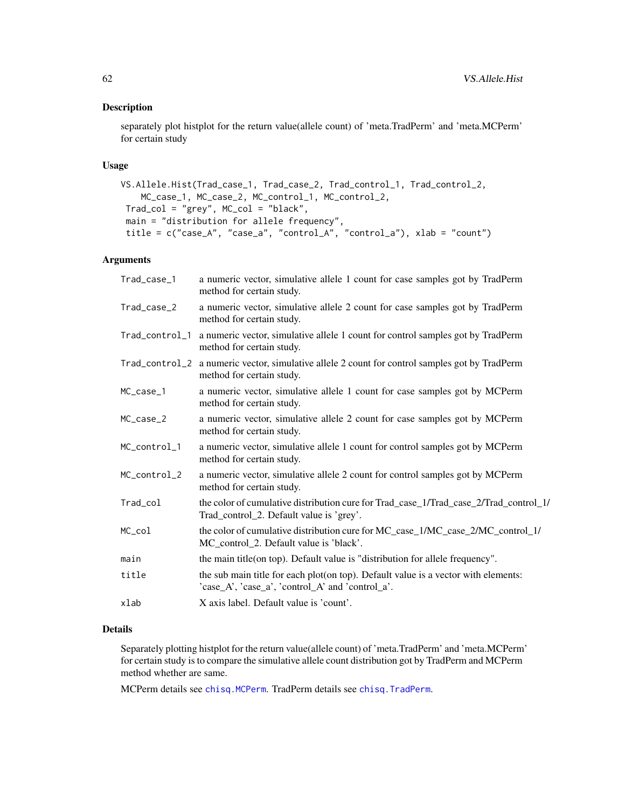# Description

separately plot histplot for the return value(allele count) of 'meta.TradPerm' and 'meta.MCPerm' for certain study

# Usage

```
VS.Allele.Hist(Trad_case_1, Trad_case_2, Trad_control_1, Trad_control_2,
   MC_case_1, MC_case_2, MC_control_1, MC_control_2,
Trad_col = "grey", MC_col = "black",
main = "distribution for allele frequency",
 title = c("case_A", "case_a", "control_A", "control_a"), xlab = "count")
```
# Arguments

| Trad_case_1    | a numeric vector, simulative allele 1 count for case samples got by TradPerm<br>method for certain study.                                                                |
|----------------|--------------------------------------------------------------------------------------------------------------------------------------------------------------------------|
| Trad_case_2    | a numeric vector, simulative allele 2 count for case samples got by TradPerm<br>method for certain study.                                                                |
| Trad_control_1 | a numeric vector, simulative allele 1 count for control samples got by TradPerm<br>method for certain study.                                                             |
|                | Trad_control_2 a numeric vector, simulative allele 2 count for control samples got by TradPerm<br>method for certain study.                                              |
| MC_case_1      | a numeric vector, simulative allele 1 count for case samples got by MCPerm<br>method for certain study.                                                                  |
| MC_case_2      | a numeric vector, simulative allele 2 count for case samples got by MCPerm<br>method for certain study.                                                                  |
| MC_control_1   | a numeric vector, simulative allele 1 count for control samples got by MCPerm<br>method for certain study.                                                               |
| MC_control_2   | a numeric vector, simulative allele 2 count for control samples got by MCPerm<br>method for certain study.                                                               |
| Trad_col       | the color of cumulative distribution cure for Trad_case_1/Trad_case_2/Trad_control_1/<br>Trad_control_2. Default value is 'grey'.                                        |
| MC_col         | the color of cumulative distribution cure for MC_case_1/MC_case_2/MC_control_1/<br>MC_control_2. Default value is 'black'.                                               |
| main           | the main title (on top). Default value is "distribution for allele frequency".                                                                                           |
| title          | the sub main title for each plot(on top). Default value is a vector with elements:<br>$\text{'case\_A'}, \text{'case\_a'}, \text{'control\_A'} and \text{'control\_a'}.$ |
| xlab           | X axis label. Default value is 'count'.                                                                                                                                  |

# Details

Separately plotting histplot for the return value(allele count) of 'meta.TradPerm' and 'meta.MCPerm' for certain study is to compare the simulative allele count distribution got by TradPerm and MCPerm method whether are same.

MCPerm details see [chisq.MCPerm](#page-9-0). TradPerm details see [chisq.TradPerm](#page-11-0).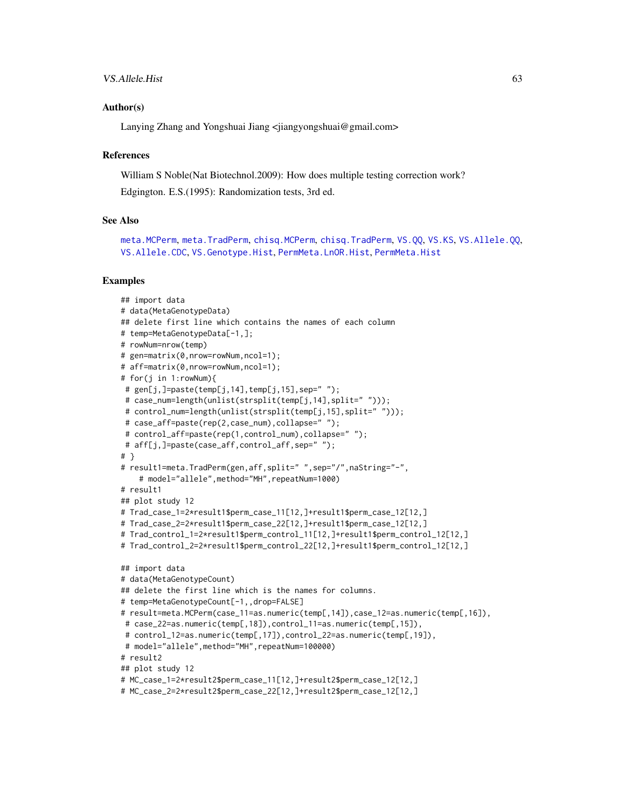## VS. Allele. Hist 63

### Author(s)

Lanying Zhang and Yongshuai Jiang <jiangyongshuai@gmail.com>

#### **References**

William S Noble(Nat Biotechnol.2009): How does multiple testing correction work?

Edgington. E.S.(1995): Randomization tests, 3rd ed.

### See Also

```
meta.MCPerm, meta.TradPerm, chisq.MCPerm, chisq.TradPerm, VS.QQ, VS.KS, VS.Allele.QQ,
VS.Allele.CDC, VS.Genotype.Hist, PermMeta.LnOR.Hist, PermMeta.Hist
```
#### Examples

```
## import data
# data(MetaGenotypeData)
## delete first line which contains the names of each column
# temp=MetaGenotypeData[-1,];
# rowNum=nrow(temp)
# gen=matrix(0,nrow=rowNum,ncol=1);
# aff=matrix(0,nrow=rowNum,ncol=1);
# for(j in 1:rowNum){
# gen[j,]=paste(temp[j,14],temp[j,15],sep=' ";
# case_num=length(unlist(strsplit(temp[j,14],split=" ")));
# control_num=length(unlist(strsplit(temp[j,15],split=" ")));
# case_aff=paste(rep(2,case_num),collapse=" ");
# control_aff=paste(rep(1,control_num),collapse=" ");
# aff[j,]=paste(case_aff,control_aff,sep=" ");
# }
# result1=meta.TradPerm(gen,aff,split=" ",sep="/",naString="-",
    # model="allele",method="MH",repeatNum=1000)
# result1
## plot study 12
# Trad_case_1=2*result1$perm_case_11[12,]+result1$perm_case_12[12,]
# Trad_case_2=2*result1$perm_case_22[12,]+result1$perm_case_12[12,]
# Trad_control_1=2*result1$perm_control_11[12,]+result1$perm_control_12[12,]
# Trad_control_2=2*result1$perm_control_22[12,]+result1$perm_control_12[12,]
## import data
# data(MetaGenotypeCount)
## delete the first line which is the names for columns.
# temp=MetaGenotypeCount[-1,,drop=FALSE]
# result=meta.MCPerm(case_11=as.numeric(temp[,14]),case_12=as.numeric(temp[,16]),
# case_22=as.numeric(temp[,18]),control_11=as.numeric(temp[,15]),
# control_12=as.numeric(temp[,17]),control_22=as.numeric(temp[,19]),
# model="allele",method="MH",repeatNum=100000)
# result2
## plot study 12
# MC_case_1=2*result2$perm_case_11[12,]+result2$perm_case_12[12,]
# MC_case_2=2*result2$perm_case_22[12,]+result2$perm_case_12[12,]
```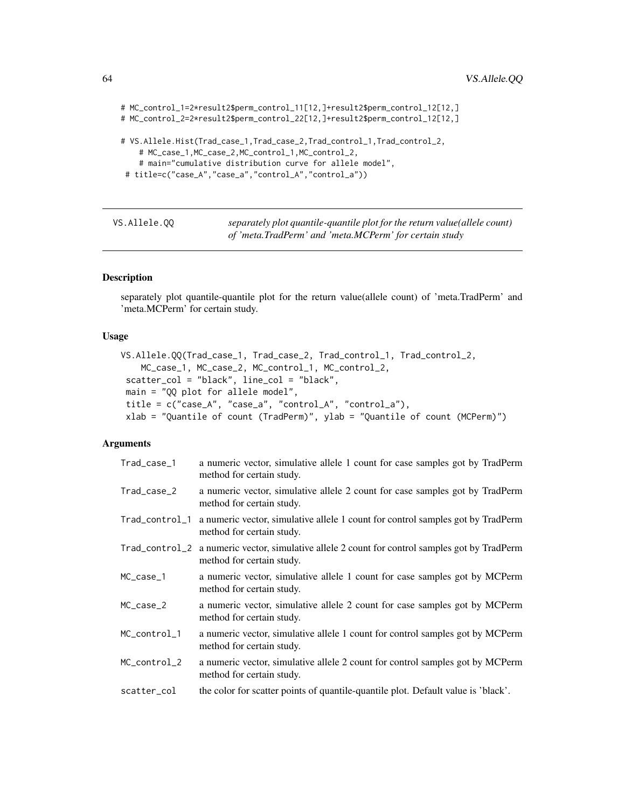```
# MC_control_1=2*result2$perm_control_11[12,]+result2$perm_control_12[12,]
# MC_control_2=2*result2$perm_control_22[12,]+result2$perm_control_12[12,]
# VS.Allele.Hist(Trad_case_1,Trad_case_2,Trad_control_1,Trad_control_2,
    # MC_case_1,MC_case_2,MC_control_1,MC_control_2,
    # main="cumulative distribution curve for allele model",
 # title=c("case_A","case_a","control_A","control_a"))
```
<span id="page-63-0"></span>

| VS.Allele.00 | separately plot quantile-quantile plot for the return value(allele count) |
|--------------|---------------------------------------------------------------------------|
|              | of 'meta.TradPerm' and 'meta.MCPerm' for certain study                    |

## Description

separately plot quantile-quantile plot for the return value(allele count) of 'meta.TradPerm' and 'meta.MCPerm' for certain study.

### Usage

```
VS.Allele.QQ(Trad_case_1, Trad_case_2, Trad_control_1, Trad_control_2,
   MC_case_1, MC_case_2, MC_control_1, MC_control_2,
scatter_col = "black", line_col = "black",
main = "QQ plot for allele model",
title = c("case_A", "case_a", "control_A", "control_a"),
xlab = "Quantile of count (TradPerm)", ylab = "Quantile of count (MCPerm)")
```
### Arguments

| Trad_case_1    | a numeric vector, simulative allele 1 count for case samples got by TradPerm<br>method for certain study.                   |
|----------------|-----------------------------------------------------------------------------------------------------------------------------|
| Trad_case_2    | a numeric vector, simulative allele 2 count for case samples got by TradPerm<br>method for certain study.                   |
| Trad_control_1 | a numeric vector, simulative allele 1 count for control samples got by TradPerm<br>method for certain study.                |
|                | Trad_control_2 a numeric vector, simulative allele 2 count for control samples got by TradPerm<br>method for certain study. |
| $MC\_case_1$   | a numeric vector, simulative allele 1 count for case samples got by MCPerm<br>method for certain study.                     |
| MC_case_2      | a numeric vector, simulative allele 2 count for case samples got by MCPerm<br>method for certain study.                     |
| MC_control_1   | a numeric vector, simulative allele 1 count for control samples got by MCPerm<br>method for certain study.                  |
| MC_control_2   | a numeric vector, simulative allele 2 count for control samples got by MCPerm<br>method for certain study.                  |
| scatter_col    | the color for scatter points of quantile-quantile plot. Default value is 'black'.                                           |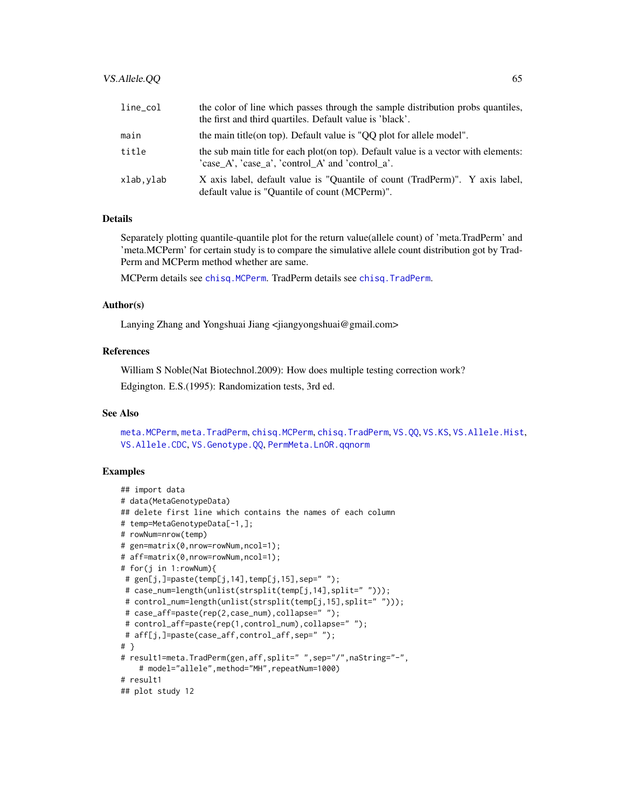| $line\_col$ | the color of line which passes through the sample distribution probs quantiles,<br>the first and third quartiles. Default value is 'black'. |
|-------------|---------------------------------------------------------------------------------------------------------------------------------------------|
| main        | the main title (on top). Default value is "QQ plot for allele model".                                                                       |
| title       | the sub main title for each plot(on top). Default value is a vector with elements:<br>'case A', 'case a', 'control A' and 'control a'.      |
| xlab,ylab   | X axis label, default value is "Ouantile of count (TradPerm)". Y axis label,<br>default value is "Quantile of count (MCPerm)".              |

## Details

Separately plotting quantile-quantile plot for the return value(allele count) of 'meta.TradPerm' and 'meta.MCPerm' for certain study is to compare the simulative allele count distribution got by Trad-Perm and MCPerm method whether are same.

MCPerm details see [chisq.MCPerm](#page-9-0). TradPerm details see [chisq.TradPerm](#page-11-0).

### Author(s)

Lanying Zhang and Yongshuai Jiang <jiangyongshuai@gmail.com>

# References

William S Noble(Nat Biotechnol.2009): How does multiple testing correction work?

Edgington. E.S.(1995): Randomization tests, 3rd ed.

### See Also

[meta.MCPerm](#page-28-0), [meta.TradPerm](#page-31-0), [chisq.MCPerm](#page-9-0), [chisq.TradPerm](#page-11-0), [VS.QQ](#page-77-0), [VS.KS](#page-76-0), [VS.Allele.Hist](#page-60-0), [VS.Allele.CDC](#page-58-0), [VS.Genotype.QQ](#page-72-0), [PermMeta.LnOR.qqnorm](#page-50-0)

### Examples

```
## import data
# data(MetaGenotypeData)
## delete first line which contains the names of each column
# temp=MetaGenotypeData[-1,];
# rowNum=nrow(temp)
# gen=matrix(0,nrow=rowNum,ncol=1);
# aff=matrix(0,nrow=rowNum,ncol=1);
# for(j in 1:rowNum){
# gen[j,]=paste(temp[j,14],temp[j,15],sep=' ");# case_num=length(unlist(strsplit(temp[j,14],split=" ")));
 # control_num=length(unlist(strsplit(temp[j,15],split=" ")));
 # case_aff=paste(rep(2,case_num),collapse=" ");
 # control_aff=paste(rep(1,control_num),collapse=" ");
 # aff[j,]=paste(case_aff,control_aff,sep=" ");
# }
# result1=meta.TradPerm(gen,aff,split=" ",sep="/",naString="-",
    # model="allele",method="MH",repeatNum=1000)
# result1
## plot study 12
```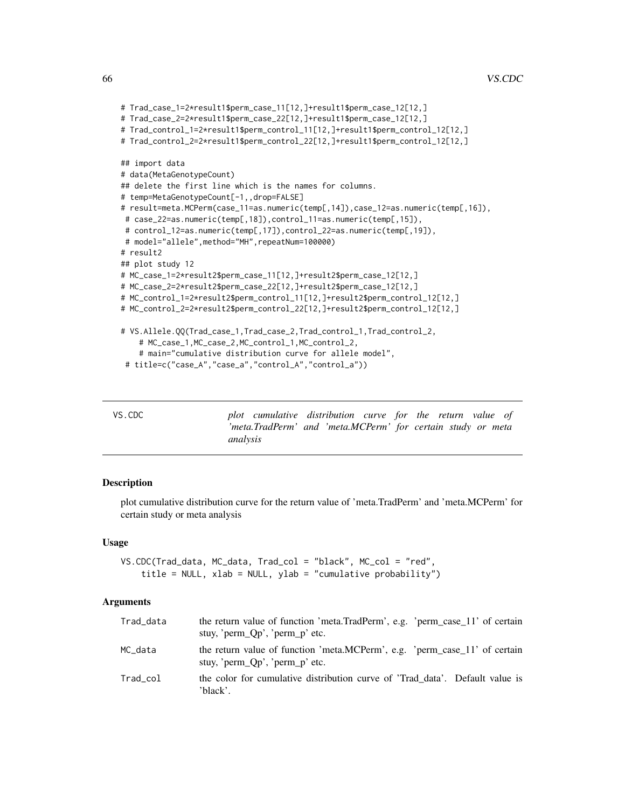```
# Trad_case_1=2*result1$perm_case_11[12,]+result1$perm_case_12[12,]
# Trad_case_2=2*result1$perm_case_22[12,]+result1$perm_case_12[12,]
# Trad_control_1=2*result1$perm_control_11[12,]+result1$perm_control_12[12,]
# Trad_control_2=2*result1$perm_control_22[12,]+result1$perm_control_12[12,]
## import data
# data(MetaGenotypeCount)
## delete the first line which is the names for columns.
# temp=MetaGenotypeCount[-1,,drop=FALSE]
# result=meta.MCPerm(case_11=as.numeric(temp[,14]),case_12=as.numeric(temp[,16]),
# case_22=as.numeric(temp[,18]),control_11=as.numeric(temp[,15]),
# control_12=as.numeric(temp[,17]),control_22=as.numeric(temp[,19]),
# model="allele",method="MH",repeatNum=100000)
# result2
## plot study 12
# MC_case_1=2*result2$perm_case_11[12,]+result2$perm_case_12[12,]
# MC_case_2=2*result2$perm_case_22[12,]+result2$perm_case_12[12,]
# MC_control_1=2*result2$perm_control_11[12,]+result2$perm_control_12[12,]
# MC_control_2=2*result2$perm_control_22[12,]+result2$perm_control_12[12,]
# VS.Allele.QQ(Trad_case_1,Trad_case_2,Trad_control_1,Trad_control_2,
    # MC_case_1,MC_case_2,MC_control_1,MC_control_2,
    # main="cumulative distribution curve for allele model",
 # title=c("case_A","case_a","control_A","control_a"))
```
<span id="page-65-0"></span>

| VS.CDC | plot cumulative distribution curve for the return value of  |  |
|--------|-------------------------------------------------------------|--|
|        | 'meta.TradPerm' and 'meta.MCPerm' for certain study or meta |  |
|        | analysis                                                    |  |

# **Description**

plot cumulative distribution curve for the return value of 'meta.TradPerm' and 'meta.MCPerm' for certain study or meta analysis

### Usage

```
VS.CDC(Trad_data, MC_data, Trad_col = "black", MC_col = "red",
    title = NULL, xlab = NULL, ylab = "cumulative probability")
```
#### Arguments

| Trad_data | the return value of function 'meta.TradPerm', e.g. 'perm_case_11' of certain<br>stuy, 'perm $Qp'$ , 'perm $p'$ etc. |
|-----------|---------------------------------------------------------------------------------------------------------------------|
| MC data   | the return value of function 'meta.MCPerm', e.g. 'perm case 11' of certain<br>stuy, 'perm_Qp', 'perm_p' etc.        |
| Trad_col  | the color for cumulative distribution curve of 'Trad_data'. Default value is<br>'black'.                            |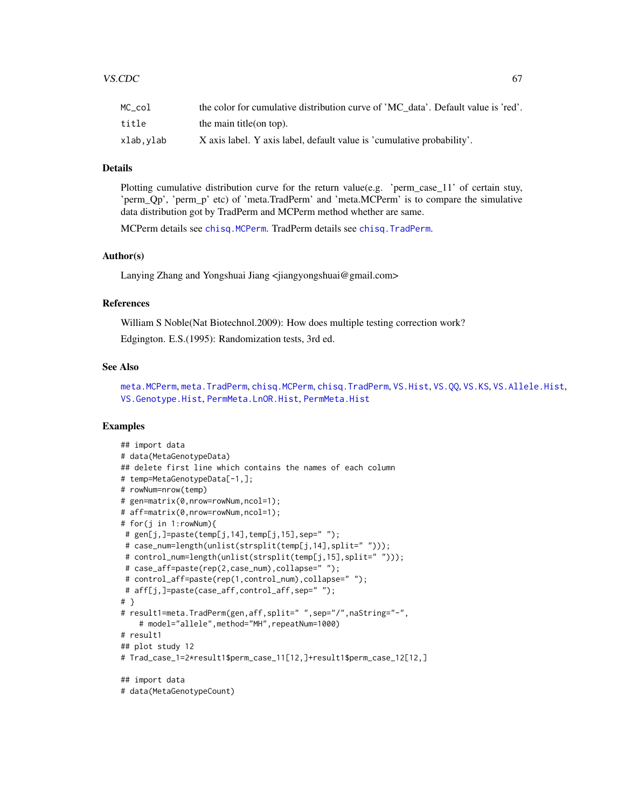| MC col    | the color for cumulative distribution curve of 'MC data'. Default value is 'red'. |
|-----------|-----------------------------------------------------------------------------------|
| title     | the main title(on top).                                                           |
| xlab.vlab | X axis label. Y axis label, default value is 'cumulative probability'.            |

# Details

Plotting cumulative distribution curve for the return value(e.g. 'perm\_case\_11' of certain stuy, 'perm\_Qp', 'perm\_p' etc) of 'meta.TradPerm' and 'meta.MCPerm' is to compare the simulative data distribution got by TradPerm and MCPerm method whether are same.

MCPerm details see [chisq.MCPerm](#page-9-0). TradPerm details see [chisq.TradPerm](#page-11-0).

### Author(s)

Lanying Zhang and Yongshuai Jiang <jiangyongshuai@gmail.com>

#### References

William S Noble(Nat Biotechnol.2009): How does multiple testing correction work?

Edgington. E.S.(1995): Randomization tests, 3rd ed.

### See Also

[meta.MCPerm](#page-28-0), [meta.TradPerm](#page-31-0), [chisq.MCPerm](#page-9-0), [chisq.TradPerm](#page-11-0), [VS.Hist](#page-74-0), [VS.QQ](#page-77-0), [VS.KS](#page-76-0), [VS.Allele.Hist](#page-60-0), [VS.Genotype.Hist](#page-69-0), [PermMeta.LnOR.Hist](#page-48-0), [PermMeta.Hist](#page-43-0)

## Examples

```
## import data
# data(MetaGenotypeData)
## delete first line which contains the names of each column
# temp=MetaGenotypeData[-1,];
# rowNum=nrow(temp)
# gen=matrix(0,nrow=rowNum,ncol=1);
# aff=matrix(0,nrow=rowNum,ncol=1);
# for(j in 1:rowNum){
# gen[j,]=paste(temp[j,14],temp[j,15],sep=" ");
# case_num=length(unlist(strsplit(temp[j,14],split=" ")));
# control_num=length(unlist(strsplit(temp[j,15],split=" ")));
# case_aff=paste(rep(2,case_num),collapse=" ");
# control_aff=paste(rep(1,control_num),collapse=" ");
# aff[j,]=paste(case_aff,control_aff,sep=" ");
# }
# result1=meta.TradPerm(gen,aff,split=" ",sep="/",naString="-",
    # model="allele",method="MH",repeatNum=1000)
# result1
## plot study 12
# Trad_case_1=2*result1$perm_case_11[12,]+result1$perm_case_12[12,]
## import data
# data(MetaGenotypeCount)
```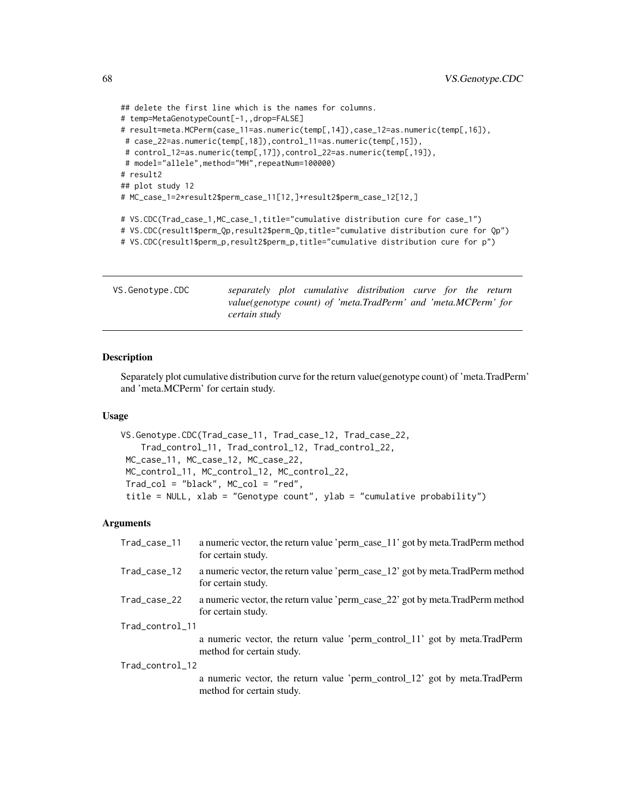```
## delete the first line which is the names for columns.
# temp=MetaGenotypeCount[-1,,drop=FALSE]
# result=meta.MCPerm(case_11=as.numeric(temp[,14]),case_12=as.numeric(temp[,16]),
# case_22=as.numeric(temp[,18]),control_11=as.numeric(temp[,15]),
# control_12=as.numeric(temp[,17]),control_22=as.numeric(temp[,19]),
# model="allele", method="MH", repeatNum=100000)
# result2
## plot study 12
# MC_case_1=2*result2$perm_case_11[12,]+result2$perm_case_12[12,]
# VS.CDC(Trad_case_1,MC_case_1,title="cumulative distribution cure for case_1")
# VS.CDC(result1$perm_Qp,result2$perm_Qp,title="cumulative distribution cure for Qp")
# VS.CDC(result1$perm_p,result2$perm_p,title="cumulative distribution cure for p")
```
<span id="page-67-0"></span>

| VS.Genotype.CDC |               |  | separately plot cumulative distribution curve for the return   |  |  |
|-----------------|---------------|--|----------------------------------------------------------------|--|--|
|                 |               |  | value(genotype count) of 'meta.TradPerm' and 'meta.MCPerm' for |  |  |
|                 | certain study |  |                                                                |  |  |

# Description

Separately plot cumulative distribution curve for the return value(genotype count) of 'meta.TradPerm' and 'meta.MCPerm' for certain study.

## Usage

```
VS.Genotype.CDC(Trad_case_11, Trad_case_12, Trad_case_22,
   Trad_control_11, Trad_control_12, Trad_control_22,
MC_case_11, MC_case_12, MC_case_22,
MC_control_11, MC_control_12, MC_control_22,
Trad_col = "black", MC_col = "red",
title = NULL, xlab = "Genotype count", ylab = "cumulative probability")
```
## **Arguments**

| Trad_case_11    | a numeric vector, the return value 'perm_case_11' got by meta.TradPerm method<br>for certain study.    |
|-----------------|--------------------------------------------------------------------------------------------------------|
| Trad_case_12    | a numeric vector, the return value 'perm_case_12' got by meta.TradPerm method<br>for certain study.    |
| Trad_case_22    | a numeric vector, the return value 'perm_case_22' got by meta. TradPerm method<br>for certain study.   |
| Trad_control_11 |                                                                                                        |
|                 | a numeric vector, the return value 'perm_control_11' got by meta.TradPerm<br>method for certain study. |
| Trad_control_12 |                                                                                                        |
|                 | a numeric vector, the return value 'perm_control_12' got by meta.TradPerm<br>method for certain study. |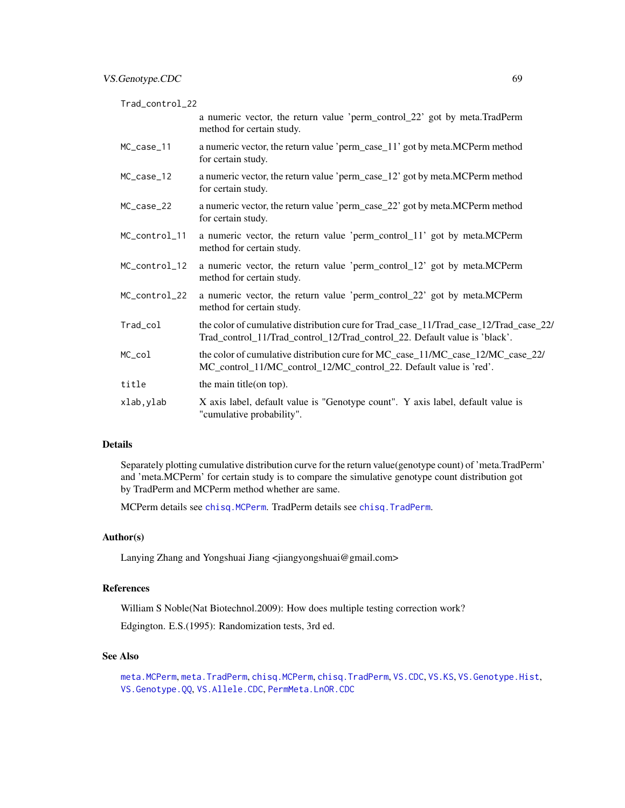Trad\_control\_22

a numeric vector, the return value 'perm\_control\_22' got by meta.TradPerm method for certain study.

- MC\_case\_11 a numeric vector, the return value 'perm\_case\_11' got by meta.MCPerm method for certain study.
- MC\_case\_12 a numeric vector, the return value 'perm\_case\_12' got by meta.MCPerm method for certain study.
- MC\_case\_22 a numeric vector, the return value 'perm\_case\_22' got by meta.MCPerm method for certain study.
- MC\_control\_11 a numeric vector, the return value 'perm\_control\_11' got by meta.MCPerm method for certain study.
- MC\_control\_12 a numeric vector, the return value 'perm\_control\_12' got by meta.MCPerm method for certain study.
- MC\_control\_22 a numeric vector, the return value 'perm\_control\_22' got by meta.MCPerm method for certain study.
- Trad\_col the color of cumulative distribution cure for Trad\_case\_11/Trad\_case\_12/Trad\_case\_22/ Trad\_control\_11/Trad\_control\_12/Trad\_control\_22. Default value is 'black'.
- MC\_col the color of cumulative distribution cure for MC\_case 11/MC\_case 12/MC\_case 22/ MC\_control\_11/MC\_control\_12/MC\_control\_22. Default value is 'red'.
- title the main title(on top).
- xlab,ylab X axis label, default value is "Genotype count". Y axis label, default value is "cumulative probability".

### Details

Separately plotting cumulative distribution curve for the return value(genotype count) of 'meta.TradPerm' and 'meta.MCPerm' for certain study is to compare the simulative genotype count distribution got by TradPerm and MCPerm method whether are same.

MCPerm details see [chisq.MCPerm](#page-9-0). TradPerm details see [chisq.TradPerm](#page-11-0).

## Author(s)

Lanying Zhang and Yongshuai Jiang <jiangyongshuai@gmail.com>

# References

William S Noble(Nat Biotechnol.2009): How does multiple testing correction work? Edgington. E.S.(1995): Randomization tests, 3rd ed.

# See Also

[meta.MCPerm](#page-28-0), [meta.TradPerm](#page-31-0), [chisq.MCPerm](#page-9-0), [chisq.TradPerm](#page-11-0), [VS.CDC](#page-65-0), [VS.KS](#page-76-0), [VS.Genotype.Hist](#page-69-0), [VS.Genotype.QQ](#page-72-0), [VS.Allele.CDC](#page-58-0), [PermMeta.LnOR.CDC](#page-47-0)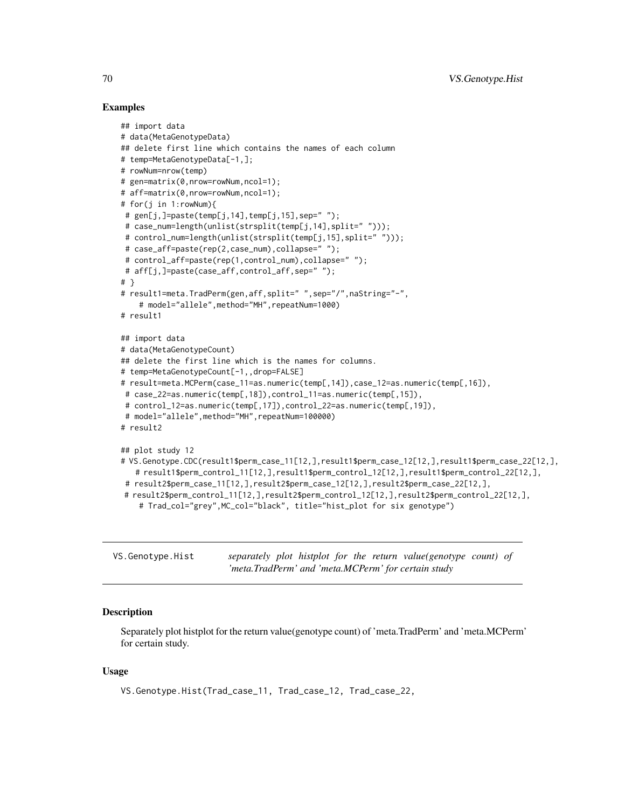## Examples

```
## import data
# data(MetaGenotypeData)
## delete first line which contains the names of each column
# temp=MetaGenotypeData[-1,];
# rowNum=nrow(temp)
# gen=matrix(0,nrow=rowNum,ncol=1);
# aff=matrix(0,nrow=rowNum,ncol=1);
# for(j in 1:rowNum){
# gen[j,]=paste(temp[j,14],temp[j,15],sep=" ");
# case_num=length(unlist(strsplit(temp[j,14],split=" ")));
# control_num=length(unlist(strsplit(temp[j,15],split=" ")));
# case_aff=paste(rep(2,case_num),collapse=" ");
 # control_aff=paste(rep(1,control_num),collapse=" ");
# aff[j,]=paste(case_aff,control_aff,sep=" ");
# }
# result1=meta.TradPerm(gen,aff,split=" ",sep="/",naString="-",
    # model="allele",method="MH",repeatNum=1000)
# result1
## import data
# data(MetaGenotypeCount)
## delete the first line which is the names for columns.
# temp=MetaGenotypeCount[-1,,drop=FALSE]
# result=meta.MCPerm(case_11=as.numeric(temp[,14]),case_12=as.numeric(temp[,16]),
# case_22=as.numeric(temp[,18]),control_11=as.numeric(temp[,15]),
# control_12=as.numeric(temp[,17]),control_22=as.numeric(temp[,19]),
# model="allele",method="MH",repeatNum=100000)
# result2
## plot study 12
# VS.Genotype.CDC(result1$perm_case_11[12,],result1$perm_case_12[12,],result1$perm_case_22[12,],
   # result1$perm_control_11[12,],result1$perm_control_12[12,],result1$perm_control_22[12,],
 # result2$perm_case_11[12,],result2$perm_case_12[12,],result2$perm_case_22[12,],
# result2$perm_control_11[12,],result2$perm_control_12[12,],result2$perm_control_22[12,],
    # Trad_col="grey",MC_col="black", title="hist_plot for six genotype")
```
<span id="page-69-0"></span>VS.Genotype.Hist *separately plot histplot for the return value(genotype count) of 'meta.TradPerm' and 'meta.MCPerm' for certain study*

## Description

Separately plot histplot for the return value(genotype count) of 'meta.TradPerm' and 'meta.MCPerm' for certain study.

## Usage

```
VS.Genotype.Hist(Trad_case_11, Trad_case_12, Trad_case_22,
```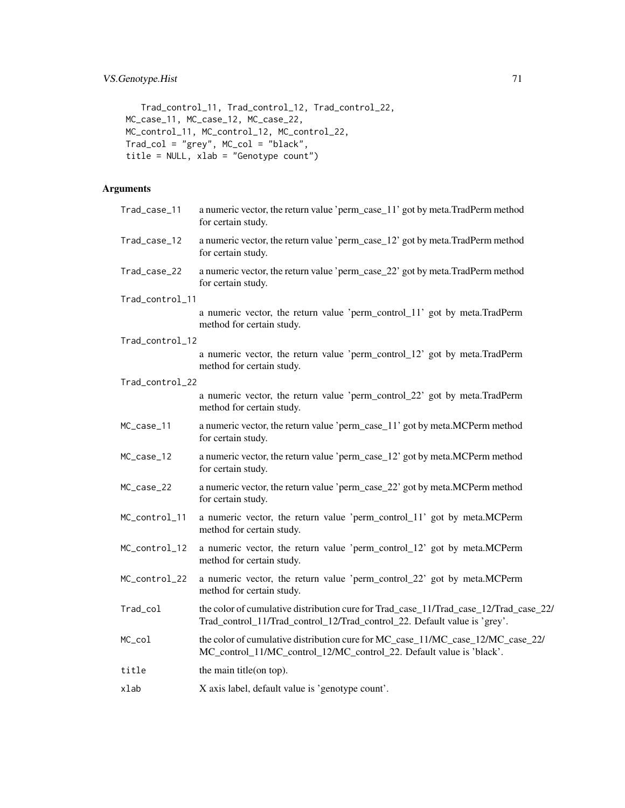```
Trad_control_11, Trad_control_12, Trad_control_22,
MC_case_11, MC_case_12, MC_case_22,
MC_control_11, MC_control_12, MC_control_22,
Trad_col = "grey", MC_col = "black",
title = NULL, xlab = "Genotype count")
```
# Arguments

| Trad_case_11    | a numeric vector, the return value 'perm_case_11' got by meta.TradPerm method<br>for certain study.                                                                |
|-----------------|--------------------------------------------------------------------------------------------------------------------------------------------------------------------|
| Trad_case_12    | a numeric vector, the return value 'perm_case_12' got by meta. TradPerm method<br>for certain study.                                                               |
| Trad_case_22    | a numeric vector, the return value 'perm_case_22' got by meta. TradPerm method<br>for certain study.                                                               |
| Trad_control_11 |                                                                                                                                                                    |
|                 | a numeric vector, the return value 'perm_control_11' got by meta.TradPerm<br>method for certain study.                                                             |
| Trad_control_12 |                                                                                                                                                                    |
|                 | a numeric vector, the return value 'perm_control_12' got by meta.TradPerm<br>method for certain study.                                                             |
| Trad_control_22 |                                                                                                                                                                    |
|                 | a numeric vector, the return value 'perm_control_22' got by meta.TradPerm<br>method for certain study.                                                             |
| MC_case_11      | a numeric vector, the return value 'perm_case_11' got by meta.MCPerm method<br>for certain study.                                                                  |
| MC_case_12      | a numeric vector, the return value 'perm_case_12' got by meta.MCPerm method<br>for certain study.                                                                  |
| MC_case_22      | a numeric vector, the return value 'perm_case_22' got by meta.MCPerm method<br>for certain study.                                                                  |
| MC_control_11   | a numeric vector, the return value 'perm_control_11' got by meta.MCPerm<br>method for certain study.                                                               |
| MC_control_12   | a numeric vector, the return value 'perm_control_12' got by meta.MCPerm<br>method for certain study.                                                               |
| MC_control_22   | a numeric vector, the return value 'perm_control_22' got by meta.MCPerm<br>method for certain study.                                                               |
| Trad_col        | the color of cumulative distribution cure for Trad_case_11/Trad_case_12/Trad_case_22/<br>Trad_control_11/Trad_control_12/Trad_control_22. Default value is 'grey'. |
| MC_col          | the color of cumulative distribution cure for MC_case_11/MC_case_12/MC_case_22/<br>MC_control_11/MC_control_12/MC_control_22. Default value is 'black'.            |
| title           | the main title(on top).                                                                                                                                            |
| xlab            | X axis label, default value is 'genotype count'.                                                                                                                   |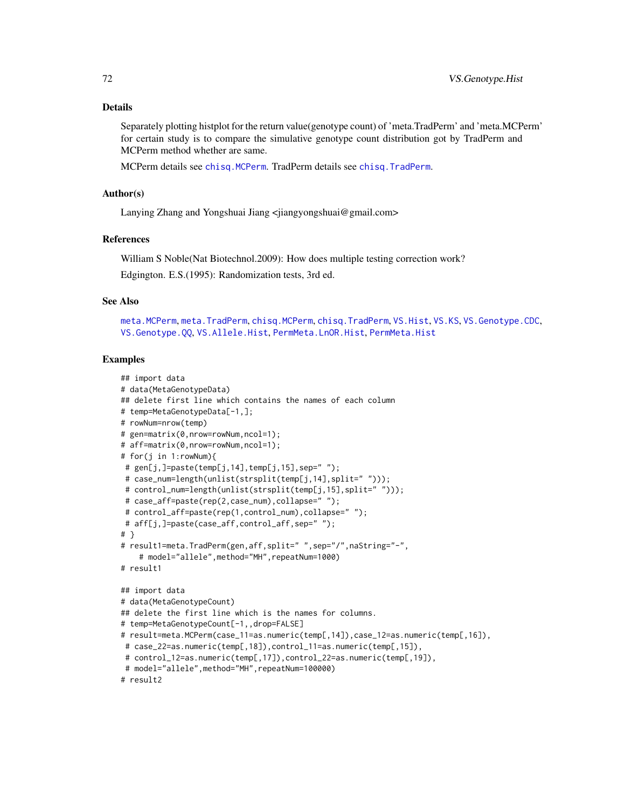### Details

Separately plotting histplot for the return value(genotype count) of 'meta.TradPerm' and 'meta.MCPerm' for certain study is to compare the simulative genotype count distribution got by TradPerm and MCPerm method whether are same.

MCPerm details see [chisq.MCPerm](#page-9-0). TradPerm details see [chisq.TradPerm](#page-11-0).

#### Author(s)

Lanying Zhang and Yongshuai Jiang <jiangyongshuai@gmail.com>

#### **References**

William S Noble(Nat Biotechnol.2009): How does multiple testing correction work? Edgington. E.S.(1995): Randomization tests, 3rd ed.

## See Also

[meta.MCPerm](#page-28-0), [meta.TradPerm](#page-31-0), [chisq.MCPerm](#page-9-0), [chisq.TradPerm](#page-11-0), [VS.Hist](#page-74-0), [VS.KS](#page-76-0), [VS.Genotype.CDC](#page-67-0), [VS.Genotype.QQ](#page-72-0), [VS.Allele.Hist](#page-60-0), [PermMeta.LnOR.Hist](#page-48-0), [PermMeta.Hist](#page-43-0)

## Examples

```
## import data
# data(MetaGenotypeData)
## delete first line which contains the names of each column
# temp=MetaGenotypeData[-1,];
# rowNum=nrow(temp)
# gen=matrix(0,nrow=rowNum,ncol=1);
# aff=matrix(0,nrow=rowNum,ncol=1);
# for(j in 1:rowNum){
# gen[j,]=paste(temp[j,14],temp[j,15],sep=' ");# case_num=length(unlist(strsplit(temp[j,14],split=" ")));
# control_num=length(unlist(strsplit(temp[j,15],split=" ")));
# case_aff=paste(rep(2,case_num),collapse=" ");
 # control_aff=paste(rep(1,control_num),collapse=" ");
# aff[j,]=paste(case_aff,control_aff,sep=" ");
# }
# result1=meta.TradPerm(gen,aff,split=" ",sep="/",naString="-",
    # model="allele",method="MH",repeatNum=1000)
# result1
## import data
# data(MetaGenotypeCount)
## delete the first line which is the names for columns.
# temp=MetaGenotypeCount[-1,,drop=FALSE]
# result=meta.MCPerm(case_11=as.numeric(temp[,14]),case_12=as.numeric(temp[,16]),
# case_22=as.numeric(temp[,18]),control_11=as.numeric(temp[,15]),
# control_12=as.numeric(temp[,17]),control_22=as.numeric(temp[,19]),
# model="allele",method="MH",repeatNum=100000)
# result2
```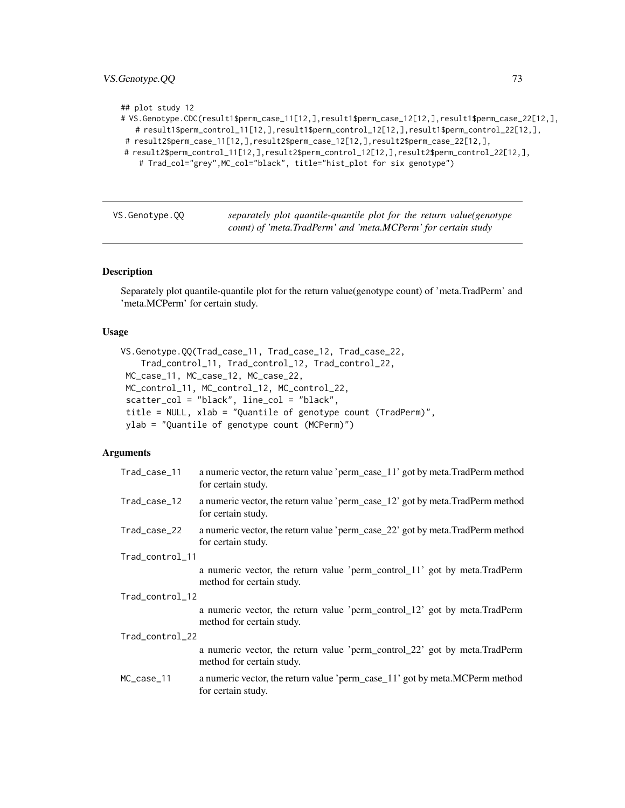# <span id="page-72-1"></span>VS.Genotype.QQ 73

## plot study 12

| .fivS.Genotype.CDC(result1\$perm_case_11[12,],result1\$perm_case_12[12,],result1\$perm_case_22[12,]#### |
|---------------------------------------------------------------------------------------------------------|
| # result1\$perm_control_11[12,],result1\$perm_control_12[12,],result1\$perm_control_22[12,],            |
| # result2\$perm_case_11[12,],result2\$perm_case_12[12,],result2\$perm_case_22[12,],                     |

```
# result2$perm_control_11[12,],result2$perm_control_12[12,],result2$perm_control_22[12,],
```

```
# Trad_col="grey", MC_col="black", title="hist_plot for six genotype")
```
<span id="page-72-0"></span>VS.Genotype.QQ *separately plot quantile-quantile plot for the return value(genotype count) of 'meta.TradPerm' and 'meta.MCPerm' for certain study*

#### Description

Separately plot quantile-quantile plot for the return value(genotype count) of 'meta.TradPerm' and 'meta.MCPerm' for certain study.

# Usage

```
VS.Genotype.QQ(Trad_case_11, Trad_case_12, Trad_case_22,
    Trad_control_11, Trad_control_12, Trad_control_22,
MC_case_11, MC_case_12, MC_case_22,
MC_control_11, MC_control_12, MC_control_22,
 scatter_col = "black", line_col = "black",
 title = NULL, xlab = "Quantile of genotype count (TradPerm)",
 ylab = "Quantile of genotype count (MCPerm)")
```
#### Arguments

| Trad_case_11    | a numeric vector, the return value 'perm_case_11' got by meta.TradPerm method<br>for certain study.    |
|-----------------|--------------------------------------------------------------------------------------------------------|
| Trad_case_12    | a numeric vector, the return value 'perm_case_12' got by meta.TradPerm method<br>for certain study.    |
| Trad_case_22    | a numeric vector, the return value 'perm_case_22' got by meta.TradPerm method<br>for certain study.    |
| Trad_control_11 |                                                                                                        |
|                 | a numeric vector, the return value 'perm_control_11' got by meta.TradPerm<br>method for certain study. |
| Trad_control_12 |                                                                                                        |
|                 | a numeric vector, the return value 'perm_control_12' got by meta.TradPerm<br>method for certain study. |
| Trad_control_22 |                                                                                                        |
|                 | a numeric vector, the return value 'perm_control_22' got by meta.TradPerm<br>method for certain study. |
| MC_case_11      | a numeric vector, the return value 'perm_case_11' got by meta.MCPerm method<br>for certain study.      |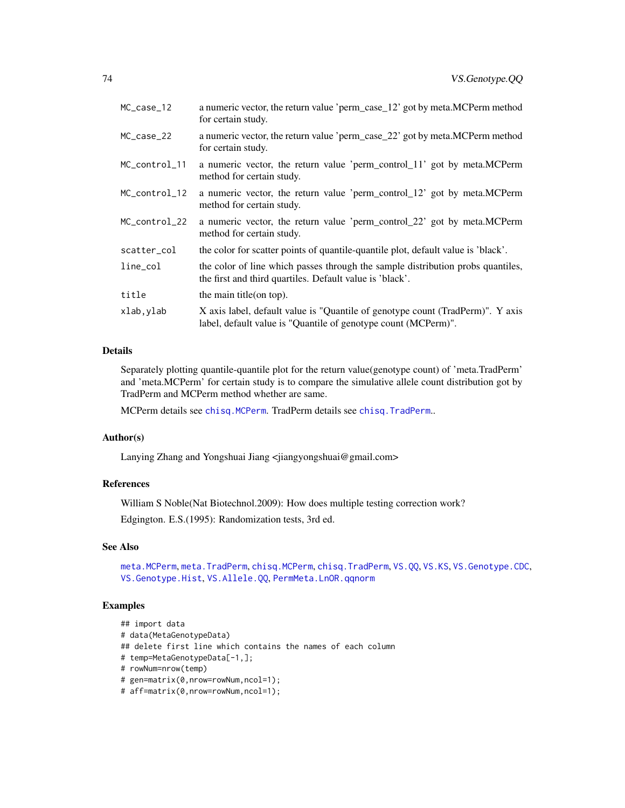<span id="page-73-0"></span>

| MC_case_12    | a numeric vector, the return value 'perm_case_12' got by meta.MCPerm method<br>for certain study.                                                |
|---------------|--------------------------------------------------------------------------------------------------------------------------------------------------|
| MC_case_22    | a numeric vector, the return value 'perm_case_22' got by meta.MCPerm method<br>for certain study.                                                |
| MC_control_11 | a numeric vector, the return value 'perm_control_11' got by meta.MCPerm<br>method for certain study.                                             |
| MC_control_12 | a numeric vector, the return value 'perm_control_12' got by meta.MCPerm<br>method for certain study.                                             |
| MC_control_22 | a numeric vector, the return value 'perm_control_22' got by meta.MCPerm<br>method for certain study.                                             |
| scatter_col   | the color for scatter points of quantile-quantile plot, default value is 'black'.                                                                |
| $line_{col}$  | the color of line which passes through the sample distribution probs quantiles,<br>the first and third quartiles. Default value is 'black'.      |
| title         | the main title (on top).                                                                                                                         |
| xlab,ylab     | X axis label, default value is "Quantile of genotype count (TradPerm)". Y axis<br>label, default value is "Quantile of genotype count (MCPerm)". |

# Details

Separately plotting quantile-quantile plot for the return value(genotype count) of 'meta.TradPerm' and 'meta.MCPerm' for certain study is to compare the simulative allele count distribution got by TradPerm and MCPerm method whether are same.

MCPerm details see [chisq.MCPerm](#page-9-0). TradPerm details see [chisq.TradPerm](#page-11-0)..

# Author(s)

Lanying Zhang and Yongshuai Jiang <jiangyongshuai@gmail.com>

# References

William S Noble(Nat Biotechnol.2009): How does multiple testing correction work?

Edgington. E.S.(1995): Randomization tests, 3rd ed.

# See Also

[meta.MCPerm](#page-28-0), [meta.TradPerm](#page-31-0), [chisq.MCPerm](#page-9-0), [chisq.TradPerm](#page-11-0), [VS.QQ](#page-77-0), [VS.KS](#page-76-0), [VS.Genotype.CDC](#page-67-0), [VS.Genotype.Hist](#page-69-0), [VS.Allele.QQ](#page-63-0), [PermMeta.LnOR.qqnorm](#page-50-0)

# Examples

```
## import data
# data(MetaGenotypeData)
## delete first line which contains the names of each column
# temp=MetaGenotypeData[-1,];
# rowNum=nrow(temp)
# gen=matrix(0,nrow=rowNum,ncol=1);
# aff=matrix(0,nrow=rowNum,ncol=1);
```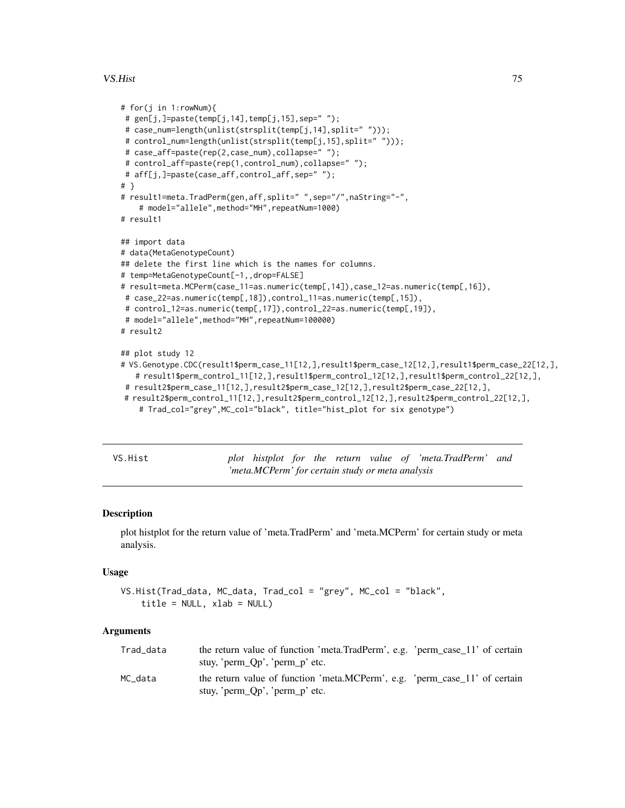#### <span id="page-74-1"></span>VS.Hist 75

```
# for(j in 1:rowNum){
# gen[j,]=paste(temp[j,14],temp[j,15],sep=" ");
# case_num=length(unlist(strsplit(temp[j,14],split=" ")));
# control_num=length(unlist(strsplit(temp[j,15],split=" ")));
 # case_aff=paste(rep(2,case_num),collapse=" ");
 # control_aff=paste(rep(1,control_num),collapse=" ");
# aff[j,]=paste(case_aff,control_aff,sep=" ");
# }
# result1=meta.TradPerm(gen,aff,split=" ",sep="/",naString="-",
    # model="allele",method="MH",repeatNum=1000)
# result1
## import data
# data(MetaGenotypeCount)
## delete the first line which is the names for columns.
# temp=MetaGenotypeCount[-1,,drop=FALSE]
# result=meta.MCPerm(case_11=as.numeric(temp[,14]),case_12=as.numeric(temp[,16]),
# case_22=as.numeric(temp[,18]),control_11=as.numeric(temp[,15]),
# control_12=as.numeric(temp[,17]),control_22=as.numeric(temp[,19]),
# model="allele",method="MH",repeatNum=100000)
# result2
## plot study 12
# VS.Genotype.CDC(result1$perm_case_11[12,],result1$perm_case_12[12,],result1$perm_case_22[12,],
   # result1$perm_control_11[12,],result1$perm_control_12[12,],result1$perm_control_22[12,],
 # result2$perm_case_11[12,],result2$perm_case_12[12,],result2$perm_case_22[12,],
# result2$perm_control_11[12,],result2$perm_control_12[12,],result2$perm_control_22[12,],
    # Trad_col="grey",MC_col="black", title="hist_plot for six genotype")
```
<span id="page-74-0"></span>

plot histplot for the return value of 'meta.TradPerm' and *'meta.MCPerm' for certain study or meta analysis*

#### **Description**

plot histplot for the return value of 'meta.TradPerm' and 'meta.MCPerm' for certain study or meta analysis.

#### Usage

```
VS.Hist(Trad_data, MC_data, Trad_col = "grey", MC_col = "black",
    title = NULL, xlab = NULL)
```
#### Arguments

| Trad_data | the return value of function 'meta.TradPerm', e.g. 'perm_case_11' of certain |
|-----------|------------------------------------------------------------------------------|
|           | stuy, ' $perm_Qp'$ , ' $perm_p'$ etc.                                        |
| MC data   | the return value of function 'meta.MCPerm', e.g. 'perm_case_11' of certain   |
|           | stuy, ' $perm_Qp'$ , ' $perm_p'$ etc.                                        |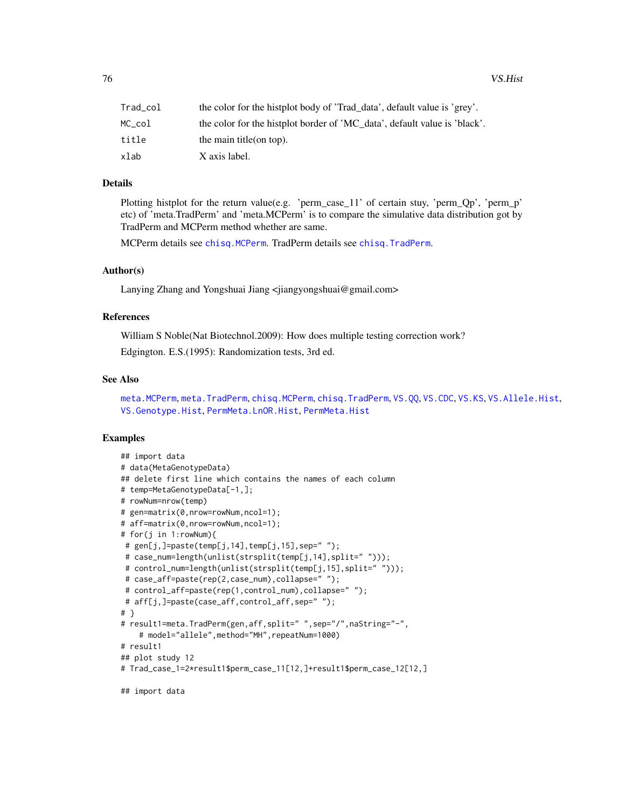<span id="page-75-0"></span>

| Trad_col | the color for the histplot body of 'Trad_data', default value is 'grey'.  |
|----------|---------------------------------------------------------------------------|
| MC col   | the color for the histolot border of 'MC_data', default value is 'black'. |
| title    | the main title $($ on top $)$ .                                           |
| xlab     | X axis label.                                                             |

#### Details

Plotting histplot for the return value(e.g. 'perm\_case\_11' of certain stuy, 'perm\_Qp', 'perm\_p' etc) of 'meta.TradPerm' and 'meta.MCPerm' is to compare the simulative data distribution got by TradPerm and MCPerm method whether are same.

MCPerm details see [chisq.MCPerm](#page-9-0). TradPerm details see [chisq.TradPerm](#page-11-0).

# Author(s)

Lanying Zhang and Yongshuai Jiang <jiangyongshuai@gmail.com>

#### References

William S Noble(Nat Biotechnol.2009): How does multiple testing correction work?

Edgington. E.S.(1995): Randomization tests, 3rd ed.

#### See Also

[meta.MCPerm](#page-28-0), [meta.TradPerm](#page-31-0), [chisq.MCPerm](#page-9-0), [chisq.TradPerm](#page-11-0), [VS.QQ](#page-77-0), [VS.CDC](#page-65-0), [VS.KS](#page-76-0), [VS.Allele.Hist](#page-60-0), [VS.Genotype.Hist](#page-69-0), [PermMeta.LnOR.Hist](#page-48-0), [PermMeta.Hist](#page-43-0)

# Examples

```
## import data
# data(MetaGenotypeData)
## delete first line which contains the names of each column
# temp=MetaGenotypeData[-1,];
# rowNum=nrow(temp)
# gen=matrix(0,nrow=rowNum,ncol=1);
# aff=matrix(0,nrow=rowNum,ncol=1);
# for(j in 1:rowNum){
# gen[j,]=paste(temp[j,14],temp[j,15],sep=" ");
# case_num=length(unlist(strsplit(temp[j,14],split=" ")));
# control_num=length(unlist(strsplit(temp[j,15],split=" ")));
# case_aff=paste(rep(2,case_num),collapse=" ");
# control_aff=paste(rep(1,control_num),collapse=" ");
# aff[j,]=paste(case_aff,control_aff,sep=" ");
# }
# result1=meta.TradPerm(gen,aff,split=" ",sep="/",naString="-",
    # model="allele",method="MH",repeatNum=1000)
# result1
## plot study 12
# Trad_case_1=2*result1$perm_case_11[12,]+result1$perm_case_12[12,]
## import data
```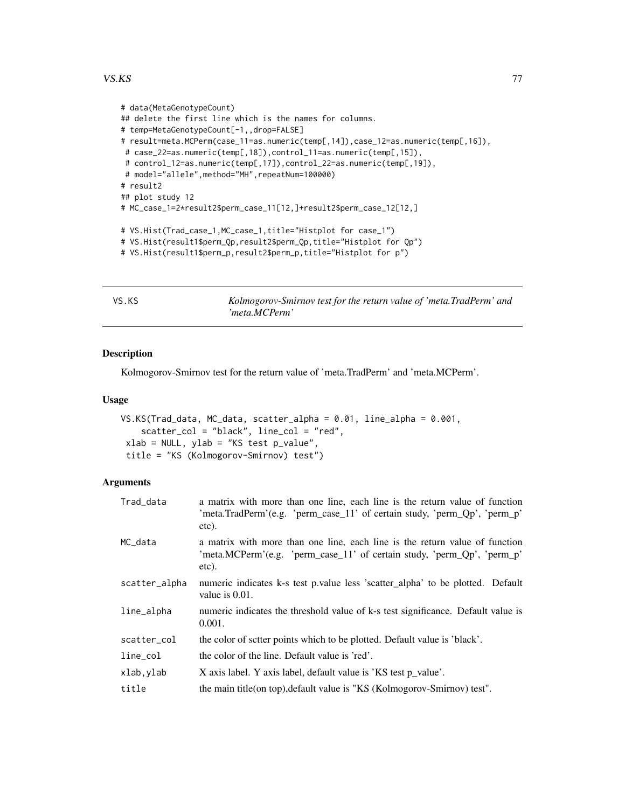#### <span id="page-76-1"></span> $VSS:KS$  and the set of the set of the set of the set of the set of the set of the set of the set of the set of the set of the set of the set of the set of the set of the set of the set of the set of the set of the set of t

```
# data(MetaGenotypeCount)
## delete the first line which is the names for columns.
# temp=MetaGenotypeCount[-1,,drop=FALSE]
# result=meta.MCPerm(case_11=as.numeric(temp[,14]),case_12=as.numeric(temp[,16]),
# case_22=as.numeric(temp[,18]),control_11=as.numeric(temp[,15]),
# control_12=as.numeric(temp[,17]),control_22=as.numeric(temp[,19]),
# model="allele",method="MH",repeatNum=100000)
# result2
## plot study 12
# MC_case_1=2*result2$perm_case_11[12,]+result2$perm_case_12[12,]
# VS.Hist(Trad_case_1,MC_case_1,title="Histplot for case_1")
# VS.Hist(result1$perm_Qp,result2$perm_Qp,title="Histplot for Qp")
# VS.Hist(result1$perm_p,result2$perm_p,title="Histplot for p")
```
<span id="page-76-0"></span>VS.KS *Kolmogorov-Smirnov test for the return value of 'meta.TradPerm' and 'meta.MCPerm'*

# Description

Kolmogorov-Smirnov test for the return value of 'meta.TradPerm' and 'meta.MCPerm'.

#### Usage

```
VS.KS(Trad_data, MC_data, scatter_alpha = 0.01, line_alpha = 0.001,
   scatter_col = "black", line_col = "red",
xlab = NULL, ylab = "KS test p_value",
title = "KS (Kolmogorov-Smirnov) test")
```
# Arguments

| Trad_data     | a matrix with more than one line, each line is the return value of function<br>'meta.TradPerm'(e.g. 'perm_case_11' of certain study, 'perm_Qp', 'perm_p'<br>etc). |
|---------------|-------------------------------------------------------------------------------------------------------------------------------------------------------------------|
| MC_data       | a matrix with more than one line, each line is the return value of function<br>'meta.MCPerm'(e.g. 'perm_case_11' of certain study, 'perm_Qp', 'perm_p'<br>etc).   |
| scatter_alpha | numeric indicates k-s test p.value less 'scatter_alpha' to be plotted. Default<br>value is 0.01.                                                                  |
| line_alpha    | numeric indicates the threshold value of k-s test significance. Default value is<br>0.001.                                                                        |
| scatter_col   | the color of sctter points which to be plotted. Default value is 'black'.                                                                                         |
| line_col      | the color of the line. Default value is 'red'.                                                                                                                    |
| xlab, ylab    | X axis label. Y axis label, default value is 'KS test p_value'.                                                                                                   |
| title         | the main title(on top), default value is "KS (Kolmogorov-Smirnov) test".                                                                                          |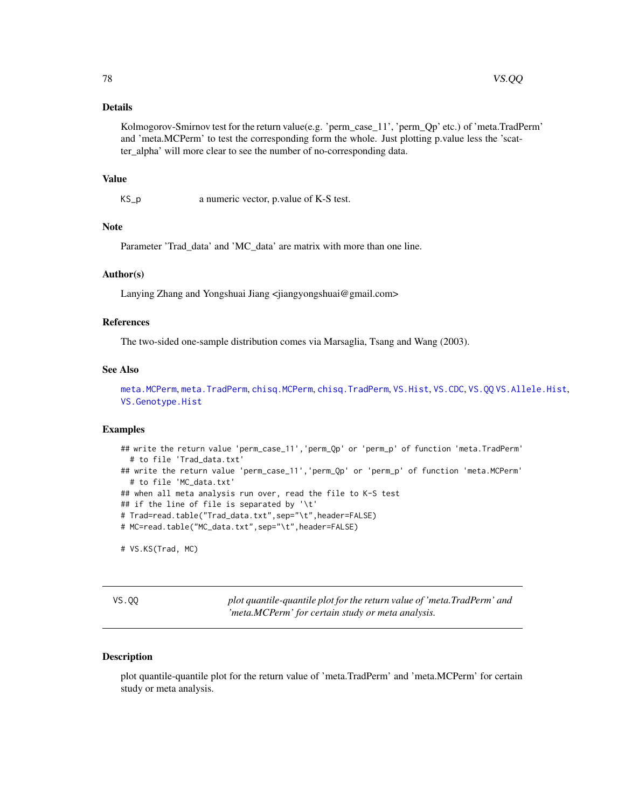# <span id="page-77-1"></span>Details

Kolmogorov-Smirnov test for the return value(e.g. 'perm\_case\_11', 'perm\_Qp' etc.) of 'meta.TradPerm' and 'meta.MCPerm' to test the corresponding form the whole. Just plotting p.value less the 'scatter\_alpha' will more clear to see the number of no-corresponding data.

#### Value

KS\_p a numeric vector, p.value of K-S test.

# Note

Parameter 'Trad\_data' and 'MC\_data' are matrix with more than one line.

#### Author(s)

Lanying Zhang and Yongshuai Jiang <jiangyongshuai@gmail.com>

#### References

The two-sided one-sample distribution comes via Marsaglia, Tsang and Wang (2003).

# See Also

[meta.MCPerm](#page-28-0), [meta.TradPerm](#page-31-0), [chisq.MCPerm](#page-9-0), [chisq.TradPerm](#page-11-0), [VS.Hist](#page-74-0), [VS.CDC](#page-65-0), [VS.QQ](#page-77-0) [VS.Allele.Hist](#page-60-0), [VS.Genotype.Hist](#page-69-0)

#### Examples

```
## write the return value 'perm_case_11', 'perm_Qp' or 'perm_p' of function 'meta.TradPerm'
 # to file 'Trad_data.txt'
## write the return value 'perm_case_11','perm_Qp' or 'perm_p' of function 'meta.MCPerm'
 # to file 'MC_data.txt'
## when all meta analysis run over, read the file to K-S test
## if the line of file is separated by '\t'
# Trad=read.table("Trad_data.txt",sep="\t",header=FALSE)
# MC=read.table("MC_data.txt",sep="\t",header=FALSE)
# VS.KS(Trad, MC)
```
<span id="page-77-0"></span>VS.QQ *plot quantile-quantile plot for the return value of 'meta.TradPerm' and 'meta.MCPerm' for certain study or meta analysis.*

#### Description

plot quantile-quantile plot for the return value of 'meta.TradPerm' and 'meta.MCPerm' for certain study or meta analysis.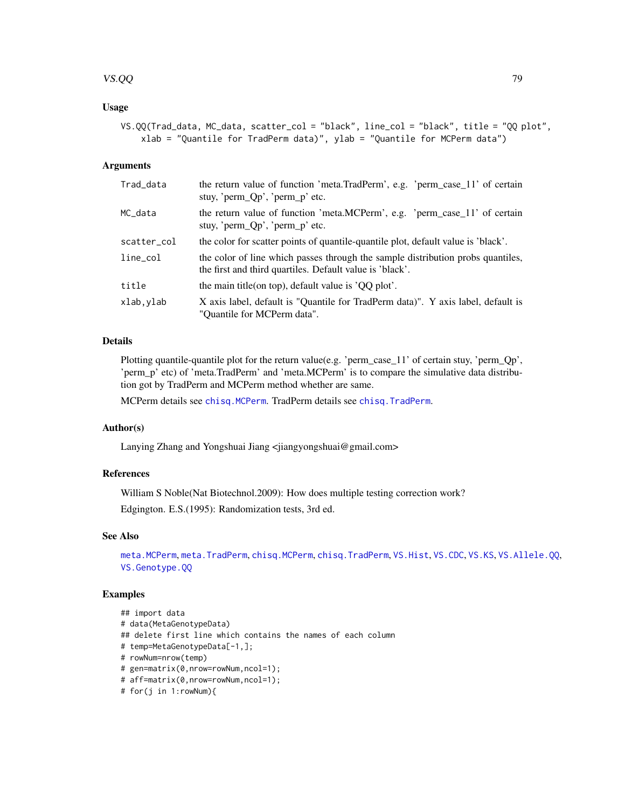# <span id="page-78-0"></span>VS.QQ and the contract of the contract of the contract of the contract of the contract of the contract of the contract of the contract of the contract of the contract of the contract of the contract of the contract of the

# Usage

```
VS.QQ(Trad_data, MC_data, scatter_col = "black", line_col = "black", title = "QQ plot",
   xlab = "Quantile for TradPerm data)", ylab = "Quantile for MCPerm data")
```
#### Arguments

| Trad_data    | the return value of function 'meta.TradPerm', e.g. 'perm_case_11' of certain<br>stuy, 'perm $Qp'$ , 'perm $p'$ etc.                         |
|--------------|---------------------------------------------------------------------------------------------------------------------------------------------|
| MC_data      | the return value of function 'meta.MCPerm', e.g. 'perm_case_11' of certain<br>stuy, 'perm $Qp'$ , 'perm $p'$ etc.                           |
| scatter_col  | the color for scatter points of quantile-quantile plot, default value is 'black'.                                                           |
| $line_{col}$ | the color of line which passes through the sample distribution probs quantiles,<br>the first and third quartiles. Default value is 'black'. |
| title        | the main title (on top), default value is $'QQ$ plot'.                                                                                      |
| xlab, ylab   | X axis label, default is "Quantile for TradPerm data)". Y axis label, default is<br>"Ouantile for MCPerm data".                             |

# Details

Plotting quantile-quantile plot for the return value(e.g. 'perm\_case\_11' of certain stuy, 'perm\_Qp', 'perm\_p' etc) of 'meta.TradPerm' and 'meta.MCPerm' is to compare the simulative data distribution got by TradPerm and MCPerm method whether are same.

MCPerm details see [chisq.MCPerm](#page-9-0). TradPerm details see [chisq.TradPerm](#page-11-0).

# Author(s)

Lanying Zhang and Yongshuai Jiang <jiangyongshuai@gmail.com>

#### References

William S Noble(Nat Biotechnol.2009): How does multiple testing correction work? Edgington. E.S.(1995): Randomization tests, 3rd ed.

# See Also

[meta.MCPerm](#page-28-0), [meta.TradPerm](#page-31-0), [chisq.MCPerm](#page-9-0), [chisq.TradPerm](#page-11-0), [VS.Hist](#page-74-0), [VS.CDC](#page-65-0), [VS.KS](#page-76-0), [VS.Allele.QQ](#page-63-0), [VS.Genotype.QQ](#page-72-0)

#### Examples

```
## import data
# data(MetaGenotypeData)
## delete first line which contains the names of each column
# temp=MetaGenotypeData[-1,];
# rowNum=nrow(temp)
# gen=matrix(0,nrow=rowNum,ncol=1);
# aff=matrix(0,nrow=rowNum,ncol=1);
```

```
# for(j in 1:rowNum){
```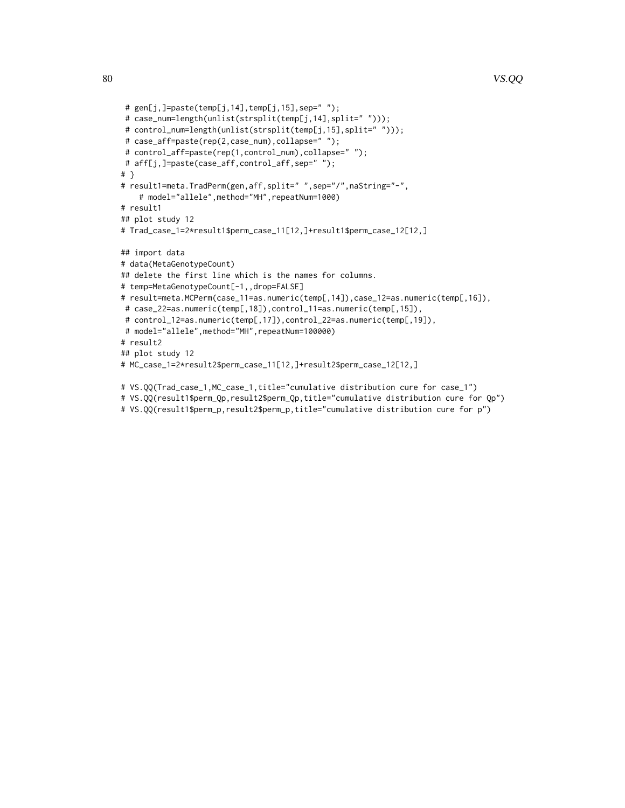```
# gen[j,]=paste(temp[j,14],temp[j,15],sep=' ";
# case_num=length(unlist(strsplit(temp[j,14],split=" ")));
# control_num=length(unlist(strsplit(temp[j,15],split=" ")));
# case_aff=paste(rep(2,case_num),collapse=" ");
# control_aff=paste(rep(1,control_num),collapse=" ");
# aff[j,]=paste(case_aff,control_aff,sep=" ");
# }
# result1=meta.TradPerm(gen,aff,split=" ",sep="/",naString="-",
    # model="allele",method="MH",repeatNum=1000)
# result1
## plot study 12
# Trad_case_1=2*result1$perm_case_11[12,]+result1$perm_case_12[12,]
## import data
# data(MetaGenotypeCount)
## delete the first line which is the names for columns.
# temp=MetaGenotypeCount[-1,,drop=FALSE]
# result=meta.MCPerm(case_11=as.numeric(temp[,14]),case_12=as.numeric(temp[,16]),
# case_22=as.numeric(temp[,18]),control_11=as.numeric(temp[,15]),
# control_12=as.numeric(temp[,17]),control_22=as.numeric(temp[,19]),
# model="allele", method="MH", repeatNum=100000)
# result2
## plot study 12
# MC_case_1=2*result2$perm_case_11[12,]+result2$perm_case_12[12,]
```

```
# VS.QQ(Trad_case_1,MC_case_1,title="cumulative distribution cure for case_1")
```

```
# VS.QQ(result1$perm_Qp,result2$perm_Qp,title="cumulative distribution cure for Qp")
# VS.QQ(result1$perm_p,result2$perm_p,title="cumulative distribution cure for p")
```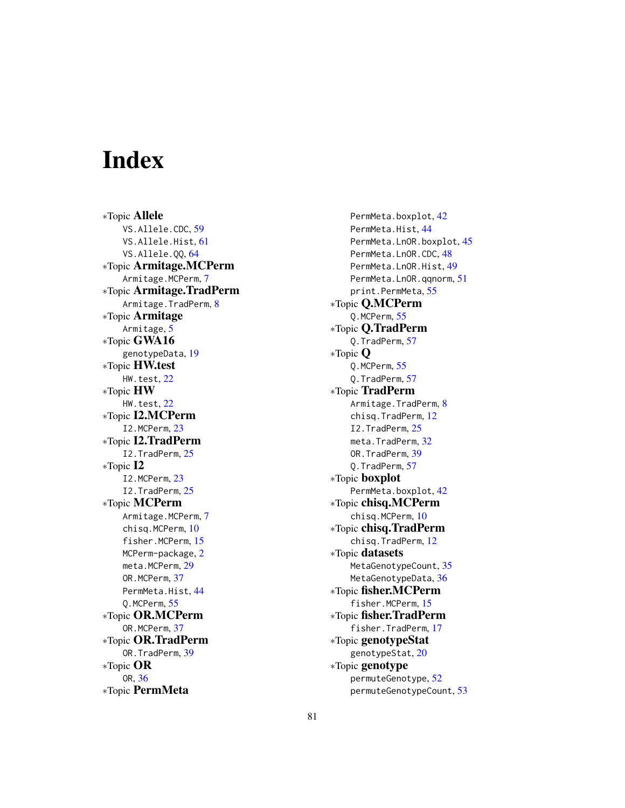# Index

∗Topic Allele VS.Allele.CDC, [59](#page-58-0) VS.Allele.Hist, [61](#page-60-1) VS.Allele.QQ, [64](#page-63-1) ∗Topic Armitage.MCPerm Armitage.MCPerm, [7](#page-6-0) ∗Topic Armitage.TradPerm Armitage.TradPerm, [8](#page-7-0) ∗Topic Armitage Armitage, [5](#page-4-0) ∗Topic GWA16 genotypeData, [19](#page-18-0) ∗Topic HW.test HW.test, [22](#page-21-0) ∗Topic HW HW.test, [22](#page-21-0) ∗Topic I2.MCPerm I2.MCPerm, [23](#page-22-0) ∗Topic I2.TradPerm I2.TradPerm, [25](#page-24-0) ∗Topic I2 I2.MCPerm, [23](#page-22-0) I2.TradPerm, [25](#page-24-0) ∗Topic MCPerm Armitage.MCPerm, [7](#page-6-0) chisq.MCPerm, [10](#page-9-1) fisher.MCPerm, [15](#page-14-0) MCPerm-package, [2](#page-1-0) meta.MCPerm, [29](#page-28-1) OR.MCPerm, [37](#page-36-0) PermMeta.Hist, [44](#page-43-1) Q.MCPerm, [55](#page-54-0) ∗Topic OR.MCPerm OR.MCPerm, [37](#page-36-0) ∗Topic OR.TradPerm OR.TradPerm, [39](#page-38-0) ∗Topic OR OR, [36](#page-35-0) ∗Topic PermMeta

PermMeta.boxplot, [42](#page-41-0) PermMeta.Hist, [44](#page-43-1) PermMeta.LnOR.boxplot, [45](#page-44-0) PermMeta.LnOR.CDC, [48](#page-47-0) PermMeta.LnOR.Hist, [49](#page-48-1) PermMeta.LnOR.qqnorm, [51](#page-50-1) print.PermMeta, [55](#page-54-0) ∗Topic Q.MCPerm Q.MCPerm, [55](#page-54-0) ∗Topic Q.TradPerm Q.TradPerm, [57](#page-56-0) ∗Topic Q Q.MCPerm, [55](#page-54-0) Q.TradPerm, [57](#page-56-0) ∗Topic TradPerm Armitage.TradPerm, [8](#page-7-0) chisq.TradPerm, [12](#page-11-1) I2.TradPerm, [25](#page-24-0) meta.TradPerm, [32](#page-31-1) OR.TradPerm, [39](#page-38-0) Q.TradPerm, [57](#page-56-0) ∗Topic boxplot PermMeta.boxplot, [42](#page-41-0) ∗Topic chisq.MCPerm chisq.MCPerm, [10](#page-9-1) ∗Topic chisq.TradPerm chisq.TradPerm, [12](#page-11-1) ∗Topic datasets MetaGenotypeCount, [35](#page-34-0) MetaGenotypeData, [36](#page-35-0) ∗Topic fisher.MCPerm fisher.MCPerm, [15](#page-14-0) ∗Topic fisher.TradPerm fisher.TradPerm, [17](#page-16-0) ∗Topic genotypeStat genotypeStat, [20](#page-19-0) ∗Topic genotype permuteGenotype, [52](#page-51-0) permuteGenotypeCount, [53](#page-52-0)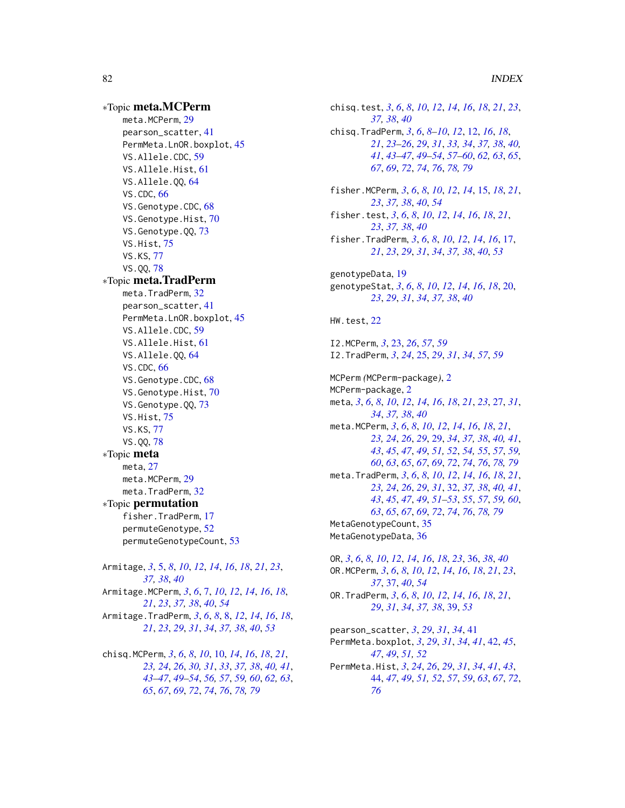82 INDEX ∗Topic meta.MCPerm meta.MCPerm, [29](#page-28-1) pearson\_scatter, [41](#page-40-0) PermMeta.LnOR.boxplot, [45](#page-44-0) VS.Allele.CDC, [59](#page-58-0) VS.Allele.Hist, [61](#page-60-1) VS.Allele.QQ, [64](#page-63-1) VS.CDC, [66](#page-65-1) VS.Genotype.CDC, [68](#page-67-1) VS.Genotype.Hist, [70](#page-69-1) VS.Genotype.QQ, [73](#page-72-1) VS.Hist, [75](#page-74-1) VS.KS, [77](#page-76-1) VS.QQ, [78](#page-77-1) ∗Topic meta.TradPerm meta.TradPerm, [32](#page-31-1) pearson\_scatter, [41](#page-40-0) PermMeta.LnOR.boxplot, [45](#page-44-0) VS.Allele.CDC, [59](#page-58-0) VS.Allele.Hist, [61](#page-60-1) VS.Allele.QQ, [64](#page-63-1) VS.CDC, [66](#page-65-1) VS.Genotype.CDC, [68](#page-67-1) VS.Genotype.Hist, [70](#page-69-1) VS.Genotype.QQ, [73](#page-72-1) VS.Hist, [75](#page-74-1) VS.KS, [77](#page-76-1) VS.QQ, [78](#page-77-1) ∗Topic meta meta, [27](#page-26-0) meta.MCPerm, [29](#page-28-1) meta.TradPerm, [32](#page-31-1) ∗Topic permutation fisher.TradPerm, [17](#page-16-0) permuteGenotype, [52](#page-51-0) permuteGenotypeCount, [53](#page-52-0) Armitage, *[3](#page-2-0)*, [5,](#page-4-0) *[8](#page-7-0)*, *[10](#page-9-1)*, *[12](#page-11-1)*, *[14](#page-13-0)*, *[16](#page-15-0)*, *[18](#page-17-0)*, *[21](#page-20-0)*, *[23](#page-22-0)*, *[37,](#page-36-0) [38](#page-37-0)*, *[40](#page-39-0)* Armitage.MCPerm, *[3](#page-2-0)*, *[6](#page-5-0)*, [7,](#page-6-0) *[10](#page-9-1)*, *[12](#page-11-1)*, *[14](#page-13-0)*, *[16](#page-15-0)*, *[18](#page-17-0)*, *[21](#page-20-0)*, *[23](#page-22-0)*, *[37,](#page-36-0) [38](#page-37-0)*, *[40](#page-39-0)*, *[54](#page-53-0)* Armitage.TradPerm, *[3](#page-2-0)*, *[6](#page-5-0)*, *[8](#page-7-0)*, [8,](#page-7-0) *[12](#page-11-1)*, *[14](#page-13-0)*, *[16](#page-15-0)*, *[18](#page-17-0)*, *[21](#page-20-0)*, *[23](#page-22-0)*, *[29](#page-28-1)*, *[31](#page-30-0)*, *[34](#page-33-0)*, *[37,](#page-36-0) [38](#page-37-0)*, *[40](#page-39-0)*, *[53](#page-52-0)*

chisq.MCPerm, *[3](#page-2-0)*, *[6](#page-5-0)*, *[8](#page-7-0)*, *[10](#page-9-1)*, [10,](#page-9-1) *[14](#page-13-0)*, *[16](#page-15-0)*, *[18](#page-17-0)*, *[21](#page-20-0)*, *[23,](#page-22-0) [24](#page-23-0)*, *[26](#page-25-0)*, *[30,](#page-29-0) [31](#page-30-0)*, *[33](#page-32-0)*, *[37,](#page-36-0) [38](#page-37-0)*, *[40,](#page-39-0) [41](#page-40-0)*, *[43](#page-42-0)[–47](#page-46-0)*, *[49](#page-48-1)[–54](#page-53-0)*, *[56,](#page-55-0) [57](#page-56-0)*, *[59,](#page-58-0) [60](#page-59-0)*, *[62,](#page-61-0) [63](#page-62-0)*, *[65](#page-64-0)*, *[67](#page-66-0)*, *[69](#page-68-0)*, *[72](#page-71-0)*, *[74](#page-73-0)*, *[76](#page-75-0)*, *[78,](#page-77-1) [79](#page-78-0)*

chisq.test, *[3](#page-2-0)*, *[6](#page-5-0)*, *[8](#page-7-0)*, *[10](#page-9-1)*, *[12](#page-11-1)*, *[14](#page-13-0)*, *[16](#page-15-0)*, *[18](#page-17-0)*, *[21](#page-20-0)*, *[23](#page-22-0)*, *[37,](#page-36-0) [38](#page-37-0)*, *[40](#page-39-0)* chisq.TradPerm, *[3](#page-2-0)*, *[6](#page-5-0)*, *[8](#page-7-0)[–10](#page-9-1)*, *[12](#page-11-1)*, [12,](#page-11-1) *[16](#page-15-0)*, *[18](#page-17-0)*, *[21](#page-20-0)*, *[23](#page-22-0)[–26](#page-25-0)*, *[29](#page-28-1)*, *[31](#page-30-0)*, *[33,](#page-32-0) [34](#page-33-0)*, *[37,](#page-36-0) [38](#page-37-0)*, *[40,](#page-39-0) [41](#page-40-0)*, *[43](#page-42-0)[–47](#page-46-0)*, *[49](#page-48-1)[–54](#page-53-0)*, *[57](#page-56-0)[–60](#page-59-0)*, *[62,](#page-61-0) [63](#page-62-0)*, *[65](#page-64-0)*, *[67](#page-66-0)*, *[69](#page-68-0)*, *[72](#page-71-0)*, *[74](#page-73-0)*, *[76](#page-75-0)*, *[78,](#page-77-1) [79](#page-78-0)* fisher.MCPerm, *[3](#page-2-0)*, *[6](#page-5-0)*, *[8](#page-7-0)*, *[10](#page-9-1)*, *[12](#page-11-1)*, *[14](#page-13-0)*, [15,](#page-14-0) *[18](#page-17-0)*, *[21](#page-20-0)*, *[23](#page-22-0)*, *[37,](#page-36-0) [38](#page-37-0)*, *[40](#page-39-0)*, *[54](#page-53-0)* fisher.test, *[3](#page-2-0)*, *[6](#page-5-0)*, *[8](#page-7-0)*, *[10](#page-9-1)*, *[12](#page-11-1)*, *[14](#page-13-0)*, *[16](#page-15-0)*, *[18](#page-17-0)*, *[21](#page-20-0)*, *[23](#page-22-0)*, *[37,](#page-36-0) [38](#page-37-0)*, *[40](#page-39-0)* fisher.TradPerm, *[3](#page-2-0)*, *[6](#page-5-0)*, *[8](#page-7-0)*, *[10](#page-9-1)*, *[12](#page-11-1)*, *[14](#page-13-0)*, *[16](#page-15-0)*, [17,](#page-16-0) *[21](#page-20-0)*, *[23](#page-22-0)*, *[29](#page-28-1)*, *[31](#page-30-0)*, *[34](#page-33-0)*, *[37,](#page-36-0) [38](#page-37-0)*, *[40](#page-39-0)*, *[53](#page-52-0)* genotypeData, [19](#page-18-0) genotypeStat, *[3](#page-2-0)*, *[6](#page-5-0)*, *[8](#page-7-0)*, *[10](#page-9-1)*, *[12](#page-11-1)*, *[14](#page-13-0)*, *[16](#page-15-0)*, *[18](#page-17-0)*, [20,](#page-19-0) *[23](#page-22-0)*, *[29](#page-28-1)*, *[31](#page-30-0)*, *[34](#page-33-0)*, *[37,](#page-36-0) [38](#page-37-0)*, *[40](#page-39-0)* HW.test, [22](#page-21-0) I2.MCPerm, *[3](#page-2-0)*, [23,](#page-22-0) *[26](#page-25-0)*, *[57](#page-56-0)*, *[59](#page-58-0)* I2.TradPerm, *[3](#page-2-0)*, *[24](#page-23-0)*, [25,](#page-24-0) *[29](#page-28-1)*, *[31](#page-30-0)*, *[34](#page-33-0)*, *[57](#page-56-0)*, *[59](#page-58-0)* MCPerm *(*MCPerm-package*)*, [2](#page-1-0) MCPerm-package, [2](#page-1-0) meta, *[3](#page-2-0)*, *[6](#page-5-0)*, *[8](#page-7-0)*, *[10](#page-9-1)*, *[12](#page-11-1)*, *[14](#page-13-0)*, *[16](#page-15-0)*, *[18](#page-17-0)*, *[21](#page-20-0)*, *[23](#page-22-0)*, [27,](#page-26-0) *[31](#page-30-0)*, *[34](#page-33-0)*, *[37,](#page-36-0) [38](#page-37-0)*, *[40](#page-39-0)* meta.MCPerm, *[3](#page-2-0)*, *[6](#page-5-0)*, *[8](#page-7-0)*, *[10](#page-9-1)*, *[12](#page-11-1)*, *[14](#page-13-0)*, *[16](#page-15-0)*, *[18](#page-17-0)*, *[21](#page-20-0)*, *[23,](#page-22-0) [24](#page-23-0)*, *[26](#page-25-0)*, *[29](#page-28-1)*, [29,](#page-28-1) *[34](#page-33-0)*, *[37,](#page-36-0) [38](#page-37-0)*, *[40,](#page-39-0) [41](#page-40-0)*, *[43](#page-42-0)*, *[45](#page-44-0)*, *[47](#page-46-0)*, *[49](#page-48-1)*, *[51,](#page-50-1) [52](#page-51-0)*, *[54,](#page-53-0) [55](#page-54-0)*, *[57](#page-56-0)*, *[59,](#page-58-0) [60](#page-59-0)*, *[63](#page-62-0)*, *[65](#page-64-0)*, *[67](#page-66-0)*, *[69](#page-68-0)*, *[72](#page-71-0)*, *[74](#page-73-0)*, *[76](#page-75-0)*, *[78,](#page-77-1) [79](#page-78-0)* meta.TradPerm, *[3](#page-2-0)*, *[6](#page-5-0)*, *[8](#page-7-0)*, *[10](#page-9-1)*, *[12](#page-11-1)*, *[14](#page-13-0)*, *[16](#page-15-0)*, *[18](#page-17-0)*, *[21](#page-20-0)*, *[23,](#page-22-0) [24](#page-23-0)*, *[26](#page-25-0)*, *[29](#page-28-1)*, *[31](#page-30-0)*, [32,](#page-31-1) *[37,](#page-36-0) [38](#page-37-0)*, *[40,](#page-39-0) [41](#page-40-0)*, *[43](#page-42-0)*, *[45](#page-44-0)*, *[47](#page-46-0)*, *[49](#page-48-1)*, *[51](#page-50-1)[–53](#page-52-0)*, *[55](#page-54-0)*, *[57](#page-56-0)*, *[59,](#page-58-0) [60](#page-59-0)*, *[63](#page-62-0)*, *[65](#page-64-0)*, *[67](#page-66-0)*, *[69](#page-68-0)*, *[72](#page-71-0)*, *[74](#page-73-0)*, *[76](#page-75-0)*, *[78,](#page-77-1) [79](#page-78-0)* MetaGenotypeCount, [35](#page-34-0) MetaGenotypeData, [36](#page-35-0) OR, *[3](#page-2-0)*, *[6](#page-5-0)*, *[8](#page-7-0)*, *[10](#page-9-1)*, *[12](#page-11-1)*, *[14](#page-13-0)*, *[16](#page-15-0)*, *[18](#page-17-0)*, *[23](#page-22-0)*, [36,](#page-35-0) *[38](#page-37-0)*, *[40](#page-39-0)* OR.MCPerm, *[3](#page-2-0)*, *[6](#page-5-0)*, *[8](#page-7-0)*, *[10](#page-9-1)*, *[12](#page-11-1)*, *[14](#page-13-0)*, *[16](#page-15-0)*, *[18](#page-17-0)*, *[21](#page-20-0)*, *[23](#page-22-0)*, *[37](#page-36-0)*, [37,](#page-36-0) *[40](#page-39-0)*, *[54](#page-53-0)* OR.TradPerm, *[3](#page-2-0)*, *[6](#page-5-0)*, *[8](#page-7-0)*, *[10](#page-9-1)*, *[12](#page-11-1)*, *[14](#page-13-0)*, *[16](#page-15-0)*, *[18](#page-17-0)*, *[21](#page-20-0)*, *[29](#page-28-1)*, *[31](#page-30-0)*, *[34](#page-33-0)*, *[37,](#page-36-0) [38](#page-37-0)*, [39,](#page-38-0) *[53](#page-52-0)* pearson\_scatter, *[3](#page-2-0)*, *[29](#page-28-1)*, *[31](#page-30-0)*, *[34](#page-33-0)*, [41](#page-40-0) PermMeta.boxplot, *[3](#page-2-0)*, *[29](#page-28-1)*, *[31](#page-30-0)*, *[34](#page-33-0)*, *[41](#page-40-0)*, [42,](#page-41-0) *[45](#page-44-0)*, *[47](#page-46-0)*, *[49](#page-48-1)*, *[51,](#page-50-1) [52](#page-51-0)* PermMeta.Hist, *[3](#page-2-0)*, *[24](#page-23-0)*, *[26](#page-25-0)*, *[29](#page-28-1)*, *[31](#page-30-0)*, *[34](#page-33-0)*, *[41](#page-40-0)*, *[43](#page-42-0)*, [44,](#page-43-1) *[47](#page-46-0)*, *[49](#page-48-1)*, *[51,](#page-50-1) [52](#page-51-0)*, *[57](#page-56-0)*, *[59](#page-58-0)*, *[63](#page-62-0)*, *[67](#page-66-0)*, *[72](#page-71-0)*,

*[76](#page-75-0)*